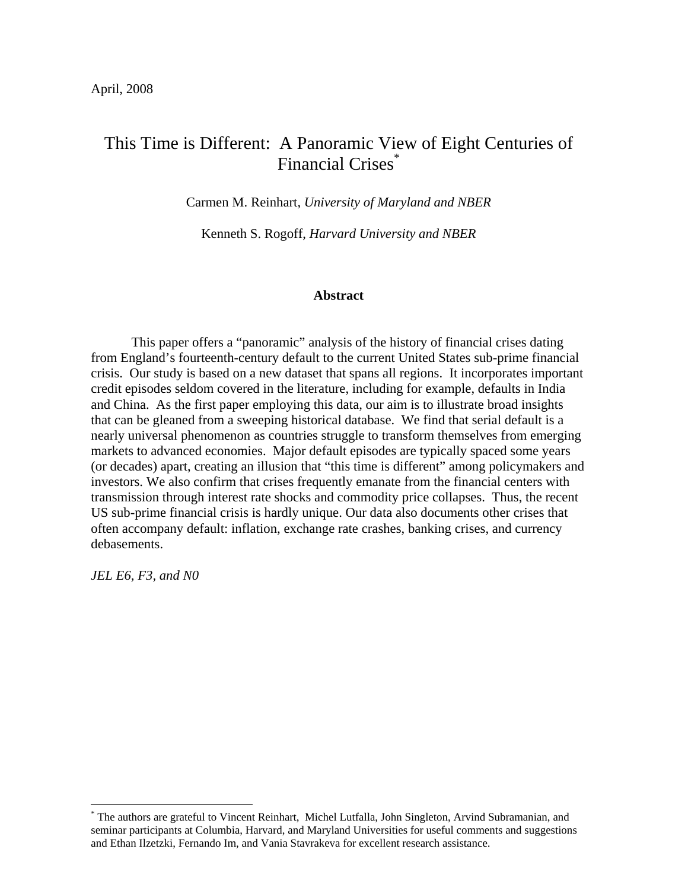# This Time is Different: A Panoramic View of Eight Centuries of Financial Crises\*

Carmen M. Reinhart, *University of Maryland and NBER* 

Kenneth S. Rogoff, *Harvard University and NBER* 

## **Abstract**

This paper offers a "panoramic" analysis of the history of financial crises dating from England's fourteenth-century default to the current United States sub-prime financial crisis. Our study is based on a new dataset that spans all regions. It incorporates important credit episodes seldom covered in the literature, including for example, defaults in India and China. As the first paper employing this data, our aim is to illustrate broad insights that can be gleaned from a sweeping historical database. We find that serial default is a nearly universal phenomenon as countries struggle to transform themselves from emerging markets to advanced economies. Major default episodes are typically spaced some years (or decades) apart, creating an illusion that "this time is different" among policymakers and investors. We also confirm that crises frequently emanate from the financial centers with transmission through interest rate shocks and commodity price collapses. Thus, the recent US sub-prime financial crisis is hardly unique. Our data also documents other crises that often accompany default: inflation, exchange rate crashes, banking crises, and currency debasements.

*JEL E6, F3, and N0* 

<sup>\*</sup> The authors are grateful to Vincent Reinhart, Michel Lutfalla, John Singleton, Arvind Subramanian, and seminar participants at Columbia, Harvard, and Maryland Universities for useful comments and suggestions and Ethan Ilzetzki, Fernando Im, and Vania Stavrakeva for excellent research assistance.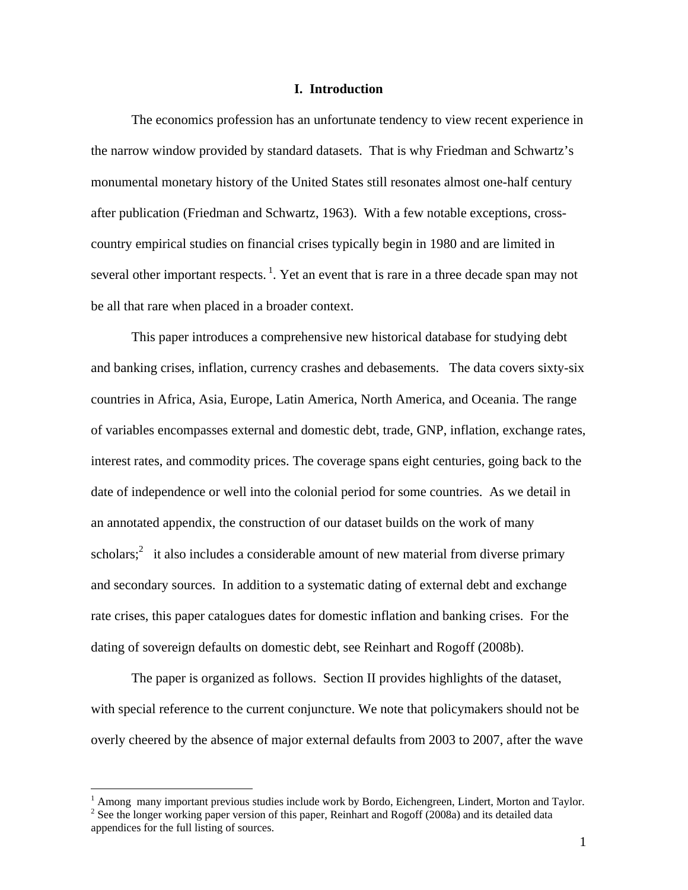### **I. Introduction**

 The economics profession has an unfortunate tendency to view recent experience in the narrow window provided by standard datasets. That is why Friedman and Schwartz's monumental monetary history of the United States still resonates almost one-half century after publication (Friedman and Schwartz, 1963). With a few notable exceptions, crosscountry empirical studies on financial crises typically begin in 1980 and are limited in several other important respects.<sup>1</sup>. Yet an event that is rare in a three decade span may not be all that rare when placed in a broader context.

This paper introduces a comprehensive new historical database for studying debt and banking crises, inflation, currency crashes and debasements. The data covers sixty-six countries in Africa, Asia, Europe, Latin America, North America, and Oceania. The range of variables encompasses external and domestic debt, trade, GNP, inflation, exchange rates, interest rates, and commodity prices. The coverage spans eight centuries, going back to the date of independence or well into the colonial period for some countries. As we detail in an annotated appendix, the construction of our dataset builds on the work of many scholars;<sup>2</sup> it also includes a considerable amount of new material from diverse primary and secondary sources. In addition to a systematic dating of external debt and exchange rate crises, this paper catalogues dates for domestic inflation and banking crises. For the dating of sovereign defaults on domestic debt, see Reinhart and Rogoff (2008b).

The paper is organized as follows. Section II provides highlights of the dataset, with special reference to the current conjuncture. We note that policymakers should not be overly cheered by the absence of major external defaults from 2003 to 2007, after the wave

 $\overline{a}$ 

<sup>&</sup>lt;sup>1</sup> Among many important previous studies include work by Bordo, Eichengreen, Lindert, Morton and Taylor.

 $2^2$  See the longer working paper version of this paper, Reinhart and Rogoff (2008a) and its detailed data appendices for the full listing of sources.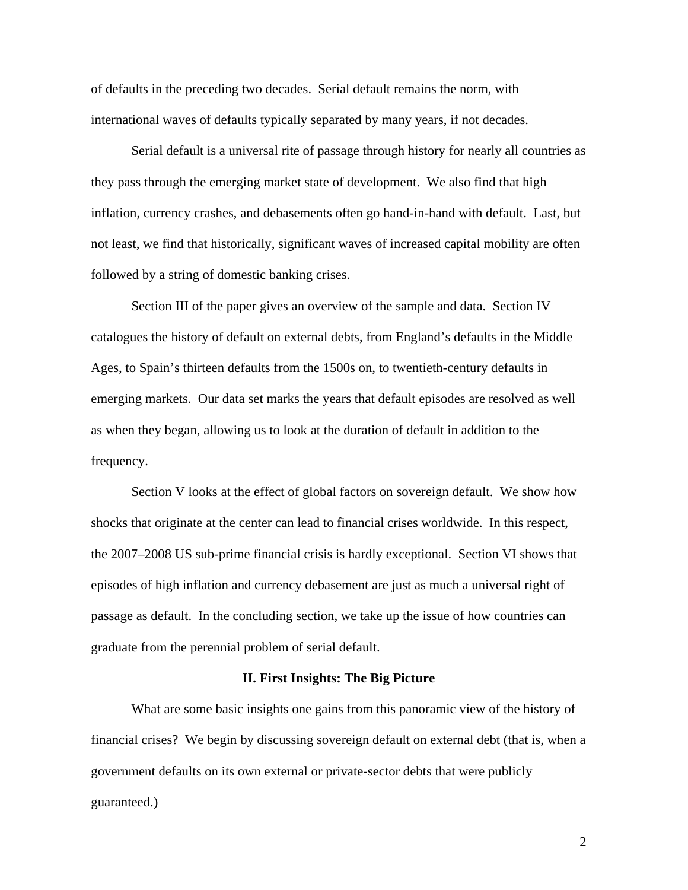of defaults in the preceding two decades. Serial default remains the norm, with international waves of defaults typically separated by many years, if not decades.

Serial default is a universal rite of passage through history for nearly all countries as they pass through the emerging market state of development. We also find that high inflation, currency crashes, and debasements often go hand-in-hand with default. Last, but not least, we find that historically, significant waves of increased capital mobility are often followed by a string of domestic banking crises.

Section III of the paper gives an overview of the sample and data. Section IV catalogues the history of default on external debts, from England's defaults in the Middle Ages, to Spain's thirteen defaults from the 1500s on, to twentieth-century defaults in emerging markets. Our data set marks the years that default episodes are resolved as well as when they began, allowing us to look at the duration of default in addition to the frequency.

Section V looks at the effect of global factors on sovereign default. We show how shocks that originate at the center can lead to financial crises worldwide. In this respect, the 2007–2008 US sub-prime financial crisis is hardly exceptional. Section VI shows that episodes of high inflation and currency debasement are just as much a universal right of passage as default. In the concluding section, we take up the issue of how countries can graduate from the perennial problem of serial default.

## **II. First Insights: The Big Picture**

 What are some basic insights one gains from this panoramic view of the history of financial crises? We begin by discussing sovereign default on external debt (that is, when a government defaults on its own external or private-sector debts that were publicly guaranteed.)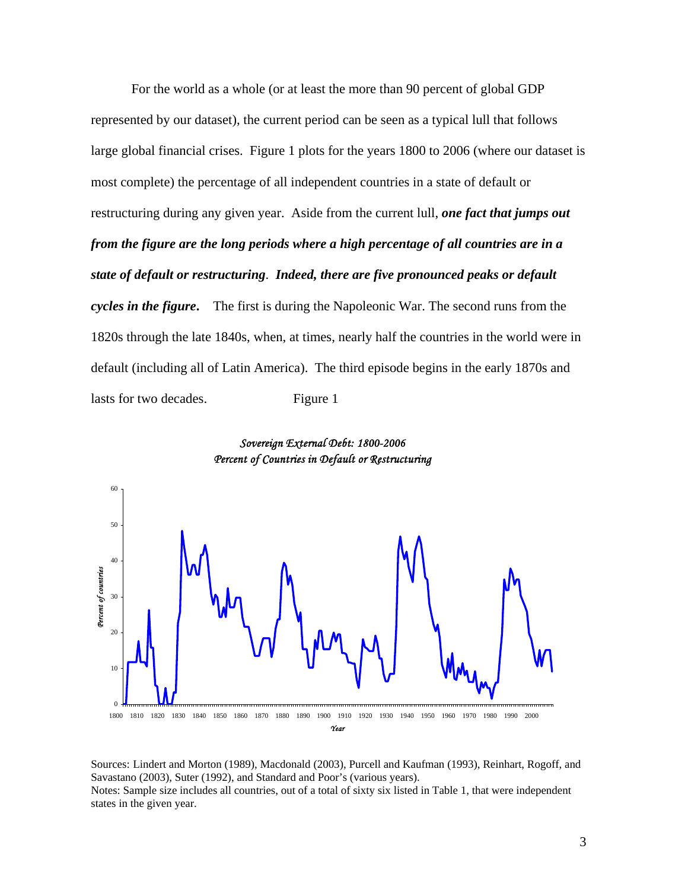For the world as a whole (or at least the more than 90 percent of global GDP represented by our dataset), the current period can be seen as a typical lull that follows large global financial crises. Figure 1 plots for the years 1800 to 2006 (where our dataset is most complete) the percentage of all independent countries in a state of default or restructuring during any given year. Aside from the current lull, *one fact that jumps out from the figure are the long periods where a high percentage of all countries are in a state of default or restructuring*. *Indeed, there are five pronounced peaks or default cycles in the figure***.** The first is during the Napoleonic War. The second runs from the 1820s through the late 1840s, when, at times, nearly half the countries in the world were in default (including all of Latin America). The third episode begins in the early 1870s and lasts for two decades. Figure 1



*Sovereign External Debt: 1800-2006 Percent of Countries in Default or Restructuring*

Sources: Lindert and Morton (1989), Macdonald (2003), Purcell and Kaufman (1993), Reinhart, Rogoff, and Savastano (2003), Suter (1992), and Standard and Poor's (various years). Notes: Sample size includes all countries, out of a total of sixty six listed in Table 1, that were independent states in the given year.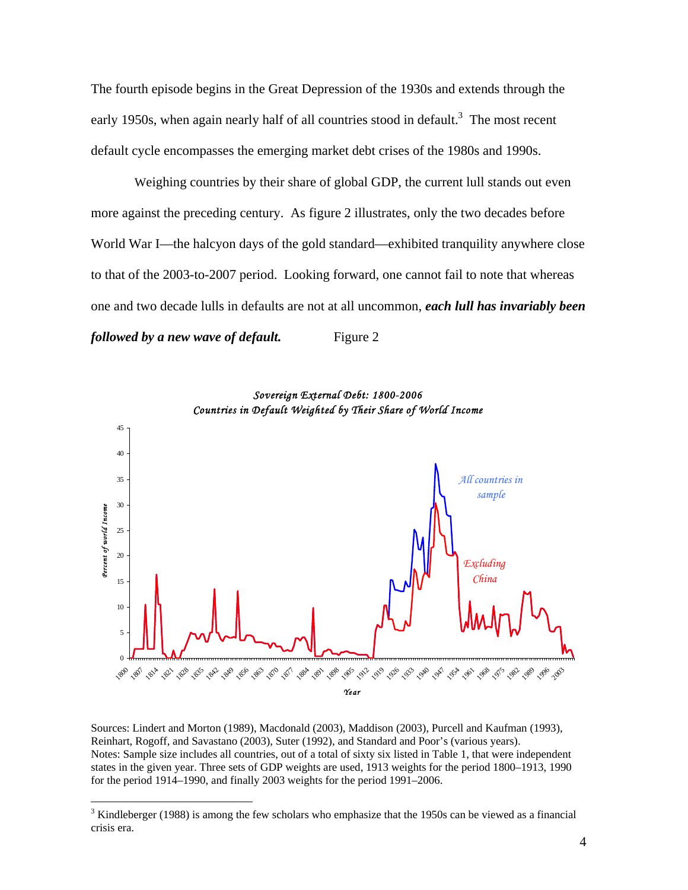The fourth episode begins in the Great Depression of the 1930s and extends through the early 1950s, when again nearly half of all countries stood in default.<sup>3</sup> The most recent default cycle encompasses the emerging market debt crises of the 1980s and 1990s.

 Weighing countries by their share of global GDP, the current lull stands out even more against the preceding century. As figure 2 illustrates, only the two decades before World War I—the halcyon days of the gold standard—exhibited tranquility anywhere close to that of the 2003-to-2007 period. Looking forward, one cannot fail to note that whereas one and two decade lulls in defaults are not at all uncommon, *each lull has invariably been followed by a new wave of default.* Figure 2





 Kindleberger (1988) is among the few scholars who emphasize that the 1950s can be viewed as a financial crisis era.

 $\overline{a}$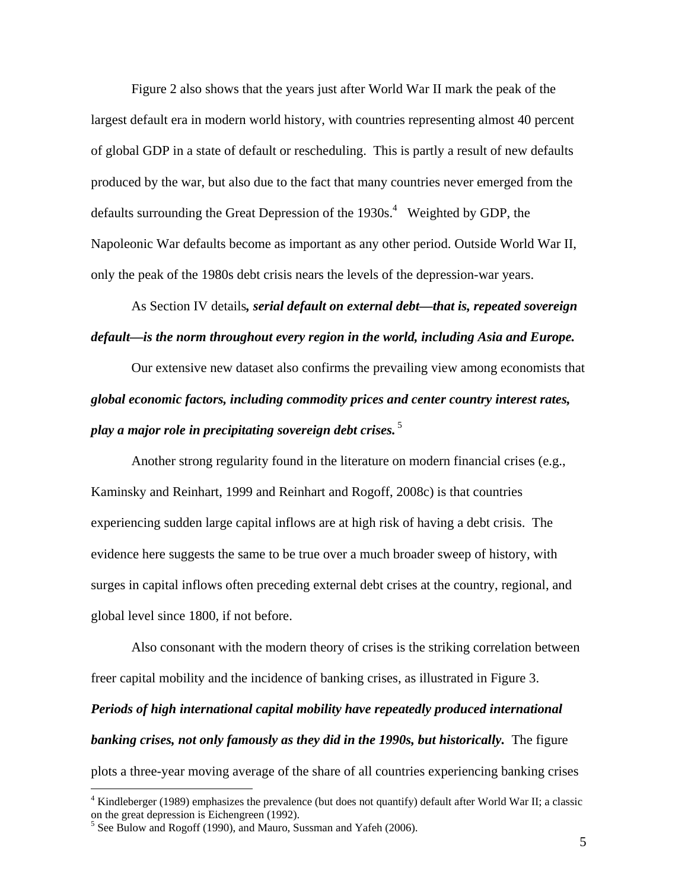Figure 2 also shows that the years just after World War II mark the peak of the largest default era in modern world history, with countries representing almost 40 percent of global GDP in a state of default or rescheduling. This is partly a result of new defaults produced by the war, but also due to the fact that many countries never emerged from the defaults surrounding the Great Depression of the  $1930s<sup>4</sup>$  Weighted by GDP, the Napoleonic War defaults become as important as any other period. Outside World War II, only the peak of the 1980s debt crisis nears the levels of the depression-war years.

As Section IV details*, serial default on external debt—that is, repeated sovereign default—is the norm throughout every region in the world, including Asia and Europe.* 

Our extensive new dataset also confirms the prevailing view among economists that *global economic factors, including commodity prices and center country interest rates, play a major role in precipitating sovereign debt crises.*<sup>5</sup>

Another strong regularity found in the literature on modern financial crises (e.g., Kaminsky and Reinhart, 1999 and Reinhart and Rogoff, 2008c) is that countries experiencing sudden large capital inflows are at high risk of having a debt crisis. The evidence here suggests the same to be true over a much broader sweep of history, with surges in capital inflows often preceding external debt crises at the country, regional, and global level since 1800, if not before.

Also consonant with the modern theory of crises is the striking correlation between freer capital mobility and the incidence of banking crises, as illustrated in Figure 3. *Periods of high international capital mobility have repeatedly produced international banking crises, not only famously as they did in the 1990s, but historically.* The figure plots a three-year moving average of the share of all countries experiencing banking crises

 $\overline{a}$ 

<sup>&</sup>lt;sup>4</sup> Kindleberger (1989) emphasizes the prevalence (but does not quantify) default after World War II; a classic on the great depression is Eichengreen (1992).

 $5$  See Bulow and Rogoff (1990), and Mauro, Sussman and Yafeh (2006).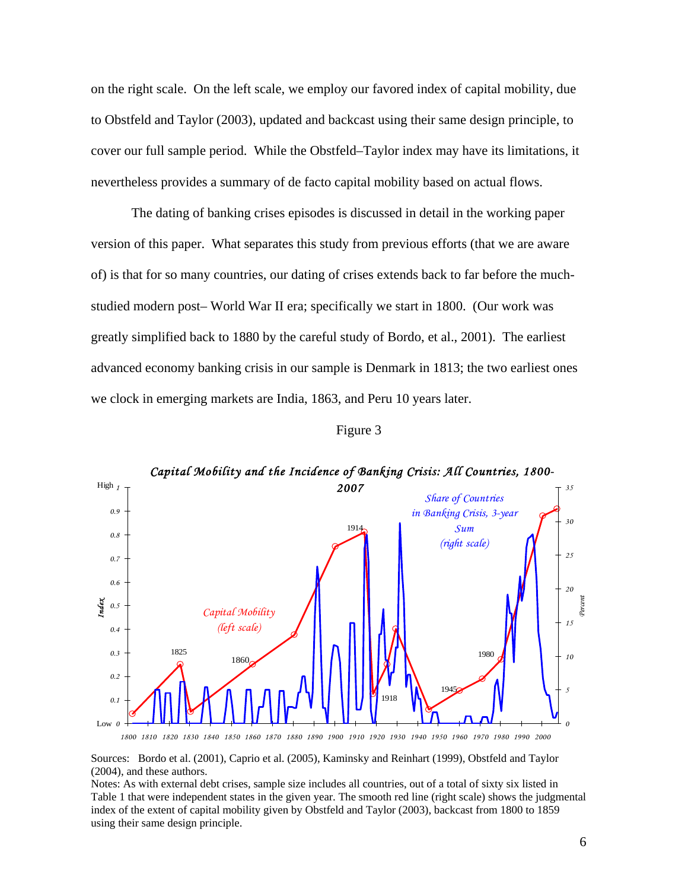on the right scale. On the left scale, we employ our favored index of capital mobility, due to Obstfeld and Taylor (2003), updated and backcast using their same design principle, to cover our full sample period. While the Obstfeld–Taylor index may have its limitations, it nevertheless provides a summary of de facto capital mobility based on actual flows.

The dating of banking crises episodes is discussed in detail in the working paper version of this paper. What separates this study from previous efforts (that we are aware of) is that for so many countries, our dating of crises extends back to far before the muchstudied modern post– World War II era; specifically we start in 1800. (Our work was greatly simplified back to 1880 by the careful study of Bordo, et al., 2001). The earliest advanced economy banking crisis in our sample is Denmark in 1813; the two earliest ones we clock in emerging markets are India, 1863, and Peru 10 years later.



| онг |  |
|-----|--|
|-----|--|

*1800 1810 1820 1830 1840 1850 1860 1870 1880 1890 1900 1910 1920 1930 1940 1950 1960 1970 1980 1990 2000*

Sources: Bordo et al. (2001), Caprio et al. (2005), Kaminsky and Reinhart (1999), Obstfeld and Taylor (2004), and these authors.

Notes: As with external debt crises, sample size includes all countries, out of a total of sixty six listed in Table 1 that were independent states in the given year. The smooth red line (right scale) shows the judgmental index of the extent of capital mobility given by Obstfeld and Taylor (2003), backcast from 1800 to 1859 using their same design principle.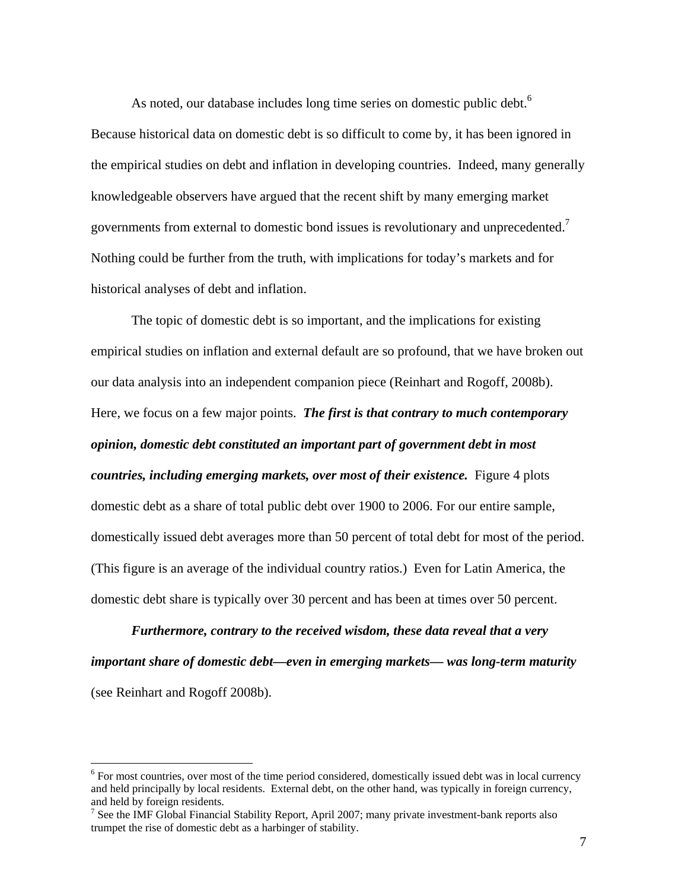As noted, our database includes long time series on domestic public debt.<sup>6</sup> Because historical data on domestic debt is so difficult to come by, it has been ignored in the empirical studies on debt and inflation in developing countries. Indeed, many generally knowledgeable observers have argued that the recent shift by many emerging market governments from external to domestic bond issues is revolutionary and unprecedented.<sup>7</sup> Nothing could be further from the truth, with implications for today's markets and for historical analyses of debt and inflation.

The topic of domestic debt is so important, and the implications for existing empirical studies on inflation and external default are so profound, that we have broken out our data analysis into an independent companion piece (Reinhart and Rogoff, 2008b). Here, we focus on a few major points. *The first is that contrary to much contemporary opinion, domestic debt constituted an important part of government debt in most countries, including emerging markets, over most of their existence.* Figure 4 plots domestic debt as a share of total public debt over 1900 to 2006. For our entire sample, domestically issued debt averages more than 50 percent of total debt for most of the period. (This figure is an average of the individual country ratios.) Even for Latin America, the domestic debt share is typically over 30 percent and has been at times over 50 percent.

*Furthermore, contrary to the received wisdom, these data reveal that a very important share of domestic debt—even in emerging markets— was long-term maturity*  (see Reinhart and Rogoff 2008b).

<sup>&</sup>lt;sup>6</sup> For most countries, over most of the time period considered, domestically issued debt was in local currency and held principally by local residents. External debt, on the other hand, was typically in foreign currency, and held by foreign residents.

<sup>&</sup>lt;sup>7</sup> See the IMF Global Financial Stability Report, April 2007; many private investment-bank reports also trumpet the rise of domestic debt as a harbinger of stability.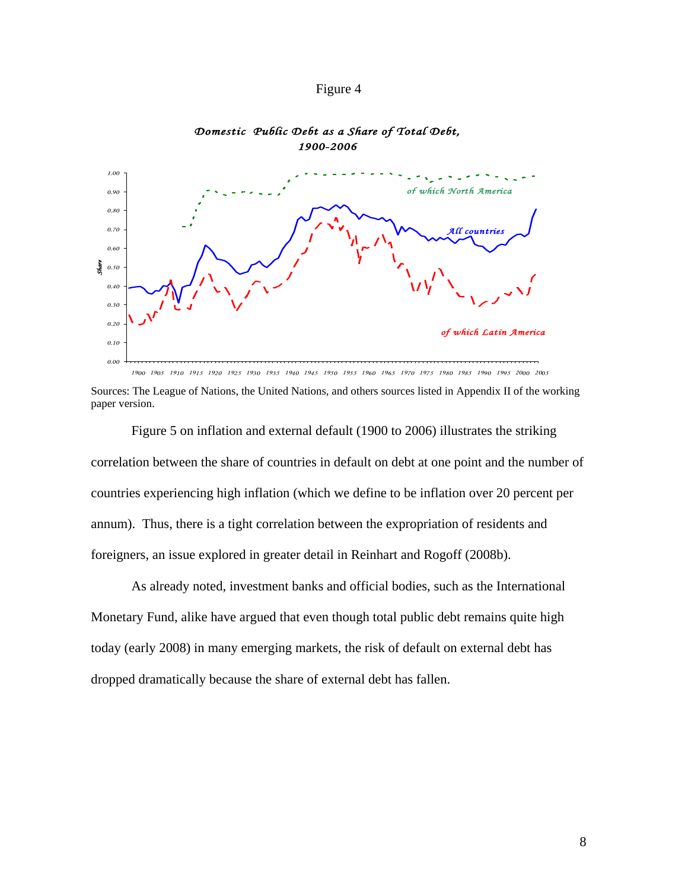



## *Domestic Public Debt as a Share of Total Debt, 1900-2006*

 Sources: The League of Nations, the United Nations, and others sources listed in Appendix II of the working paper version.

 Figure 5 on inflation and external default (1900 to 2006) illustrates the striking correlation between the share of countries in default on debt at one point and the number of countries experiencing high inflation (which we define to be inflation over 20 percent per annum). Thus, there is a tight correlation between the expropriation of residents and foreigners, an issue explored in greater detail in Reinhart and Rogoff (2008b).

As already noted, investment banks and official bodies, such as the International Monetary Fund, alike have argued that even though total public debt remains quite high today (early 2008) in many emerging markets, the risk of default on external debt has dropped dramatically because the share of external debt has fallen.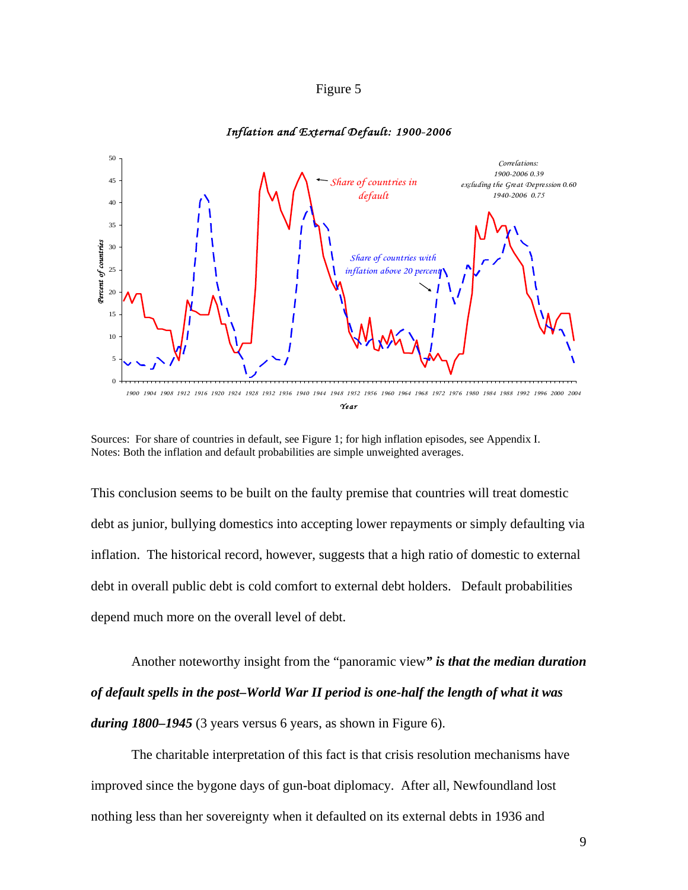## Figure 5

#### 50 *Correlations: 1900-2006 0.39* 45 *Share of countries in excluding the Great Depression 0.60 default 1940-2006 0.75* 40 35 Percent of countries *Percent of countries* 30 *Share of countries with*  25 *inflation above 20 percent* 20 15 10 5  $\Omega$ 1900 1904 1908 1912 1916 1920 1924 1928 1932 1936 1940 1944 1948 1952 1956 1960 1964 1968 1972 1976 1980 1984 1988 1992 1996 2000 2004 *Year*

#### *Inflation and External Default: 1900-2006*

Sources: For share of countries in default, see Figure 1; for high inflation episodes, see Appendix I. Notes: Both the inflation and default probabilities are simple unweighted averages.

This conclusion seems to be built on the faulty premise that countries will treat domestic debt as junior, bullying domestics into accepting lower repayments or simply defaulting via inflation. The historical record, however, suggests that a high ratio of domestic to external debt in overall public debt is cold comfort to external debt holders. Default probabilities depend much more on the overall level of debt.

Another noteworthy insight from the "panoramic view*" is that the median duration of default spells in the post–World War II period is one-half the length of what it was during 1800–1945* (3 years versus 6 years, as shown in Figure 6).

The charitable interpretation of this fact is that crisis resolution mechanisms have improved since the bygone days of gun-boat diplomacy. After all, Newfoundland lost nothing less than her sovereignty when it defaulted on its external debts in 1936 and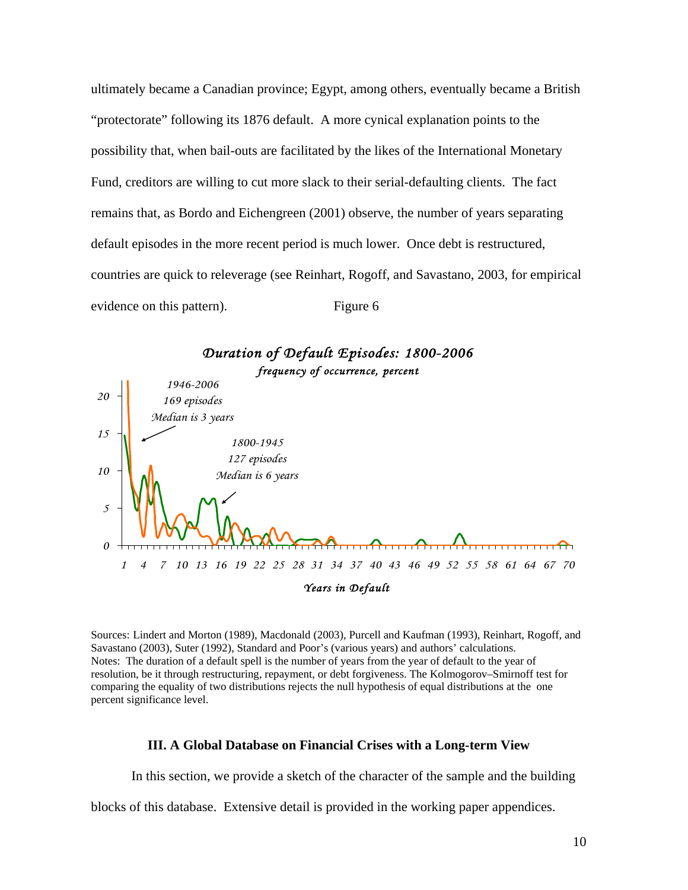ultimately became a Canadian province; Egypt, among others, eventually became a British "protectorate" following its 1876 default. A more cynical explanation points to the possibility that, when bail-outs are facilitated by the likes of the International Monetary Fund, creditors are willing to cut more slack to their serial-defaulting clients. The fact remains that, as Bordo and Eichengreen (2001) observe, the number of years separating default episodes in the more recent period is much lower. Once debt is restructured, countries are quick to releverage (see Reinhart, Rogoff, and Savastano, 2003, for empirical evidence on this pattern). Figure 6



Sources: Lindert and Morton (1989), Macdonald (2003), Purcell and Kaufman (1993), Reinhart, Rogoff, and Savastano (2003), Suter (1992), Standard and Poor's (various years) and authors' calculations. Notes: The duration of a default spell is the number of years from the year of default to the year of resolution, be it through restructuring, repayment, or debt forgiveness. The Kolmogorov–Smirnoff test for comparing the equality of two distributions rejects the null hypothesis of equal distributions at the one percent significance level.

#### **III. A Global Database on Financial Crises with a Long-term View**

In this section, we provide a sketch of the character of the sample and the building

blocks of this database. Extensive detail is provided in the working paper appendices.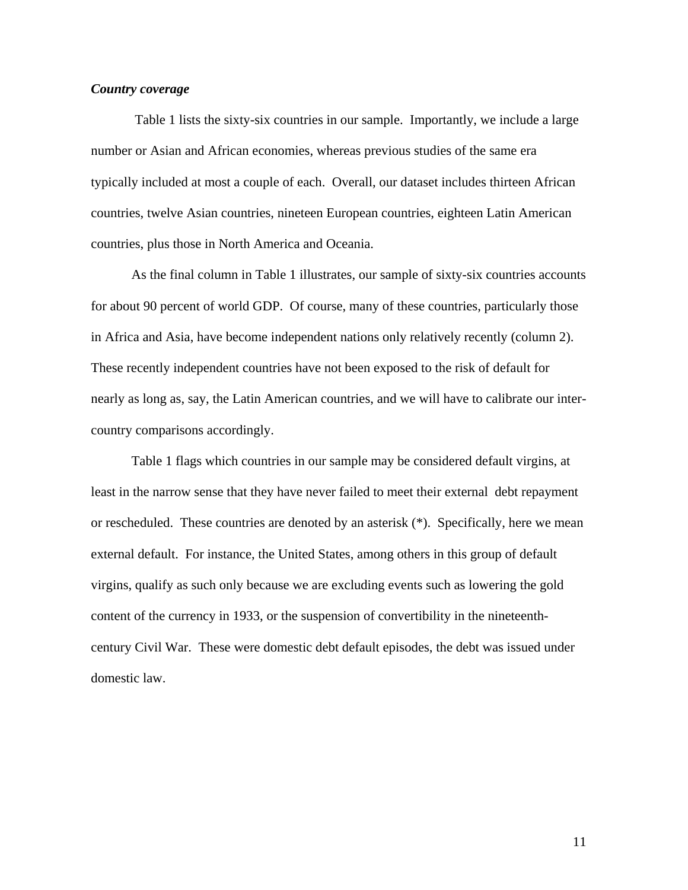## *Country coverage*

 Table 1 lists the sixty-six countries in our sample. Importantly, we include a large number or Asian and African economies, whereas previous studies of the same era typically included at most a couple of each. Overall, our dataset includes thirteen African countries, twelve Asian countries, nineteen European countries, eighteen Latin American countries, plus those in North America and Oceania.

As the final column in Table 1 illustrates, our sample of sixty-six countries accounts for about 90 percent of world GDP. Of course, many of these countries, particularly those in Africa and Asia, have become independent nations only relatively recently (column 2). These recently independent countries have not been exposed to the risk of default for nearly as long as, say, the Latin American countries, and we will have to calibrate our intercountry comparisons accordingly.

Table 1 flags which countries in our sample may be considered default virgins, at least in the narrow sense that they have never failed to meet their external debt repayment or rescheduled. These countries are denoted by an asterisk (\*). Specifically, here we mean external default. For instance, the United States, among others in this group of default virgins, qualify as such only because we are excluding events such as lowering the gold content of the currency in 1933, or the suspension of convertibility in the nineteenthcentury Civil War. These were domestic debt default episodes, the debt was issued under domestic law.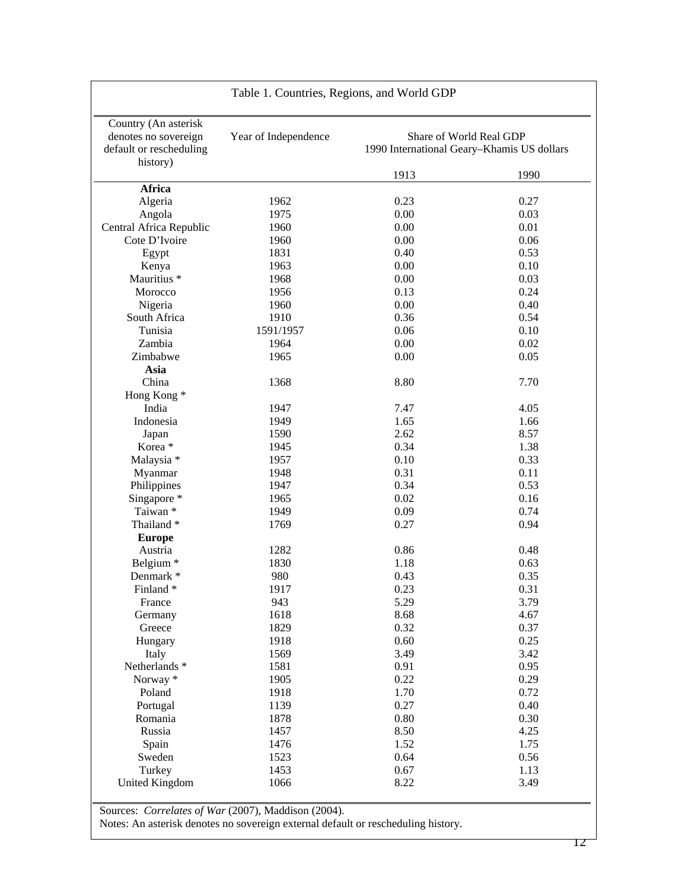|                                                                                     | Table 1. Countries, Regions, and World GDP |                                                                       |              |
|-------------------------------------------------------------------------------------|--------------------------------------------|-----------------------------------------------------------------------|--------------|
| Country (An asterisk<br>denotes no sovereign<br>default or rescheduling<br>history) | Year of Independence                       | Share of World Real GDP<br>1990 International Geary-Khamis US dollars |              |
|                                                                                     |                                            | 1913                                                                  | 1990         |
| <b>Africa</b>                                                                       |                                            |                                                                       |              |
| Algeria                                                                             | 1962                                       | 0.23                                                                  | 0.27         |
| Angola                                                                              | 1975                                       | 0.00                                                                  | 0.03         |
| Central Africa Republic<br>Cote D'Ivoire                                            | 1960                                       | 0.00<br>0.00                                                          | 0.01         |
|                                                                                     | 1960                                       |                                                                       | 0.06         |
| Egypt                                                                               | 1831<br>1963                               | 0.40<br>0.00                                                          | 0.53<br>0.10 |
| Kenya<br>Mauritius *                                                                | 1968                                       | 0.00                                                                  | 0.03         |
|                                                                                     | 1956                                       | 0.13                                                                  | 0.24         |
| Morocco<br>Nigeria                                                                  | 1960                                       | 0.00                                                                  | 0.40         |
| South Africa                                                                        | 1910                                       | 0.36                                                                  | 0.54         |
| Tunisia                                                                             | 1591/1957                                  | 0.06                                                                  | 0.10         |
| Zambia                                                                              | 1964                                       | 0.00                                                                  | 0.02         |
| Zimbabwe                                                                            | 1965                                       | 0.00                                                                  | 0.05         |
| Asia                                                                                |                                            |                                                                       |              |
| China                                                                               | 1368                                       | 8.80                                                                  | 7.70         |
| Hong Kong*                                                                          |                                            |                                                                       |              |
| India                                                                               | 1947                                       | 7.47                                                                  | 4.05         |
| Indonesia                                                                           | 1949                                       | 1.65                                                                  | 1.66         |
|                                                                                     | 1590                                       | 2.62                                                                  | 8.57         |
| Japan<br>Korea *                                                                    | 1945                                       | 0.34                                                                  | 1.38         |
| Malaysia *                                                                          | 1957                                       | 0.10                                                                  | 0.33         |
| Myanmar                                                                             | 1948                                       | 0.31                                                                  | 0.11         |
| Philippines                                                                         | 1947                                       | 0.34                                                                  | 0.53         |
| Singapore *                                                                         | 1965                                       | 0.02                                                                  | 0.16         |
| Taiwan *                                                                            | 1949                                       | 0.09                                                                  | 0.74         |
| Thailand*                                                                           | 1769                                       | 0.27                                                                  | 0.94         |
| <b>Europe</b>                                                                       |                                            |                                                                       |              |
| Austria                                                                             | 1282                                       | 0.86                                                                  | 0.48         |
| Belgium <sup>*</sup>                                                                | 1830                                       | 1.18                                                                  | 0.63         |
| Denmark *                                                                           | 980                                        | 0.43                                                                  | 0.35         |
| Finland*                                                                            | 1917                                       | 0.23                                                                  | 0.31         |
| France                                                                              | 943                                        | 5.29                                                                  | 3.79         |
| Germany                                                                             | 1618                                       | 8.68                                                                  | 4.67         |
| Greece                                                                              | 1829                                       | 0.32                                                                  | 0.37         |
| Hungary                                                                             | 1918                                       | 0.60                                                                  | 0.25         |
| Italy                                                                               | 1569                                       | 3.49                                                                  | 3.42         |
| Netherlands *                                                                       | 1581                                       | 0.91                                                                  | 0.95         |
| Norway*                                                                             | 1905                                       | 0.22                                                                  | 0.29         |
| Poland                                                                              | 1918                                       | 1.70                                                                  | 0.72         |
| Portugal                                                                            | 1139                                       | 0.27                                                                  | 0.40         |
| Romania                                                                             | 1878                                       | 0.80                                                                  | 0.30         |
| Russia                                                                              | 1457                                       | 8.50                                                                  | 4.25         |
| Spain                                                                               | 1476                                       | 1.52                                                                  | 1.75         |
| Sweden                                                                              | 1523                                       | 0.64                                                                  | 0.56         |
| Turkey                                                                              | 1453                                       | 0.67                                                                  | 1.13         |
| <b>United Kingdom</b>                                                               | 1066                                       | 8.22                                                                  | 3.49         |
|                                                                                     |                                            |                                                                       |              |

Sources: *Correlates of War* (2007), Maddison (2004).

 $\overline{1}$ 

Notes: An asterisk denotes no sovereign external default or rescheduling history.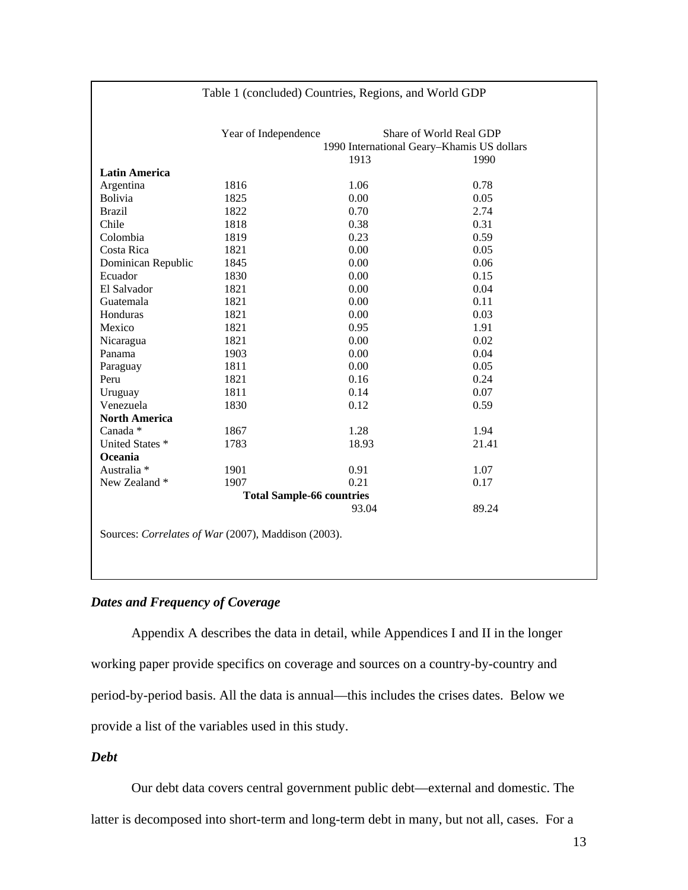|                        | Year of Independence             |       | Share of World Real GDP                    |
|------------------------|----------------------------------|-------|--------------------------------------------|
|                        |                                  |       | 1990 International Geary-Khamis US dollars |
|                        |                                  | 1913  | 1990                                       |
| <b>Latin America</b>   |                                  |       |                                            |
| Argentina              | 1816                             | 1.06  | 0.78                                       |
| Bolivia                | 1825                             | 0.00  | 0.05                                       |
| <b>Brazil</b>          | 1822                             | 0.70  | 2.74                                       |
| Chile                  | 1818                             | 0.38  | 0.31                                       |
| Colombia               | 1819                             | 0.23  | 0.59                                       |
| Costa Rica             | 1821                             | 0.00  | 0.05                                       |
| Dominican Republic     | 1845                             | 0.00  | 0.06                                       |
| Ecuador                | 1830                             | 0.00  | 0.15                                       |
| El Salvador            | 1821                             | 0.00  | 0.04                                       |
| Guatemala              | 1821                             | 0.00  | 0.11                                       |
| Honduras               | 1821                             | 0.00  | 0.03                                       |
| Mexico                 | 1821                             | 0.95  | 1.91                                       |
| Nicaragua              | 1821                             | 0.00  | 0.02                                       |
| Panama                 | 1903                             | 0.00  | 0.04                                       |
| Paraguay               | 1811                             | 0.00  | 0.05                                       |
| Peru                   | 1821                             | 0.16  | 0.24                                       |
| Uruguay                | 1811                             | 0.14  | 0.07                                       |
| Venezuela              | 1830                             | 0.12  | 0.59                                       |
| <b>North America</b>   |                                  |       |                                            |
| Canada *               | 1867                             | 1.28  | 1.94                                       |
| United States *        | 1783                             | 18.93 | 21.41                                      |
| Oceania                |                                  |       |                                            |
| Australia <sup>*</sup> | 1901                             | 0.91  | 1.07                                       |
| New Zealand *          | 1907                             | 0.21  | 0.17                                       |
|                        | <b>Total Sample-66 countries</b> |       |                                            |
|                        |                                  | 93.04 | 89.24                                      |

Table 1 (concluded) Countries, Regions, and World GDP

## *Dates and Frequency of Coverage*

Appendix A describes the data in detail, while Appendices I and II in the longer working paper provide specifics on coverage and sources on a country-by-country and period-by-period basis. All the data is annual—this includes the crises dates. Below we provide a list of the variables used in this study.

*Debt* 

Our debt data covers central government public debt—external and domestic. The latter is decomposed into short-term and long-term debt in many, but not all, cases. For a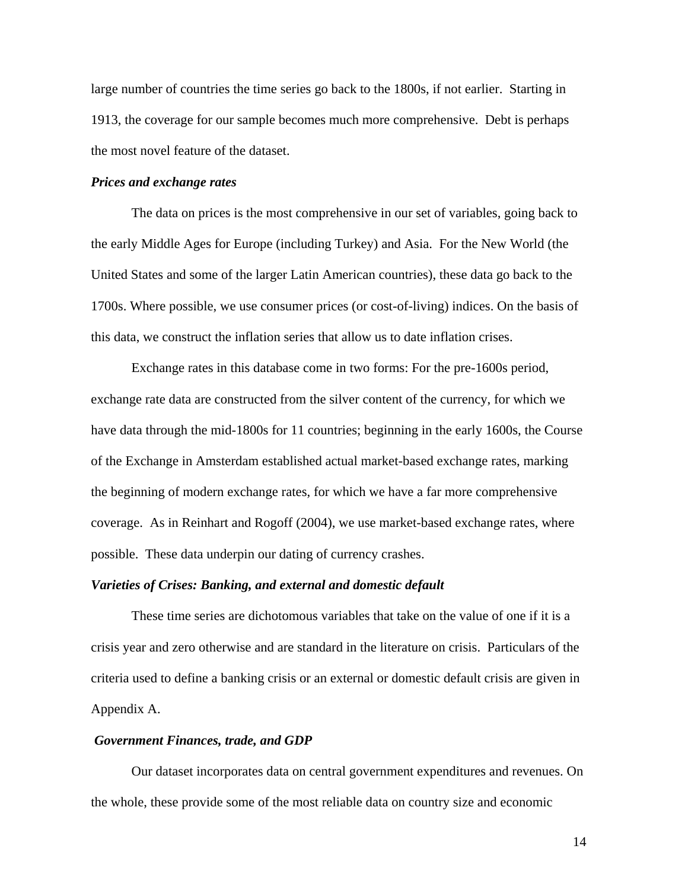large number of countries the time series go back to the 1800s, if not earlier. Starting in 1913, the coverage for our sample becomes much more comprehensive. Debt is perhaps the most novel feature of the dataset.

#### *Prices and exchange rates*

The data on prices is the most comprehensive in our set of variables, going back to the early Middle Ages for Europe (including Turkey) and Asia. For the New World (the United States and some of the larger Latin American countries), these data go back to the 1700s. Where possible, we use consumer prices (or cost-of-living) indices. On the basis of this data, we construct the inflation series that allow us to date inflation crises.

Exchange rates in this database come in two forms: For the pre-1600s period, exchange rate data are constructed from the silver content of the currency, for which we have data through the mid-1800s for 11 countries; beginning in the early 1600s, the Course of the Exchange in Amsterdam established actual market-based exchange rates, marking the beginning of modern exchange rates, for which we have a far more comprehensive coverage. As in Reinhart and Rogoff (2004), we use market-based exchange rates, where possible. These data underpin our dating of currency crashes.

## *Varieties of Crises: Banking, and external and domestic default*

These time series are dichotomous variables that take on the value of one if it is a crisis year and zero otherwise and are standard in the literature on crisis. Particulars of the criteria used to define a banking crisis or an external or domestic default crisis are given in Appendix A.

## *Government Finances, trade, and GDP*

Our dataset incorporates data on central government expenditures and revenues. On the whole, these provide some of the most reliable data on country size and economic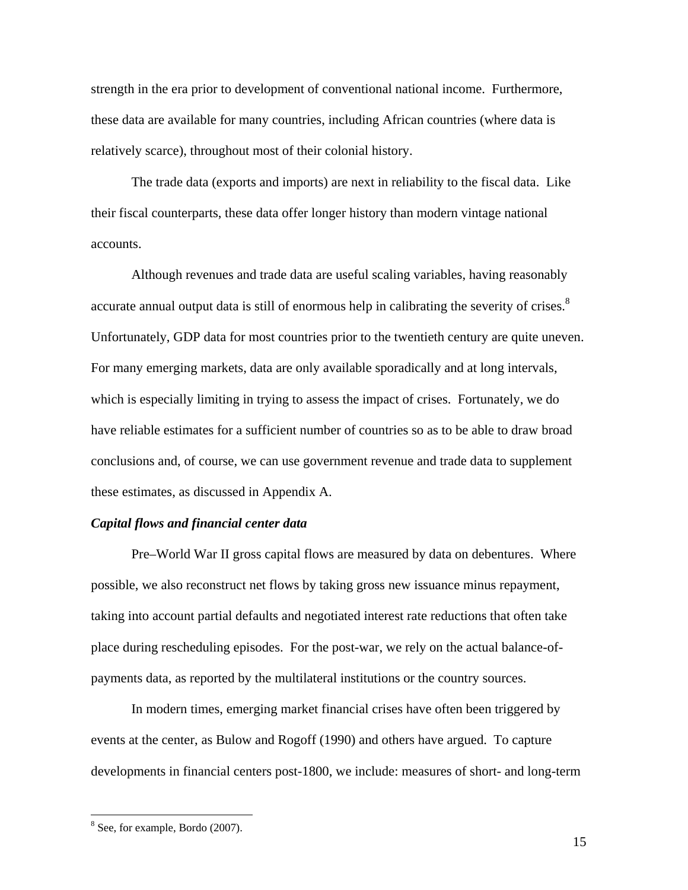strength in the era prior to development of conventional national income. Furthermore, these data are available for many countries, including African countries (where data is relatively scarce), throughout most of their colonial history.

The trade data (exports and imports) are next in reliability to the fiscal data. Like their fiscal counterparts, these data offer longer history than modern vintage national accounts.

Although revenues and trade data are useful scaling variables, having reasonably accurate annual output data is still of enormous help in calibrating the severity of crises.<sup>8</sup> Unfortunately, GDP data for most countries prior to the twentieth century are quite uneven. For many emerging markets, data are only available sporadically and at long intervals, which is especially limiting in trying to assess the impact of crises. Fortunately, we do have reliable estimates for a sufficient number of countries so as to be able to draw broad conclusions and, of course, we can use government revenue and trade data to supplement these estimates, as discussed in Appendix A.

## *Capital flows and financial center data*

Pre–World War II gross capital flows are measured by data on debentures. Where possible, we also reconstruct net flows by taking gross new issuance minus repayment, taking into account partial defaults and negotiated interest rate reductions that often take place during rescheduling episodes. For the post-war, we rely on the actual balance-ofpayments data, as reported by the multilateral institutions or the country sources.

In modern times, emerging market financial crises have often been triggered by events at the center, as Bulow and Rogoff (1990) and others have argued. To capture developments in financial centers post-1800, we include: measures of short- and long-term

<sup>&</sup>lt;sup>8</sup> See, for example, Bordo (2007).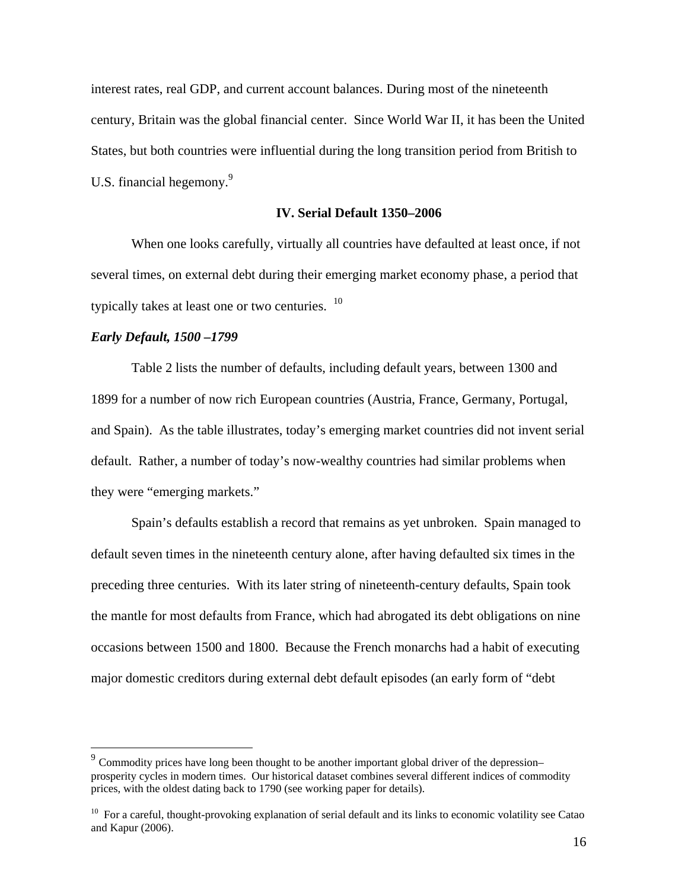interest rates, real GDP, and current account balances. During most of the nineteenth century, Britain was the global financial center. Since World War II, it has been the United States, but both countries were influential during the long transition period from British to U.S. financial hegemony.<sup>9</sup>

## **IV. Serial Default 1350–2006**

When one looks carefully, virtually all countries have defaulted at least once, if not several times, on external debt during their emerging market economy phase, a period that typically takes at least one or two centuries.  $10$ 

### *Early Default, 1500 –1799*

 $\overline{a}$ 

Table 2 lists the number of defaults, including default years, between 1300 and 1899 for a number of now rich European countries (Austria, France, Germany, Portugal, and Spain). As the table illustrates, today's emerging market countries did not invent serial default. Rather, a number of today's now-wealthy countries had similar problems when they were "emerging markets."

Spain's defaults establish a record that remains as yet unbroken. Spain managed to default seven times in the nineteenth century alone, after having defaulted six times in the preceding three centuries. With its later string of nineteenth-century defaults, Spain took the mantle for most defaults from France, which had abrogated its debt obligations on nine occasions between 1500 and 1800. Because the French monarchs had a habit of executing major domestic creditors during external debt default episodes (an early form of "debt

 $9^9$  Commodity prices have long been thought to be another important global driver of the depression– prosperity cycles in modern times. Our historical dataset combines several different indices of commodity prices, with the oldest dating back to 1790 (see working paper for details).

 $10$  For a careful, thought-provoking explanation of serial default and its links to economic volatility see Catao and Kapur (2006).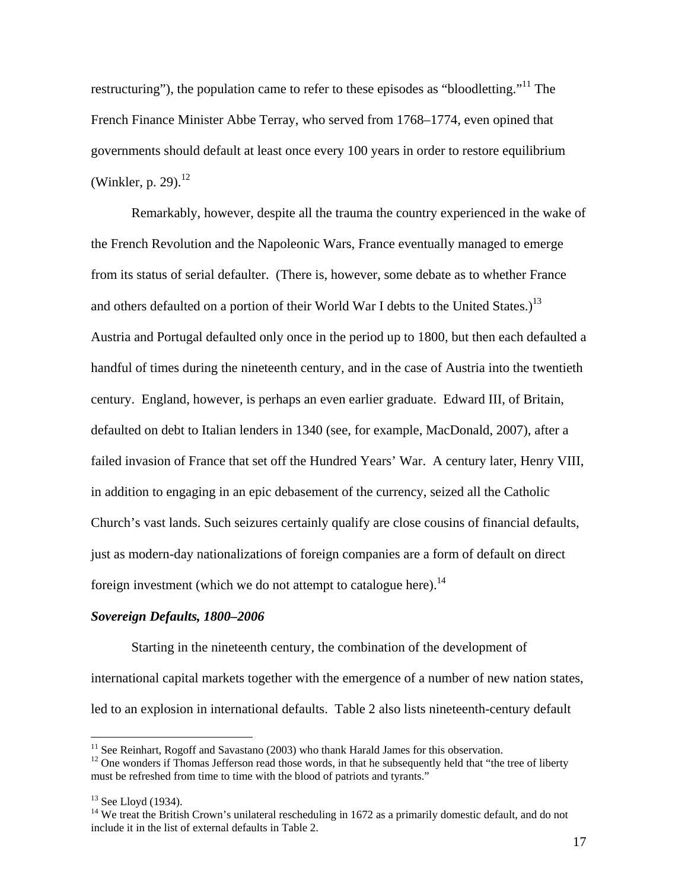restructuring"), the population came to refer to these episodes as "bloodletting."<sup>11</sup> The French Finance Minister Abbe Terray, who served from 1768–1774, even opined that governments should default at least once every 100 years in order to restore equilibrium (Winkler, p. 29). $^{12}$ 

Remarkably, however, despite all the trauma the country experienced in the wake of the French Revolution and the Napoleonic Wars, France eventually managed to emerge from its status of serial defaulter. (There is, however, some debate as to whether France and others defaulted on a portion of their World War I debts to the United States.)<sup>13</sup> Austria and Portugal defaulted only once in the period up to 1800, but then each defaulted a handful of times during the nineteenth century, and in the case of Austria into the twentieth century. England, however, is perhaps an even earlier graduate. Edward III, of Britain, defaulted on debt to Italian lenders in 1340 (see, for example, MacDonald, 2007), after a failed invasion of France that set off the Hundred Years' War. A century later, Henry VIII, in addition to engaging in an epic debasement of the currency, seized all the Catholic Church's vast lands. Such seizures certainly qualify are close cousins of financial defaults, just as modern-day nationalizations of foreign companies are a form of default on direct foreign investment (which we do not attempt to catalogue here).<sup>14</sup>

## *Sovereign Defaults, 1800–2006*

 Starting in the nineteenth century, the combination of the development of international capital markets together with the emergence of a number of new nation states, led to an explosion in international defaults. Table 2 also lists nineteenth-century default

 $\overline{a}$ 

 $11$  See Reinhart, Rogoff and Savastano (2003) who thank Harald James for this observation.

 $12$  One wonders if Thomas Jefferson read those words, in that he subsequently held that "the tree of liberty must be refreshed from time to time with the blood of patriots and tyrants."

 $13$  See Lloyd (1934).

 $14$  We treat the British Crown's unilateral rescheduling in 1672 as a primarily domestic default, and do not include it in the list of external defaults in Table 2.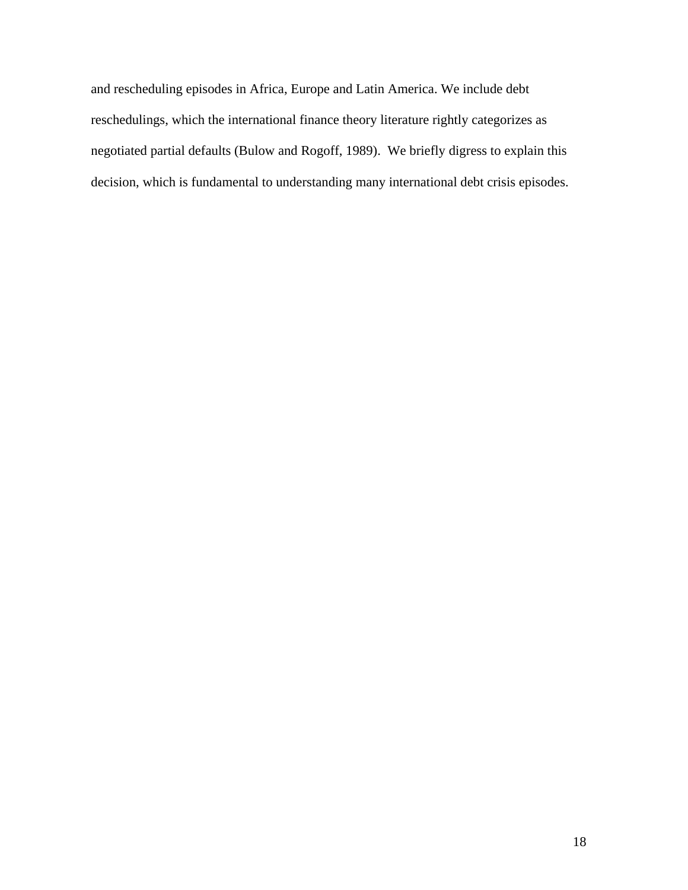and rescheduling episodes in Africa, Europe and Latin America. We include debt reschedulings, which the international finance theory literature rightly categorizes as negotiated partial defaults (Bulow and Rogoff, 1989). We briefly digress to explain this decision, which is fundamental to understanding many international debt crisis episodes.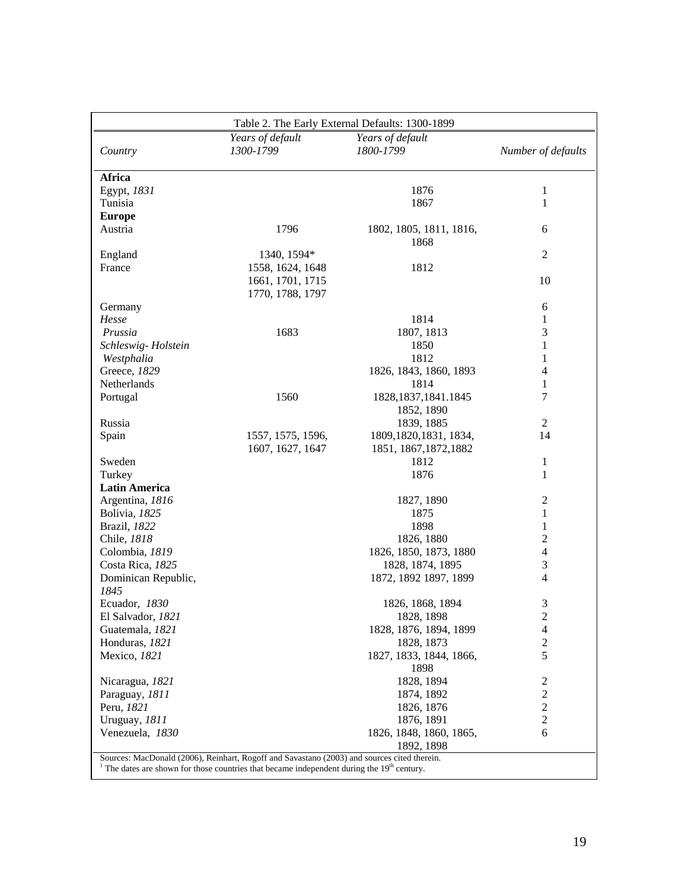| Table 2. The Early External Defaults: 1300-1899 |                                      |                                      |                    |  |  |  |  |
|-------------------------------------------------|--------------------------------------|--------------------------------------|--------------------|--|--|--|--|
| Country                                         | Years of default<br>1300-1799        | Years of default<br>1800-1799        | Number of defaults |  |  |  |  |
| <b>Africa</b>                                   |                                      |                                      |                    |  |  |  |  |
| Egypt, 1831                                     |                                      | 1876                                 | 1                  |  |  |  |  |
| Tunisia                                         |                                      | 1867                                 | $\mathbf{1}$       |  |  |  |  |
| <b>Europe</b>                                   |                                      |                                      |                    |  |  |  |  |
| Austria                                         | 1796                                 | 1802, 1805, 1811, 1816,<br>1868      | 6                  |  |  |  |  |
| England                                         | 1340, 1594*                          |                                      | $\overline{2}$     |  |  |  |  |
| France                                          | 1558, 1624, 1648                     | 1812                                 |                    |  |  |  |  |
|                                                 | 1661, 1701, 1715<br>1770, 1788, 1797 |                                      | 10                 |  |  |  |  |
| Germany                                         |                                      |                                      | 6                  |  |  |  |  |
| Hesse                                           |                                      | 1814                                 | 1                  |  |  |  |  |
| Prussia                                         | 1683                                 |                                      | $\mathfrak{Z}$     |  |  |  |  |
|                                                 |                                      | 1807, 1813<br>1850                   |                    |  |  |  |  |
| Schleswig-Holstein                              |                                      |                                      | 1                  |  |  |  |  |
| Westphalia                                      |                                      | 1812                                 | 1                  |  |  |  |  |
| Greece, 1829                                    |                                      | 1826, 1843, 1860, 1893               | 4                  |  |  |  |  |
| Netherlands                                     |                                      | 1814                                 | 1                  |  |  |  |  |
| Portugal                                        | 1560                                 | 1828, 1837, 1841. 1845<br>1852, 1890 | 7                  |  |  |  |  |
| Russia                                          |                                      | 1839, 1885                           | 2                  |  |  |  |  |
| Spain                                           | 1557, 1575, 1596,                    | 1809, 1820, 1831, 1834,              | 14                 |  |  |  |  |
|                                                 | 1607, 1627, 1647                     | 1851, 1867, 1872, 1882               |                    |  |  |  |  |
| Sweden                                          |                                      | 1812                                 | 1                  |  |  |  |  |
| Turkey                                          |                                      | 1876                                 | 1                  |  |  |  |  |
| <b>Latin America</b>                            |                                      |                                      |                    |  |  |  |  |
| Argentina, 1816                                 |                                      | 1827, 1890                           | $\boldsymbol{2}$   |  |  |  |  |
| Bolivia, 1825                                   |                                      | 1875                                 | 1                  |  |  |  |  |
| Brazil, 1822                                    |                                      | 1898                                 | 1                  |  |  |  |  |
| Chile, 1818                                     |                                      | 1826, 1880                           | $\overline{c}$     |  |  |  |  |
| Colombia, 1819                                  |                                      | 1826, 1850, 1873, 1880               | $\overline{4}$     |  |  |  |  |
| Costa Rica, 1825                                |                                      | 1828, 1874, 1895                     | $\mathfrak{Z}$     |  |  |  |  |
| Dominican Republic,                             |                                      | 1872, 1892 1897, 1899                | 4                  |  |  |  |  |
| 1845                                            |                                      |                                      |                    |  |  |  |  |
| Ecuador, 1830                                   |                                      | 1826, 1868, 1894                     |                    |  |  |  |  |
|                                                 |                                      |                                      | 3                  |  |  |  |  |
| El Salvador, 1821                               |                                      | 1828, 1898                           | $\overline{2}$     |  |  |  |  |
| Guatemala, 1821                                 |                                      | 1828, 1876, 1894, 1899               | 4                  |  |  |  |  |
| Honduras, 1821                                  |                                      | 1828, 1873                           | $\sqrt{2}$<br>5    |  |  |  |  |
| Mexico, 1821                                    |                                      | 1827, 1833, 1844, 1866,<br>1898      |                    |  |  |  |  |
| Nicaragua, 1821                                 |                                      | 1828, 1894                           | $\overline{c}$     |  |  |  |  |
| Paraguay, 1811                                  |                                      | 1874, 1892                           | $\boldsymbol{2}$   |  |  |  |  |
| Peru, 1821                                      |                                      | 1826, 1876                           | $\overline{2}$     |  |  |  |  |
| Uruguay, 1811                                   |                                      | 1876, 1891                           | $\overline{2}$     |  |  |  |  |
| Venezuela, 1830                                 |                                      | 1826, 1848, 1860, 1865,              | 6                  |  |  |  |  |
|                                                 |                                      | 1892, 1898                           |                    |  |  |  |  |
|                                                 |                                      |                                      |                    |  |  |  |  |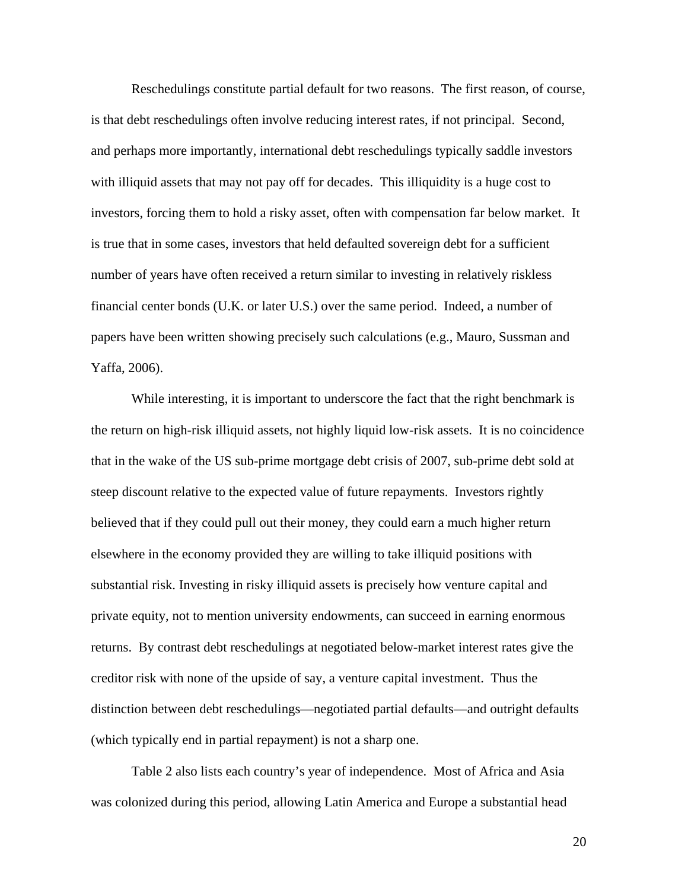Reschedulings constitute partial default for two reasons. The first reason, of course, is that debt reschedulings often involve reducing interest rates, if not principal. Second, and perhaps more importantly, international debt reschedulings typically saddle investors with illiquid assets that may not pay off for decades. This illiquidity is a huge cost to investors, forcing them to hold a risky asset, often with compensation far below market. It is true that in some cases, investors that held defaulted sovereign debt for a sufficient number of years have often received a return similar to investing in relatively riskless financial center bonds (U.K. or later U.S.) over the same period. Indeed, a number of papers have been written showing precisely such calculations (e.g., Mauro, Sussman and Yaffa, 2006).

While interesting, it is important to underscore the fact that the right benchmark is the return on high-risk illiquid assets, not highly liquid low-risk assets. It is no coincidence that in the wake of the US sub-prime mortgage debt crisis of 2007, sub-prime debt sold at steep discount relative to the expected value of future repayments. Investors rightly believed that if they could pull out their money, they could earn a much higher return elsewhere in the economy provided they are willing to take illiquid positions with substantial risk. Investing in risky illiquid assets is precisely how venture capital and private equity, not to mention university endowments, can succeed in earning enormous returns. By contrast debt reschedulings at negotiated below-market interest rates give the creditor risk with none of the upside of say, a venture capital investment. Thus the distinction between debt reschedulings—negotiated partial defaults—and outright defaults (which typically end in partial repayment) is not a sharp one.

Table 2 also lists each country's year of independence. Most of Africa and Asia was colonized during this period, allowing Latin America and Europe a substantial head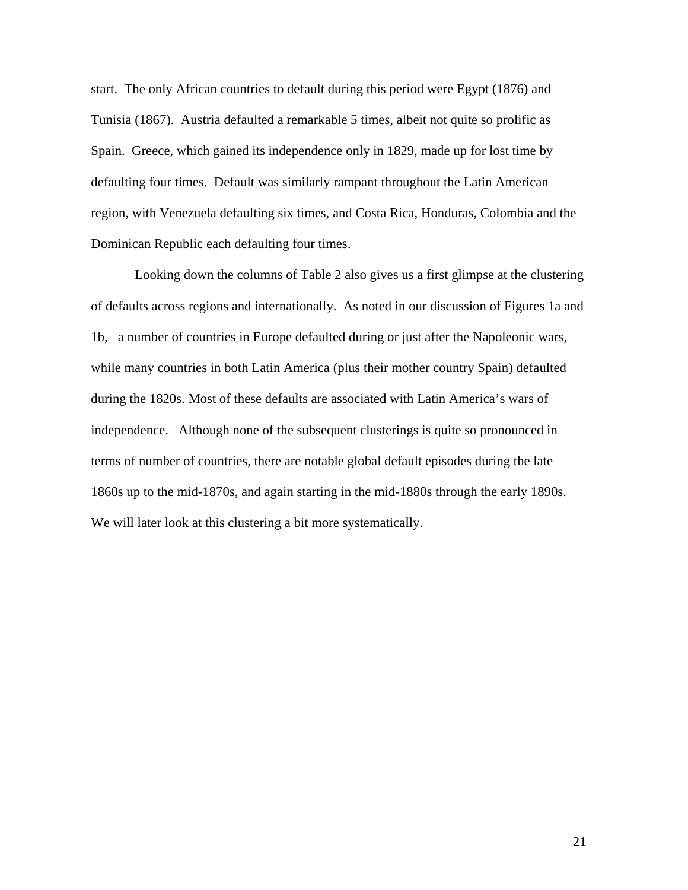start. The only African countries to default during this period were Egypt (1876) and Tunisia (1867). Austria defaulted a remarkable 5 times, albeit not quite so prolific as Spain. Greece, which gained its independence only in 1829, made up for lost time by defaulting four times. Default was similarly rampant throughout the Latin American region, with Venezuela defaulting six times, and Costa Rica, Honduras, Colombia and the Dominican Republic each defaulting four times.

 Looking down the columns of Table 2 also gives us a first glimpse at the clustering of defaults across regions and internationally. As noted in our discussion of Figures 1a and 1b, a number of countries in Europe defaulted during or just after the Napoleonic wars, while many countries in both Latin America (plus their mother country Spain) defaulted during the 1820s. Most of these defaults are associated with Latin America's wars of independence. Although none of the subsequent clusterings is quite so pronounced in terms of number of countries, there are notable global default episodes during the late 1860s up to the mid-1870s, and again starting in the mid-1880s through the early 1890s. We will later look at this clustering a bit more systematically.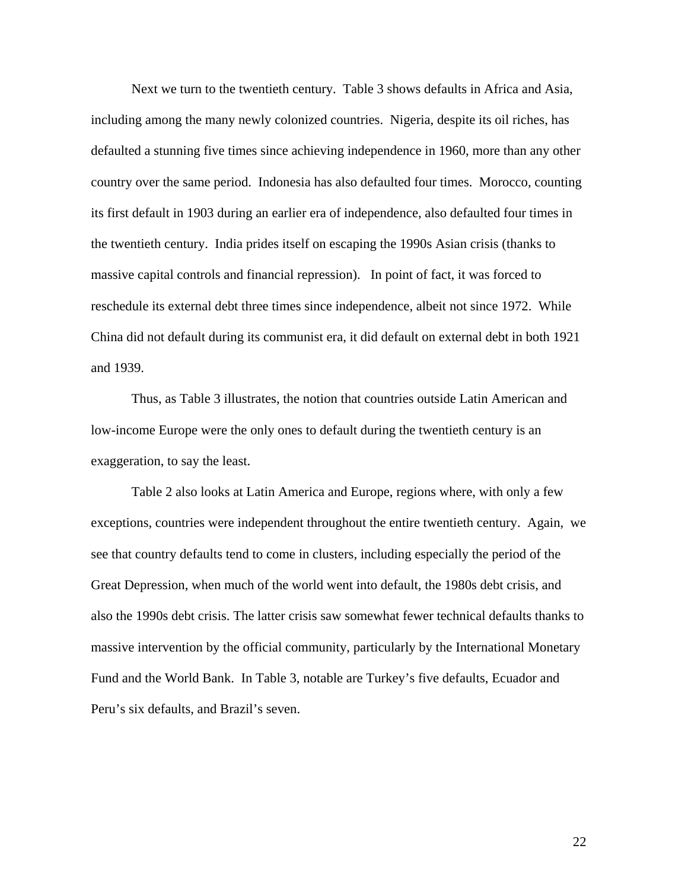Next we turn to the twentieth century. Table 3 shows defaults in Africa and Asia, including among the many newly colonized countries. Nigeria, despite its oil riches, has defaulted a stunning five times since achieving independence in 1960, more than any other country over the same period. Indonesia has also defaulted four times. Morocco, counting its first default in 1903 during an earlier era of independence, also defaulted four times in the twentieth century. India prides itself on escaping the 1990s Asian crisis (thanks to massive capital controls and financial repression). In point of fact, it was forced to reschedule its external debt three times since independence, albeit not since 1972. While China did not default during its communist era, it did default on external debt in both 1921 and 1939.

Thus, as Table 3 illustrates, the notion that countries outside Latin American and low-income Europe were the only ones to default during the twentieth century is an exaggeration, to say the least.

Table 2 also looks at Latin America and Europe, regions where, with only a few exceptions, countries were independent throughout the entire twentieth century. Again, we see that country defaults tend to come in clusters, including especially the period of the Great Depression, when much of the world went into default, the 1980s debt crisis, and also the 1990s debt crisis. The latter crisis saw somewhat fewer technical defaults thanks to massive intervention by the official community, particularly by the International Monetary Fund and the World Bank. In Table 3, notable are Turkey's five defaults, Ecuador and Peru's six defaults, and Brazil's seven.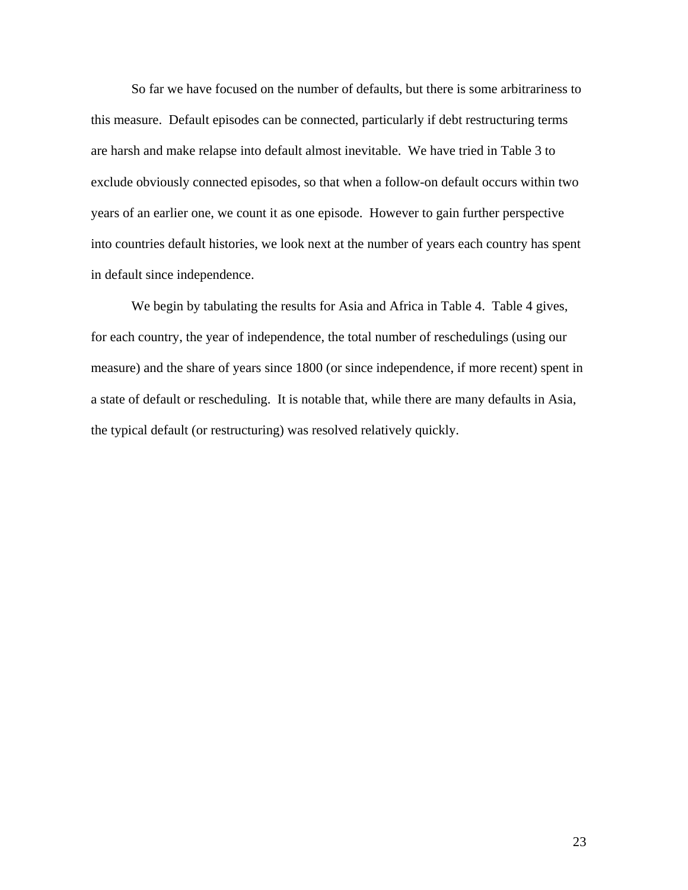So far we have focused on the number of defaults, but there is some arbitrariness to this measure. Default episodes can be connected, particularly if debt restructuring terms are harsh and make relapse into default almost inevitable. We have tried in Table 3 to exclude obviously connected episodes, so that when a follow-on default occurs within two years of an earlier one, we count it as one episode. However to gain further perspective into countries default histories, we look next at the number of years each country has spent in default since independence.

We begin by tabulating the results for Asia and Africa in Table 4. Table 4 gives, for each country, the year of independence, the total number of reschedulings (using our measure) and the share of years since 1800 (or since independence, if more recent) spent in a state of default or rescheduling. It is notable that, while there are many defaults in Asia, the typical default (or restructuring) was resolved relatively quickly.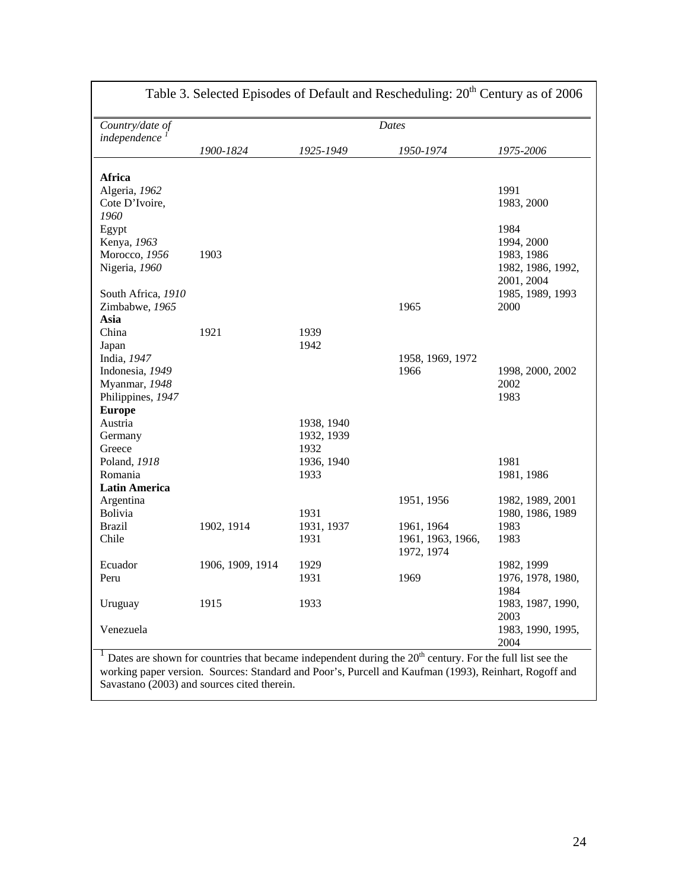| Country/date of         |                  |            | <b>Dates</b>                                                                                                         |                           |
|-------------------------|------------------|------------|----------------------------------------------------------------------------------------------------------------------|---------------------------|
| independence            | 1900-1824        | 1925-1949  | 1950-1974                                                                                                            | 1975-2006                 |
|                         |                  |            |                                                                                                                      |                           |
| Africa<br>Algeria, 1962 |                  |            |                                                                                                                      | 1991                      |
| Cote D'Ivoire,          |                  |            |                                                                                                                      | 1983, 2000                |
| 1960                    |                  |            |                                                                                                                      |                           |
| Egypt                   |                  |            |                                                                                                                      | 1984                      |
| Kenya, 1963             |                  |            |                                                                                                                      | 1994, 2000                |
| Morocco, 1956           | 1903             |            |                                                                                                                      | 1983, 1986                |
| Nigeria, 1960           |                  |            |                                                                                                                      | 1982, 1986, 1992,         |
|                         |                  |            |                                                                                                                      | 2001, 2004                |
| South Africa, 1910      |                  |            |                                                                                                                      | 1985, 1989, 1993          |
| Zimbabwe, 1965          |                  |            | 1965                                                                                                                 | 2000                      |
| Asia                    |                  |            |                                                                                                                      |                           |
| China                   | 1921             | 1939       |                                                                                                                      |                           |
| Japan                   |                  | 1942       |                                                                                                                      |                           |
| India, 1947             |                  |            | 1958, 1969, 1972                                                                                                     |                           |
| Indonesia, 1949         |                  |            | 1966                                                                                                                 | 1998, 2000, 2002          |
| Myanmar, 1948           |                  |            |                                                                                                                      | 2002                      |
| Philippines, 1947       |                  |            |                                                                                                                      | 1983                      |
| <b>Europe</b>           |                  |            |                                                                                                                      |                           |
| Austria                 |                  | 1938, 1940 |                                                                                                                      |                           |
| Germany                 |                  | 1932, 1939 |                                                                                                                      |                           |
| Greece                  |                  | 1932       |                                                                                                                      |                           |
| Poland, 1918            |                  | 1936, 1940 |                                                                                                                      | 1981                      |
| Romania                 |                  | 1933       |                                                                                                                      | 1981, 1986                |
| <b>Latin America</b>    |                  |            |                                                                                                                      |                           |
| Argentina               |                  |            | 1951, 1956                                                                                                           | 1982, 1989, 2001          |
| Bolivia                 |                  | 1931       |                                                                                                                      | 1980, 1986, 1989          |
| <b>Brazil</b>           | 1902, 1914       | 1931, 1937 | 1961, 1964                                                                                                           | 1983                      |
| Chile                   |                  | 1931       | 1961, 1963, 1966,                                                                                                    | 1983                      |
|                         |                  |            | 1972, 1974                                                                                                           |                           |
| Ecuador                 | 1906, 1909, 1914 | 1929       |                                                                                                                      | 1982, 1999                |
| Peru                    |                  | 1931       | 1969                                                                                                                 | 1976, 1978, 1980,<br>1984 |
|                         |                  |            |                                                                                                                      |                           |
| Uruguay                 | 1915             | 1933       |                                                                                                                      | 1983, 1987, 1990,<br>2003 |
| Venezuela               |                  |            |                                                                                                                      | 1983, 1990, 1995,         |
|                         |                  |            |                                                                                                                      | 2004                      |
|                         |                  |            | Dates are shown for countries that became independent during the 20 <sup>th</sup> century. For the full list see the |                           |

Table 3. Selected Episodes of Default and Rescheduling:  $20<sup>th</sup>$  Century as of 2006

working paper version. Sources: Standard and Poor's, Purcell and Kaufman (1993), Reinhart, Rogoff and Savastano (2003) and sources cited therein.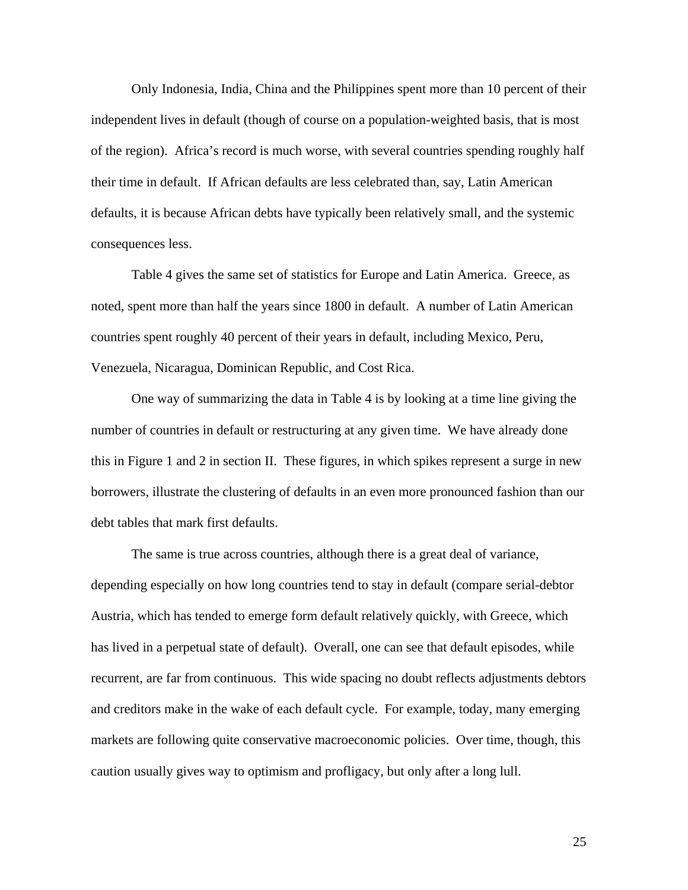Only Indonesia, India, China and the Philippines spent more than 10 percent of their independent lives in default (though of course on a population-weighted basis, that is most of the region). Africa's record is much worse, with several countries spending roughly half their time in default. If African defaults are less celebrated than, say, Latin American defaults, it is because African debts have typically been relatively small, and the systemic consequences less.

 Table 4 gives the same set of statistics for Europe and Latin America. Greece, as noted, spent more than half the years since 1800 in default. A number of Latin American countries spent roughly 40 percent of their years in default, including Mexico, Peru, Venezuela, Nicaragua, Dominican Republic, and Cost Rica.

One way of summarizing the data in Table 4 is by looking at a time line giving the number of countries in default or restructuring at any given time. We have already done this in Figure 1 and 2 in section II. These figures, in which spikes represent a surge in new borrowers, illustrate the clustering of defaults in an even more pronounced fashion than our debt tables that mark first defaults.

The same is true across countries, although there is a great deal of variance, depending especially on how long countries tend to stay in default (compare serial-debtor Austria, which has tended to emerge form default relatively quickly, with Greece, which has lived in a perpetual state of default). Overall, one can see that default episodes, while recurrent, are far from continuous. This wide spacing no doubt reflects adjustments debtors and creditors make in the wake of each default cycle. For example, today, many emerging markets are following quite conservative macroeconomic policies. Over time, though, this caution usually gives way to optimism and profligacy, but only after a long lull.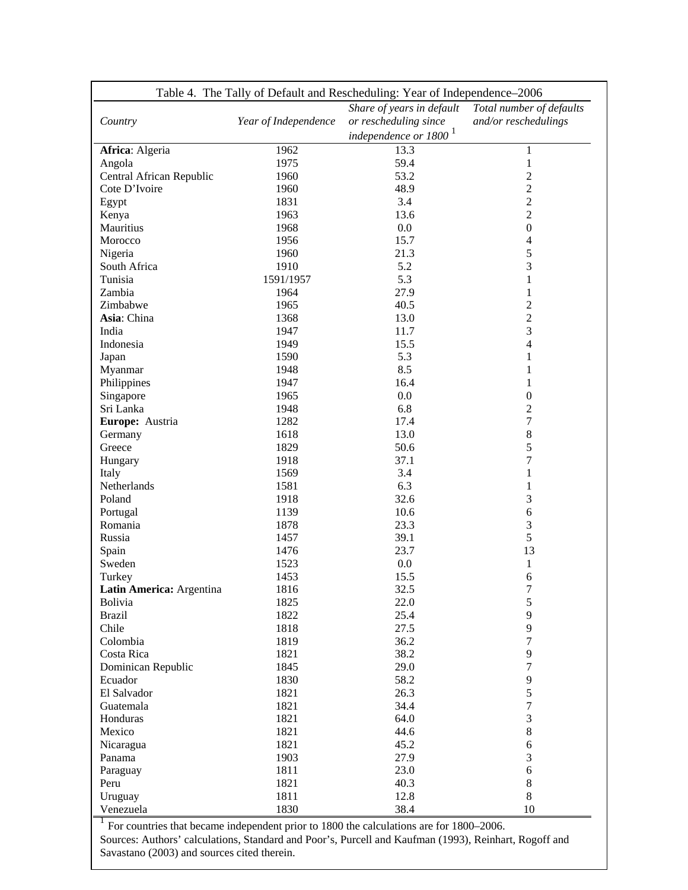|                          |                      | Table 4. The Tally of Default and Rescheduling: Year of Independence-2006 |                          |
|--------------------------|----------------------|---------------------------------------------------------------------------|--------------------------|
|                          |                      | Share of years in default                                                 | Total number of defaults |
| Country                  | Year of Independence | or rescheduling since                                                     | and/or reschedulings     |
|                          |                      | independence or 1800 <sup>1</sup>                                         |                          |
| Africa: Algeria          | 1962                 | 13.3                                                                      | $\mathbf{1}$             |
| Angola                   | 1975                 | 59.4                                                                      | $\mathbf{1}$             |
| Central African Republic | 1960                 | 53.2                                                                      | $\overline{c}$           |
| Cote D'Ivoire            | 1960                 | 48.9                                                                      | $\overline{c}$           |
| Egypt                    | 1831                 | 3.4                                                                       | $\overline{2}$           |
| Kenya                    | 1963                 | 13.6                                                                      | $\overline{2}$           |
| Mauritius                | 1968                 | 0.0                                                                       | $\boldsymbol{0}$         |
| Morocco                  | 1956                 | 15.7                                                                      | $\overline{4}$           |
| Nigeria                  | 1960                 | 21.3                                                                      | 5                        |
| South Africa             | 1910                 | 5.2                                                                       | 3                        |
| Tunisia                  | 1591/1957            | 5.3                                                                       | $\mathbf{1}$             |
| Zambia                   | 1964                 | 27.9                                                                      | $\mathbf{1}$             |
| Zimbabwe                 | 1965                 | 40.5                                                                      | $\overline{c}$           |
| Asia: China              | 1368                 | 13.0                                                                      | $\overline{c}$           |
| India                    | 1947                 | 11.7                                                                      | 3                        |
| Indonesia                | 1949                 | 15.5                                                                      | $\overline{4}$           |
| Japan                    | 1590                 | 5.3                                                                       | $\mathbf{1}$             |
| Myanmar                  | 1948                 | 8.5                                                                       | $\mathbf{1}$             |
| Philippines              | 1947                 | 16.4                                                                      | $\mathbf{1}$             |
| Singapore                | 1965                 | 0.0                                                                       | $\boldsymbol{0}$         |
| Sri Lanka                | 1948                 | 6.8                                                                       | $\overline{c}$           |
| Europe: Austria          | 1282                 | 17.4                                                                      | $\boldsymbol{7}$         |
| Germany                  | 1618                 | 13.0                                                                      | $\,$ 8 $\,$              |
| Greece                   | 1829                 | 50.6                                                                      | 5                        |
| Hungary                  | 1918                 | 37.1                                                                      | $\overline{7}$           |
| Italy                    | 1569                 | 3.4                                                                       | 1                        |
| Netherlands              | 1581                 | 6.3                                                                       | 1                        |
| Poland                   | 1918                 | 32.6                                                                      | 3                        |
| Portugal                 | 1139                 | 10.6                                                                      | 6                        |
| Romania                  | 1878                 | 23.3                                                                      | 3                        |
| Russia                   | 1457                 | 39.1                                                                      | 5                        |
|                          | 1476                 | 23.7                                                                      | 13                       |
| Spain<br>Sweden          | 1523                 | 0.0                                                                       |                          |
|                          | 1453                 | 15.5                                                                      | $\mathbf{1}$<br>6        |
| Turkey                   |                      |                                                                           |                          |
| Latin America: Argentina | 1816                 | 32.5                                                                      | 7                        |
| <b>Bolivia</b>           | 1825<br>1822         | 22.0<br>25.4                                                              | 5<br>9                   |
| <b>Brazil</b>            |                      |                                                                           |                          |
| Chile                    | 1818                 | 27.5                                                                      | 9                        |
| Colombia                 | 1819                 | 36.2                                                                      | $\overline{7}$           |
| Costa Rica               | 1821                 | 38.2                                                                      | 9                        |
| Dominican Republic       | 1845                 | 29.0                                                                      | 7                        |
| Ecuador                  | 1830                 | 58.2                                                                      | 9                        |
| El Salvador              | 1821                 | 26.3                                                                      | 5                        |
| Guatemala                | 1821                 | 34.4                                                                      | $\boldsymbol{7}$         |
| Honduras                 | 1821                 | 64.0                                                                      | $\mathfrak{Z}$           |
| Mexico                   | 1821                 | 44.6                                                                      | $\,$ 8 $\,$              |
| Nicaragua                | 1821                 | 45.2                                                                      | $\epsilon$               |
| Panama                   | 1903                 | 27.9                                                                      | 3                        |
| Paraguay                 | 1811                 | 23.0                                                                      | $\sqrt{6}$               |
| Peru                     | 1821                 | 40.3                                                                      | $\,8\,$                  |
| Uruguay                  | 1811                 | 12.8                                                                      | 8                        |
| Venezuela                | 1830                 | 38.4                                                                      | 10                       |

 $1$  For countries that became independent prior to 1800 the calculations are for 1800–2006. Sources: Authors' calculations, Standard and Poor's, Purcell and Kaufman (1993), Reinhart, Rogoff and Savastano (2003) and sources cited therein.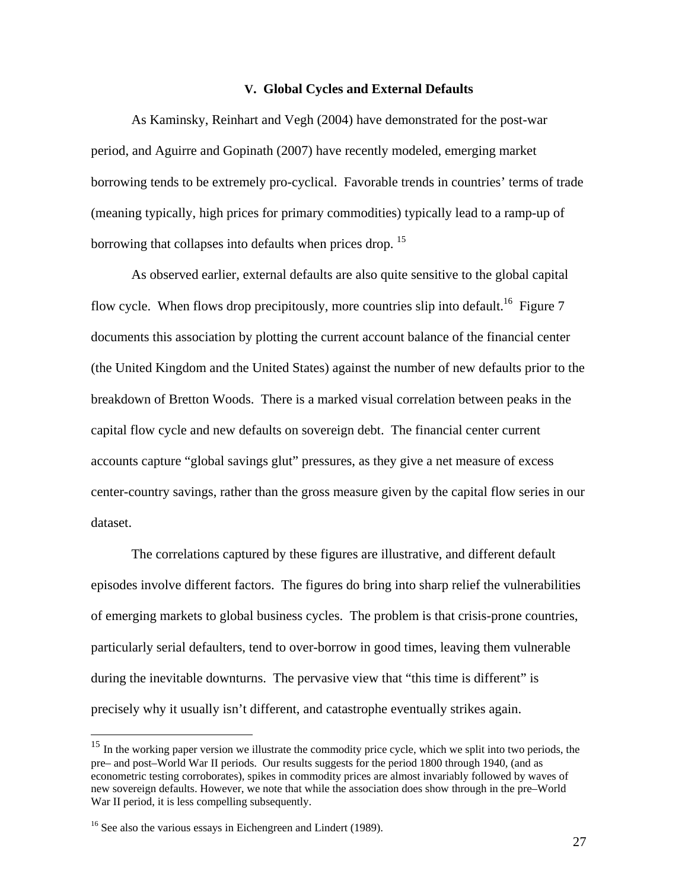## **V. Global Cycles and External Defaults**

As Kaminsky, Reinhart and Vegh (2004) have demonstrated for the post-war period, and Aguirre and Gopinath (2007) have recently modeled, emerging market borrowing tends to be extremely pro-cyclical. Favorable trends in countries' terms of trade (meaning typically, high prices for primary commodities) typically lead to a ramp-up of borrowing that collapses into defaults when prices drop.<sup>15</sup>

As observed earlier, external defaults are also quite sensitive to the global capital flow cycle. When flows drop precipitously, more countries slip into default.<sup>16</sup> Figure 7 documents this association by plotting the current account balance of the financial center (the United Kingdom and the United States) against the number of new defaults prior to the breakdown of Bretton Woods. There is a marked visual correlation between peaks in the capital flow cycle and new defaults on sovereign debt. The financial center current accounts capture "global savings glut" pressures, as they give a net measure of excess center-country savings, rather than the gross measure given by the capital flow series in our dataset.

The correlations captured by these figures are illustrative, and different default episodes involve different factors. The figures do bring into sharp relief the vulnerabilities of emerging markets to global business cycles. The problem is that crisis-prone countries, particularly serial defaulters, tend to over-borrow in good times, leaving them vulnerable during the inevitable downturns. The pervasive view that "this time is different" is precisely why it usually isn't different, and catastrophe eventually strikes again.

 $\overline{a}$ 

<sup>&</sup>lt;sup>15</sup> In the working paper version we illustrate the commodity price cycle, which we split into two periods, the pre– and post–World War II periods. Our results suggests for the period 1800 through 1940, (and as econometric testing corroborates), spikes in commodity prices are almost invariably followed by waves of new sovereign defaults. However, we note that while the association does show through in the pre–World War II period, it is less compelling subsequently.

 $16$  See also the various essays in Eichengreen and Lindert (1989).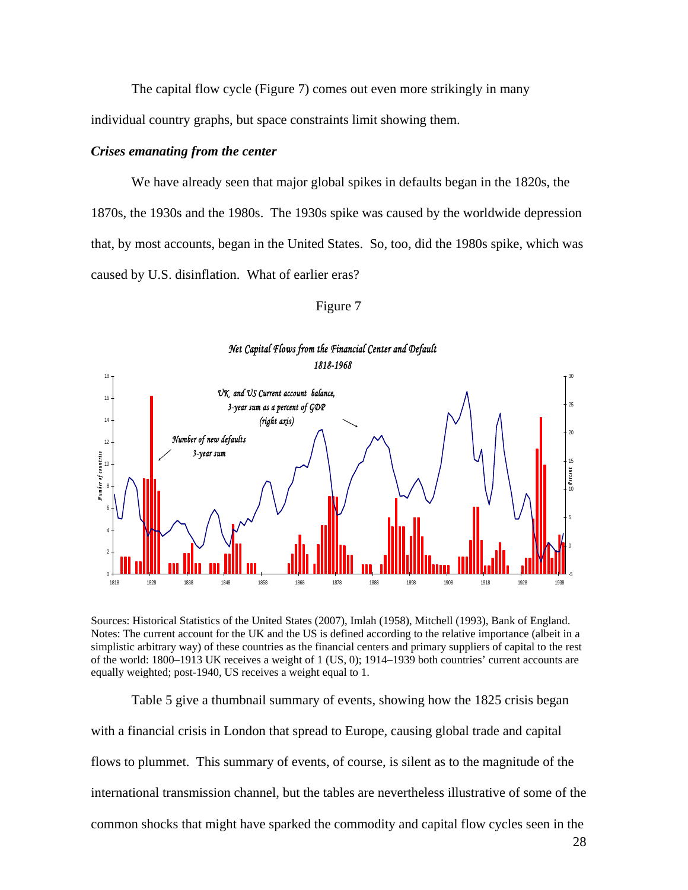The capital flow cycle (Figure 7) comes out even more strikingly in many individual country graphs, but space constraints limit showing them.

#### *Crises emanating from the center*

We have already seen that major global spikes in defaults began in the 1820s, the 1870s, the 1930s and the 1980s. The 1930s spike was caused by the worldwide depression that, by most accounts, began in the United States. So, too, did the 1980s spike, which was caused by U.S. disinflation. What of earlier eras?



| H<br>н |  |
|--------|--|
|        |  |

Sources: Historical Statistics of the United States (2007), Imlah (1958), Mitchell (1993), Bank of England. Notes: The current account for the UK and the US is defined according to the relative importance (albeit in a simplistic arbitrary way) of these countries as the financial centers and primary suppliers of capital to the rest of the world: 1800–1913 UK receives a weight of 1 (US, 0); 1914–1939 both countries' current accounts are equally weighted; post-1940, US receives a weight equal to 1.

Table 5 give a thumbnail summary of events, showing how the 1825 crisis began with a financial crisis in London that spread to Europe, causing global trade and capital flows to plummet. This summary of events, of course, is silent as to the magnitude of the international transmission channel, but the tables are nevertheless illustrative of some of the common shocks that might have sparked the commodity and capital flow cycles seen in the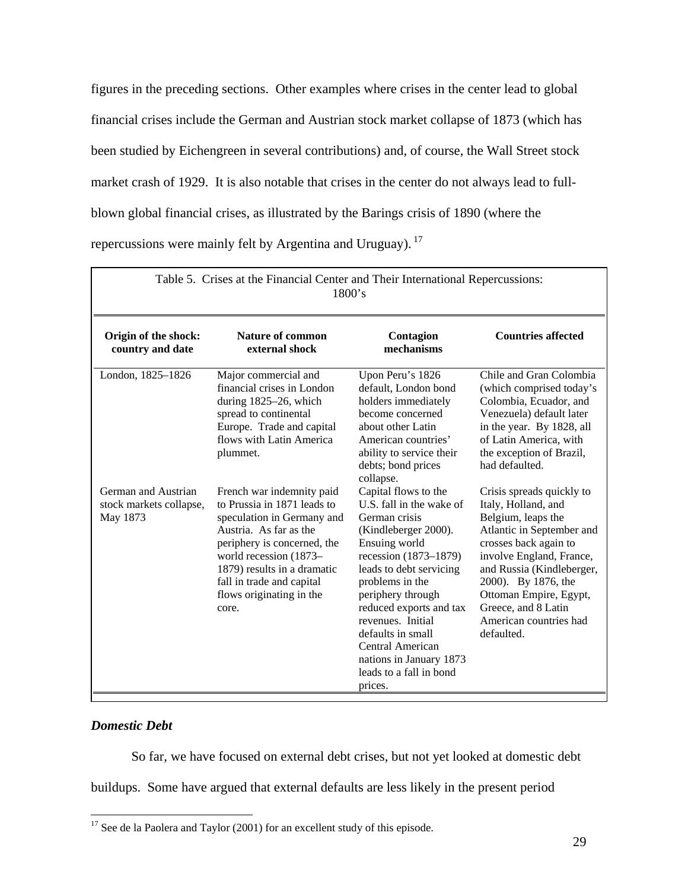figures in the preceding sections. Other examples where crises in the center lead to global financial crises include the German and Austrian stock market collapse of 1873 (which has been studied by Eichengreen in several contributions) and, of course, the Wall Street stock market crash of 1929. It is also notable that crises in the center do not always lead to fullblown global financial crises, as illustrated by the Barings crisis of 1890 (where the repercussions were mainly felt by Argentina and Uruguay). 17

|                                                            | Table 5. Crises at the Financial Center and Their International Repercussions:<br>1800's                                                                                                                                                                                   |                                                                                                                                                                                                                                                                                                                                                                  |                                                                                                                                                                                                                                                                                                       |  |  |  |
|------------------------------------------------------------|----------------------------------------------------------------------------------------------------------------------------------------------------------------------------------------------------------------------------------------------------------------------------|------------------------------------------------------------------------------------------------------------------------------------------------------------------------------------------------------------------------------------------------------------------------------------------------------------------------------------------------------------------|-------------------------------------------------------------------------------------------------------------------------------------------------------------------------------------------------------------------------------------------------------------------------------------------------------|--|--|--|
| Origin of the shock:<br>country and date                   | Nature of common<br>external shock                                                                                                                                                                                                                                         | Contagion<br>mechanisms                                                                                                                                                                                                                                                                                                                                          | <b>Countries affected</b>                                                                                                                                                                                                                                                                             |  |  |  |
| London, 1825-1826                                          | Major commercial and<br>financial crises in London<br>during $1825-26$ , which<br>spread to continental<br>Europe. Trade and capital<br>flows with Latin America<br>plummet.                                                                                               | Upon Peru's 1826<br>default, London bond<br>holders immediately<br>become concerned<br>about other Latin<br>American countries'<br>ability to service their<br>debts; bond prices<br>collapse.                                                                                                                                                                   | Chile and Gran Colombia<br>(which comprised today's<br>Colombia, Ecuador, and<br>Venezuela) default later<br>in the year. By 1828, all<br>of Latin America, with<br>the exception of Brazil,<br>had defaulted.                                                                                        |  |  |  |
| German and Austrian<br>stock markets collapse,<br>May 1873 | French war indemnity paid<br>to Prussia in 1871 leads to<br>speculation in Germany and<br>Austria. As far as the<br>periphery is concerned, the<br>world recession (1873-<br>1879) results in a dramatic<br>fall in trade and capital<br>flows originating in the<br>core. | Capital flows to the<br>U.S. fall in the wake of<br>German crisis<br>(Kindleberger 2000).<br>Ensuing world<br>recession (1873-1879)<br>leads to debt servicing<br>problems in the<br>periphery through<br>reduced exports and tax<br>revenues. Initial<br>defaults in small<br>Central American<br>nations in January 1873<br>leads to a fall in bond<br>prices. | Crisis spreads quickly to<br>Italy, Holland, and<br>Belgium, leaps the<br>Atlantic in September and<br>crosses back again to<br>involve England, France,<br>and Russia (Kindleberger,<br>2000). By 1876, the<br>Ottoman Empire, Egypt,<br>Greece, and 8 Latin<br>American countries had<br>defaulted. |  |  |  |

## *Domestic Debt*

So far, we have focused on external debt crises, but not yet looked at domestic debt

buildups. Some have argued that external defaults are less likely in the present period

 $\overline{a}$  $17$  See de la Paolera and Taylor (2001) for an excellent study of this episode.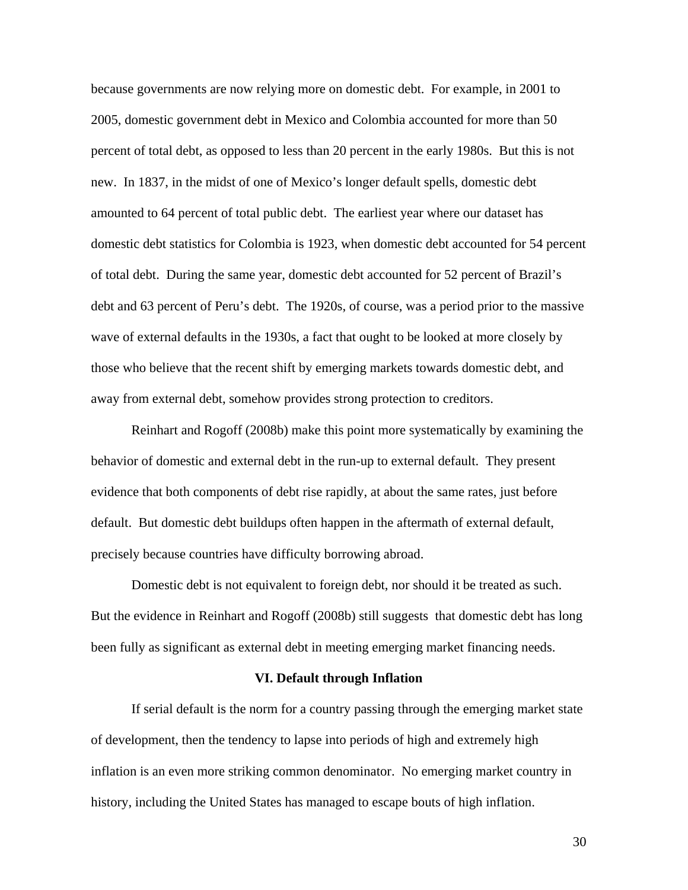because governments are now relying more on domestic debt. For example, in 2001 to 2005, domestic government debt in Mexico and Colombia accounted for more than 50 percent of total debt, as opposed to less than 20 percent in the early 1980s. But this is not new. In 1837, in the midst of one of Mexico's longer default spells, domestic debt amounted to 64 percent of total public debt. The earliest year where our dataset has domestic debt statistics for Colombia is 1923, when domestic debt accounted for 54 percent of total debt. During the same year, domestic debt accounted for 52 percent of Brazil's debt and 63 percent of Peru's debt. The 1920s, of course, was a period prior to the massive wave of external defaults in the 1930s, a fact that ought to be looked at more closely by those who believe that the recent shift by emerging markets towards domestic debt, and away from external debt, somehow provides strong protection to creditors.

Reinhart and Rogoff (2008b) make this point more systematically by examining the behavior of domestic and external debt in the run-up to external default. They present evidence that both components of debt rise rapidly, at about the same rates, just before default. But domestic debt buildups often happen in the aftermath of external default, precisely because countries have difficulty borrowing abroad.

Domestic debt is not equivalent to foreign debt, nor should it be treated as such. But the evidence in Reinhart and Rogoff (2008b) still suggests that domestic debt has long been fully as significant as external debt in meeting emerging market financing needs.

## **VI. Default through Inflation**

 If serial default is the norm for a country passing through the emerging market state of development, then the tendency to lapse into periods of high and extremely high inflation is an even more striking common denominator. No emerging market country in history, including the United States has managed to escape bouts of high inflation.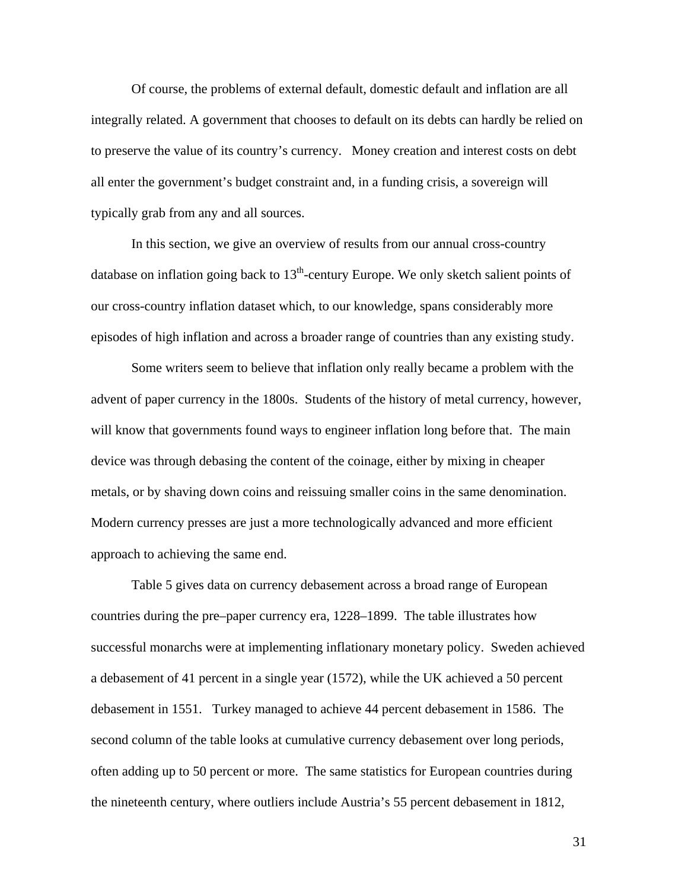Of course, the problems of external default, domestic default and inflation are all integrally related. A government that chooses to default on its debts can hardly be relied on to preserve the value of its country's currency. Money creation and interest costs on debt all enter the government's budget constraint and, in a funding crisis, a sovereign will typically grab from any and all sources.

 In this section, we give an overview of results from our annual cross-country database on inflation going back to  $13<sup>th</sup>$ -century Europe. We only sketch salient points of our cross-country inflation dataset which, to our knowledge, spans considerably more episodes of high inflation and across a broader range of countries than any existing study.

 Some writers seem to believe that inflation only really became a problem with the advent of paper currency in the 1800s. Students of the history of metal currency, however, will know that governments found ways to engineer inflation long before that. The main device was through debasing the content of the coinage, either by mixing in cheaper metals, or by shaving down coins and reissuing smaller coins in the same denomination. Modern currency presses are just a more technologically advanced and more efficient approach to achieving the same end.

Table 5 gives data on currency debasement across a broad range of European countries during the pre–paper currency era, 1228–1899. The table illustrates how successful monarchs were at implementing inflationary monetary policy. Sweden achieved a debasement of 41 percent in a single year (1572), while the UK achieved a 50 percent debasement in 1551. Turkey managed to achieve 44 percent debasement in 1586. The second column of the table looks at cumulative currency debasement over long periods, often adding up to 50 percent or more. The same statistics for European countries during the nineteenth century, where outliers include Austria's 55 percent debasement in 1812,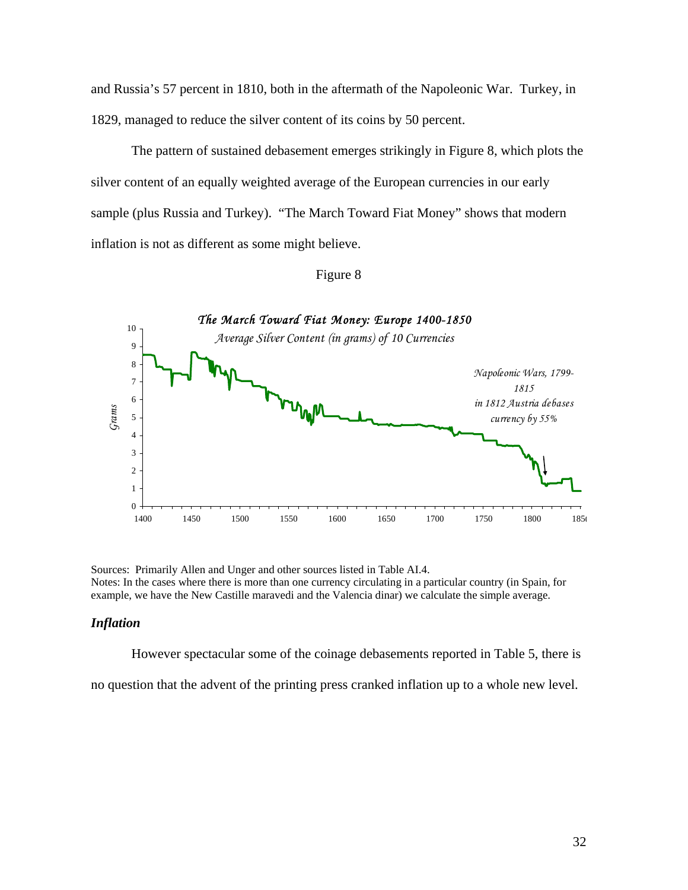and Russia's 57 percent in 1810, both in the aftermath of the Napoleonic War. Turkey, in 1829, managed to reduce the silver content of its coins by 50 percent.

The pattern of sustained debasement emerges strikingly in Figure 8, which plots the silver content of an equally weighted average of the European currencies in our early sample (plus Russia and Turkey). "The March Toward Fiat Money" shows that modern inflation is not as different as some might believe.



## Figure 8

Sources: Primarily Allen and Unger and other sources listed in Table AI.4. Notes: In the cases where there is more than one currency circulating in a particular country (in Spain, for example, we have the New Castille maravedi and the Valencia dinar) we calculate the simple average.

#### *Inflation*

However spectacular some of the coinage debasements reported in Table 5, there is

no question that the advent of the printing press cranked inflation up to a whole new level.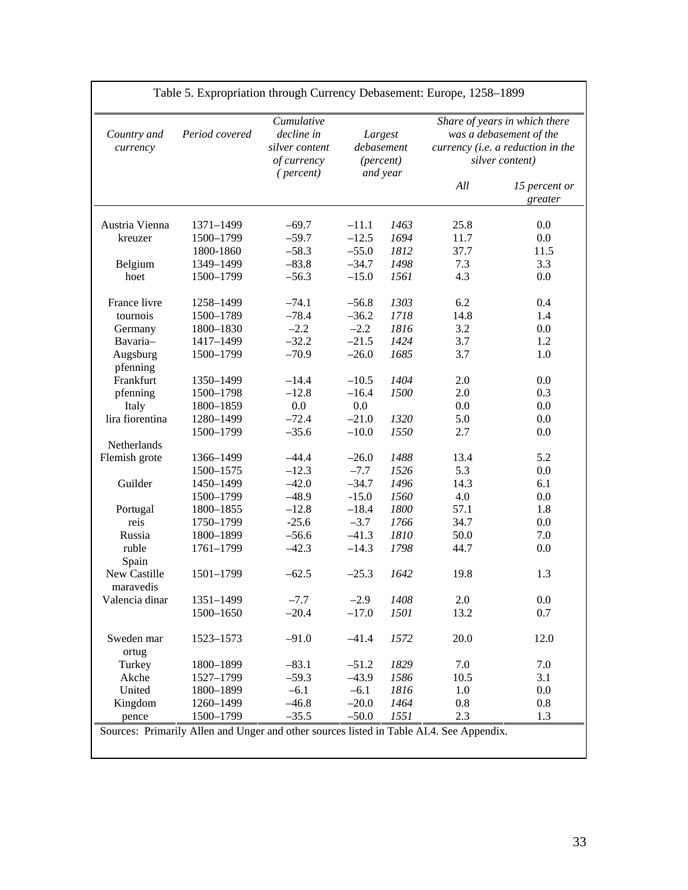| Country and<br>currency  | Period covered         | Cumulative<br>decline in<br>silver content<br>of currency<br>(percent) |                    | Largest<br>debasement<br>(percent)<br>and year | Share of years in which there<br>was a debasement of the<br>currency (i.e. a reduction in the<br>silver content) |                          |
|--------------------------|------------------------|------------------------------------------------------------------------|--------------------|------------------------------------------------|------------------------------------------------------------------------------------------------------------------|--------------------------|
|                          |                        |                                                                        |                    |                                                | All                                                                                                              | 15 percent or<br>greater |
| Austria Vienna           | 1371-1499              | $-69.7$                                                                | $-11.1$            | 1463                                           | 25.8                                                                                                             | 0.0                      |
| kreuzer                  | 1500-1799              | $-59.7$                                                                | $-12.5$            | 1694                                           | 11.7                                                                                                             | 0.0                      |
|                          | 1800-1860              | $-58.3$                                                                | $-55.0$            | 1812                                           | 37.7                                                                                                             | 11.5                     |
| Belgium                  | 1349-1499              | $-83.8$                                                                | $-34.7$            | 1498                                           | 7.3                                                                                                              | 3.3                      |
| hoet                     | 1500-1799              | $-56.3$                                                                | $-15.0$            | 1561                                           | 4.3                                                                                                              | 0.0                      |
| France livre             | 1258-1499              | $-74.1$                                                                | $-56.8$            | 1303                                           | 6.2                                                                                                              | 0.4                      |
| tournois                 | 1500-1789              | $-78.4$                                                                | $-36.2$            | 1718                                           | 14.8                                                                                                             | 1.4                      |
| Germany                  | 1800-1830              | $-2.2$                                                                 | $-2.2$             | 1816                                           | 3.2                                                                                                              | 0.0                      |
| Bavaria-                 | 1417-1499              | $-32.2$                                                                | $-21.5$            | 1424                                           | 3.7                                                                                                              | 1.2                      |
| Augsburg<br>pfenning     | 1500-1799              | $-70.9$                                                                | $-26.0$            | 1685                                           | 3.7                                                                                                              | 1.0                      |
| Frankfurt                | 1350-1499              | $-14.4$                                                                | $-10.5$            | 1404                                           | 2.0                                                                                                              | 0.0                      |
|                          | 1500-1798              | $-12.8$                                                                | $-16.4$            | 1500                                           | 2.0                                                                                                              | 0.3                      |
| pfenning                 | 1800-1859              |                                                                        |                    |                                                |                                                                                                                  |                          |
| Italy<br>lira fiorentina |                        | 0.0<br>$-72.4$                                                         | $0.0\,$<br>$-21.0$ | 1320                                           | 0.0<br>5.0                                                                                                       | 0.0<br>0.0               |
|                          | 1280-1499              | $-35.6$                                                                | $-10.0$            | 1550                                           | 2.7                                                                                                              | 0.0                      |
| Netherlands              | 1500-1799              |                                                                        |                    |                                                |                                                                                                                  |                          |
| Flemish grote            | 1366-1499              | $-44.4$                                                                | $-26.0$            | 1488                                           | 13.4                                                                                                             | 5.2                      |
|                          | 1500-1575              | $-12.3$                                                                | $-7.7$             | 1526                                           | 5.3                                                                                                              | 0.0                      |
| Guilder                  |                        | $-42.0$                                                                | $-34.7$            | 1496                                           | 14.3                                                                                                             |                          |
|                          | 1450-1499<br>1500-1799 | $-48.9$                                                                | $-15.0$            | 1560                                           | 4.0                                                                                                              | 6.1<br>0.0               |
|                          | 1800-1855              | $-12.8$                                                                | $-18.4$            | 1800                                           | 57.1                                                                                                             | 1.8                      |
| Portugal                 |                        | $-25.6$                                                                | $-3.7$             | 1766                                           | 34.7                                                                                                             |                          |
| reis<br>Russia           | 1750-1799              | $-56.6$                                                                |                    | 1810                                           | 50.0                                                                                                             | 0.0                      |
| ruble                    | 1800-1899              |                                                                        | $-41.3$            | 1798                                           | 44.7                                                                                                             | 7.0<br>0.0               |
|                          | 1761-1799              | $-42.3$                                                                | $-14.3$            |                                                |                                                                                                                  |                          |
| Spain<br>New Castille    | 1501-1799              | $-62.5$                                                                | $-25.3$            | 1642                                           | 19.8                                                                                                             | 1.3                      |
| maravedis                |                        |                                                                        |                    |                                                |                                                                                                                  |                          |
| Valencia dinar           | 1351-1499              | $-7.7$                                                                 | $-2.9$             | 1408                                           | 2.0                                                                                                              | $0.0\,$                  |
|                          | 1500-1650              | $-20.4$                                                                | $-17.0$            | 1501                                           | 13.2                                                                                                             | 0.7                      |
| Sweden mar<br>ortug      | 1523-1573              | $-91.0$                                                                | $-41.4$            | 1572                                           | 20.0                                                                                                             | 12.0                     |
| Turkey                   | 1800-1899              | $-83.1$                                                                | $-51.2$            | 1829                                           | 7.0                                                                                                              | 7.0                      |
| Akche                    | 1527-1799              | $-59.3$                                                                | $-43.9$            | 1586                                           | 10.5                                                                                                             | 3.1                      |
| United                   | 1800-1899              | $-6.1$                                                                 | $-6.1$             | 1816                                           | 1.0                                                                                                              | 0.0                      |
| Kingdom                  | 1260-1499              | $-46.8$                                                                | $-20.0$            | 1464                                           | 0.8                                                                                                              | 0.8                      |
| pence                    | 1500-1799              | $-35.5$                                                                | $-50.0$            | 1551                                           | 2.3                                                                                                              | 1.3                      |

## Table 5. Expropriation through Currency Debasement: Europe, 1258–1899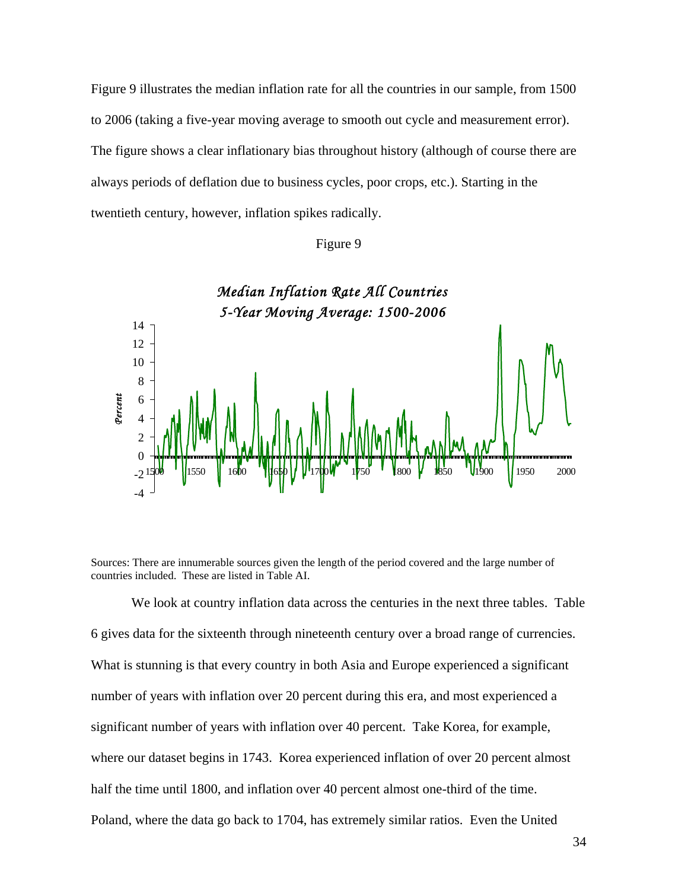Figure 9 illustrates the median inflation rate for all the countries in our sample, from 1500 to 2006 (taking a five-year moving average to smooth out cycle and measurement error). The figure shows a clear inflationary bias throughout history (although of course there are always periods of deflation due to business cycles, poor crops, etc.). Starting in the twentieth century, however, inflation spikes radically.





Sources: There are innumerable sources given the length of the period covered and the large number of countries included. These are listed in Table AI.

We look at country inflation data across the centuries in the next three tables. Table 6 gives data for the sixteenth through nineteenth century over a broad range of currencies. What is stunning is that every country in both Asia and Europe experienced a significant number of years with inflation over 20 percent during this era, and most experienced a significant number of years with inflation over 40 percent. Take Korea, for example, where our dataset begins in 1743. Korea experienced inflation of over 20 percent almost half the time until 1800, and inflation over 40 percent almost one-third of the time. Poland, where the data go back to 1704, has extremely similar ratios. Even the United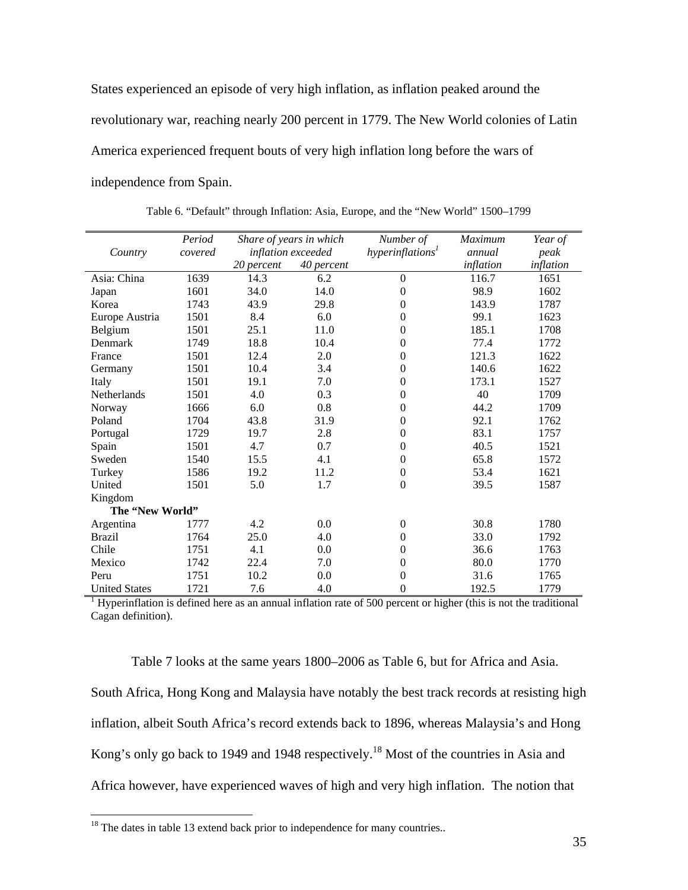States experienced an episode of very high inflation, as inflation peaked around the revolutionary war, reaching nearly 200 percent in 1779. The New World colonies of Latin America experienced frequent bouts of very high inflation long before the wars of independence from Spain.

|                      | Period  | Share of years in which |            | Number of                                                                                                        | <b>Maximum</b> | Year of   |
|----------------------|---------|-------------------------|------------|------------------------------------------------------------------------------------------------------------------|----------------|-----------|
| Country              | covered | inflation exceeded      |            | hyperinflation <sup>1</sup>                                                                                      | annual         | peak      |
|                      |         | 20 percent              | 40 percent |                                                                                                                  | inflation      | inflation |
| Asia: China          | 1639    | 14.3                    | 6.2        | $\boldsymbol{0}$                                                                                                 | 116.7          | 1651      |
| Japan                | 1601    | 34.0                    | 14.0       | $\boldsymbol{0}$                                                                                                 | 98.9           | 1602      |
| Korea                | 1743    | 43.9                    | 29.8       | $\overline{0}$                                                                                                   | 143.9          | 1787      |
| Europe Austria       | 1501    | 8.4                     | 6.0        | $\overline{0}$                                                                                                   | 99.1           | 1623      |
| Belgium              | 1501    | 25.1                    | 11.0       | $\overline{0}$                                                                                                   | 185.1          | 1708      |
| Denmark              | 1749    | 18.8                    | 10.4       | $\theta$                                                                                                         | 77.4           | 1772      |
| France               | 1501    | 12.4                    | 2.0        | $\boldsymbol{0}$                                                                                                 | 121.3          | 1622      |
| Germany              | 1501    | 10.4                    | 3.4        | $\boldsymbol{0}$                                                                                                 | 140.6          | 1622      |
| Italy                | 1501    | 19.1                    | 7.0        | $\boldsymbol{0}$                                                                                                 | 173.1          | 1527      |
| Netherlands          | 1501    | 4.0                     | 0.3        | $\overline{0}$                                                                                                   | 40             | 1709      |
| Norway               | 1666    | 6.0                     | 0.8        | $\boldsymbol{0}$                                                                                                 | 44.2           | 1709      |
| Poland               | 1704    | 43.8                    | 31.9       | $\boldsymbol{0}$                                                                                                 | 92.1           | 1762      |
| Portugal             | 1729    | 19.7                    | 2.8        | $\Omega$                                                                                                         | 83.1           | 1757      |
| Spain                | 1501    | 4.7                     | 0.7        | $\Omega$                                                                                                         | 40.5           | 1521      |
| Sweden               | 1540    | 15.5                    | 4.1        | $\boldsymbol{0}$                                                                                                 | 65.8           | 1572      |
| Turkey               | 1586    | 19.2                    | 11.2       | $\overline{0}$                                                                                                   | 53.4           | 1621      |
| United               | 1501    | 5.0                     | 1.7        | $\theta$                                                                                                         | 39.5           | 1587      |
| Kingdom              |         |                         |            |                                                                                                                  |                |           |
| The "New World"      |         |                         |            |                                                                                                                  |                |           |
| Argentina            | 1777    | 4.2                     | 0.0        | $\theta$                                                                                                         | 30.8           | 1780      |
| <b>Brazil</b>        | 1764    | 25.0                    | 4.0        | $\overline{0}$                                                                                                   | 33.0           | 1792      |
| Chile                | 1751    | 4.1                     | 0.0        | $\overline{0}$                                                                                                   | 36.6           | 1763      |
| Mexico               | 1742    | 22.4                    | 7.0        | $\boldsymbol{0}$                                                                                                 | 80.0           | 1770      |
| Peru                 | 1751    | 10.2                    | 0.0        | $\boldsymbol{0}$                                                                                                 | 31.6           | 1765      |
| <b>United States</b> | 1721    | 7.6                     | 4.0        | $\theta$                                                                                                         | 192.5          | 1779      |
|                      |         |                         |            | Hyperinflation is defined here as an annual inflation rate of 500 percent or higher (this is not the traditional |                |           |

Table 6. "Default" through Inflation: Asia, Europe, and the "New World" 1500–1799

Cagan definition).

Table 7 looks at the same years 1800–2006 as Table 6, but for Africa and Asia. South Africa, Hong Kong and Malaysia have notably the best track records at resisting high inflation, albeit South Africa's record extends back to 1896, whereas Malaysia's and Hong Kong's only go back to 1949 and 1948 respectively.<sup>18</sup> Most of the countries in Asia and Africa however, have experienced waves of high and very high inflation. The notion that

 $\overline{a}$ 

 $18$  The dates in table 13 extend back prior to independence for many countries..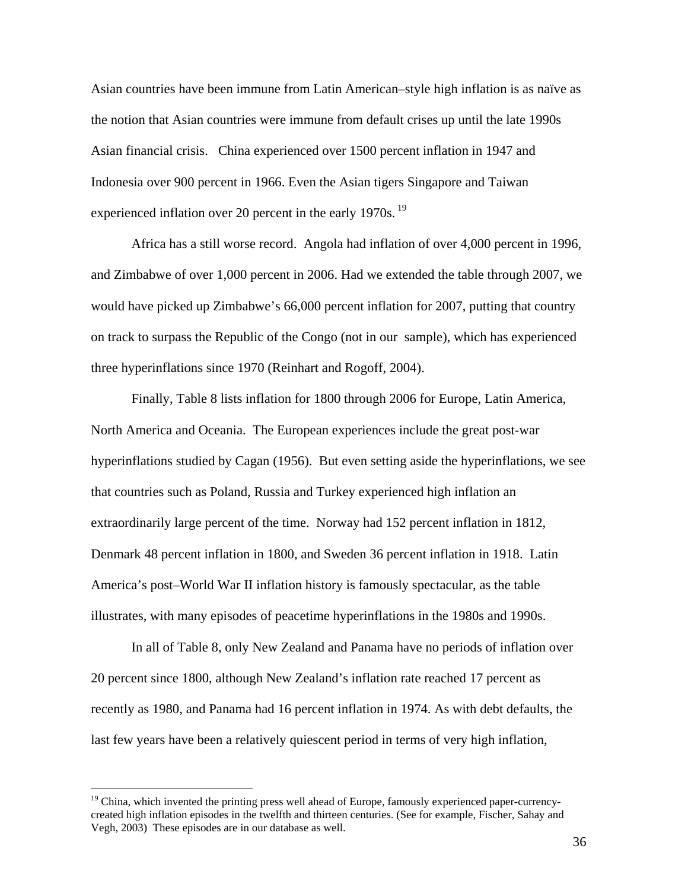Asian countries have been immune from Latin American–style high inflation is as naïve as the notion that Asian countries were immune from default crises up until the late 1990s Asian financial crisis. China experienced over 1500 percent inflation in 1947 and Indonesia over 900 percent in 1966. Even the Asian tigers Singapore and Taiwan experienced inflation over 20 percent in the early 1970s.<sup>19</sup>

Africa has a still worse record. Angola had inflation of over 4,000 percent in 1996, and Zimbabwe of over 1,000 percent in 2006. Had we extended the table through 2007, we would have picked up Zimbabwe's 66,000 percent inflation for 2007, putting that country on track to surpass the Republic of the Congo (not in our sample), which has experienced three hyperinflations since 1970 (Reinhart and Rogoff, 2004).

Finally, Table 8 lists inflation for 1800 through 2006 for Europe, Latin America, North America and Oceania. The European experiences include the great post-war hyperinflations studied by Cagan (1956). But even setting aside the hyperinflations, we see that countries such as Poland, Russia and Turkey experienced high inflation an extraordinarily large percent of the time. Norway had 152 percent inflation in 1812, Denmark 48 percent inflation in 1800, and Sweden 36 percent inflation in 1918. Latin America's post–World War II inflation history is famously spectacular, as the table illustrates, with many episodes of peacetime hyperinflations in the 1980s and 1990s.

In all of Table 8, only New Zealand and Panama have no periods of inflation over 20 percent since 1800, although New Zealand's inflation rate reached 17 percent as recently as 1980, and Panama had 16 percent inflation in 1974. As with debt defaults, the last few years have been a relatively quiescent period in terms of very high inflation,

 $\overline{a}$ 

<sup>&</sup>lt;sup>19</sup> China, which invented the printing press well ahead of Europe, famously experienced paper-currencycreated high inflation episodes in the twelfth and thirteen centuries. (See for example, Fischer, Sahay and Vegh, 2003) These episodes are in our database as well.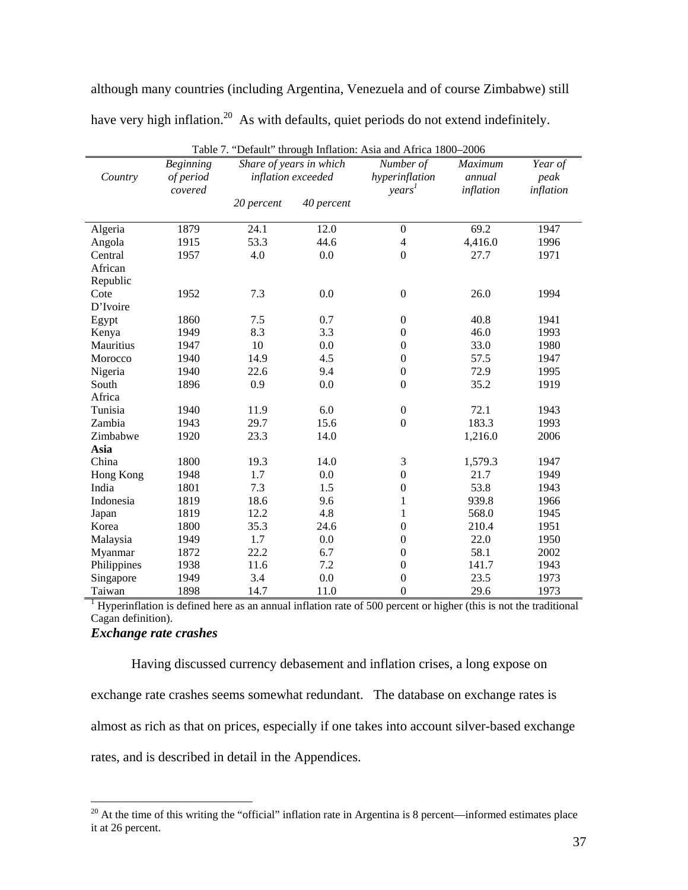although many countries (including Argentina, Venezuela and of course Zimbabwe) still have very high inflation.<sup>20</sup> As with defaults, quiet periods do not extend indefinitely.

|             | <b>Beginning</b> |            | Share of years in which | Number of          | Maximum   | Year of   |
|-------------|------------------|------------|-------------------------|--------------------|-----------|-----------|
| Country     | of period        |            | inflation exceeded      | hyperinflation     | annual    | peak      |
|             | covered          |            |                         | years <sup>1</sup> | inflation | inflation |
|             |                  | 20 percent | 40 percent              |                    |           |           |
| Algeria     | 1879             | 24.1       | 12.0                    | $\mathbf{0}$       | 69.2      | 1947      |
| Angola      | 1915             | 53.3       | 44.6                    | $\overline{4}$     | 4,416.0   | 1996      |
| Central     | 1957             | 4.0        | 0.0                     | $\boldsymbol{0}$   | 27.7      | 1971      |
| African     |                  |            |                         |                    |           |           |
| Republic    |                  |            |                         |                    |           |           |
| Cote        | 1952             | 7.3        | 0.0                     | $\boldsymbol{0}$   | 26.0      | 1994      |
| D'Ivoire    |                  |            |                         |                    |           |           |
| Egypt       | 1860             | 7.5        | 0.7                     | $\boldsymbol{0}$   | 40.8      | 1941      |
| Kenya       | 1949             | 8.3        | 3.3                     | $\boldsymbol{0}$   | 46.0      | 1993      |
| Mauritius   | 1947             | 10         | 0.0                     | $\boldsymbol{0}$   | 33.0      | 1980      |
| Morocco     | 1940             | 14.9       | 4.5                     | $\boldsymbol{0}$   | 57.5      | 1947      |
| Nigeria     | 1940             | 22.6       | 9.4                     | $\boldsymbol{0}$   | 72.9      | 1995      |
| South       | 1896             | 0.9        | 0.0                     | $\boldsymbol{0}$   | 35.2      | 1919      |
| Africa      |                  |            |                         |                    |           |           |
| Tunisia     | 1940             | 11.9       | 6.0                     | $\boldsymbol{0}$   | 72.1      | 1943      |
| Zambia      | 1943             | 29.7       | 15.6                    | $\boldsymbol{0}$   | 183.3     | 1993      |
| Zimbabwe    | 1920             | 23.3       | 14.0                    |                    | 1,216.0   | 2006      |
| Asia        |                  |            |                         |                    |           |           |
| China       | 1800             | 19.3       | 14.0                    | 3                  | 1,579.3   | 1947      |
| Hong Kong   | 1948             | 1.7        | 0.0                     | $\boldsymbol{0}$   | 21.7      | 1949      |
| India       | 1801             | 7.3        | 1.5                     | $\boldsymbol{0}$   | 53.8      | 1943      |
| Indonesia   | 1819             | 18.6       | 9.6                     | $\mathbf{1}$       | 939.8     | 1966      |
| Japan       | 1819             | 12.2       | 4.8                     | $\mathbf{1}$       | 568.0     | 1945      |
| Korea       | 1800             | 35.3       | 24.6                    | $\boldsymbol{0}$   | 210.4     | 1951      |
| Malaysia    | 1949             | 1.7        | 0.0                     | $\boldsymbol{0}$   | 22.0      | 1950      |
| Myanmar     | 1872             | 22.2       | 6.7                     | $\boldsymbol{0}$   | 58.1      | 2002      |
| Philippines | 1938             | 11.6       | 7.2                     | $\boldsymbol{0}$   | 141.7     | 1943      |
| Singapore   | 1949             | 3.4        | 0.0                     | $\boldsymbol{0}$   | 23.5      | 1973      |
| Taiwan      | 1898             | 14.7       | 11.0                    | $\mathbf{0}$       | 29.6      | 1973      |

Table 7. "Default" through Inflation: Asia and Africa 1800–2006

Taiwan 1898 14.7 11.0 0 29.6 1973<br><sup>1</sup> Hyperinflation is defined here as an annual inflation rate of 500 percent or higher (this is not the traditional Cagan definition).

## *Exchange rate crashes*

 $\overline{a}$ 

Having discussed currency debasement and inflation crises, a long expose on exchange rate crashes seems somewhat redundant. The database on exchange rates is almost as rich as that on prices, especially if one takes into account silver-based exchange rates, and is described in detail in the Appendices.

 $20$  At the time of this writing the "official" inflation rate in Argentina is 8 percent—informed estimates place it at 26 percent.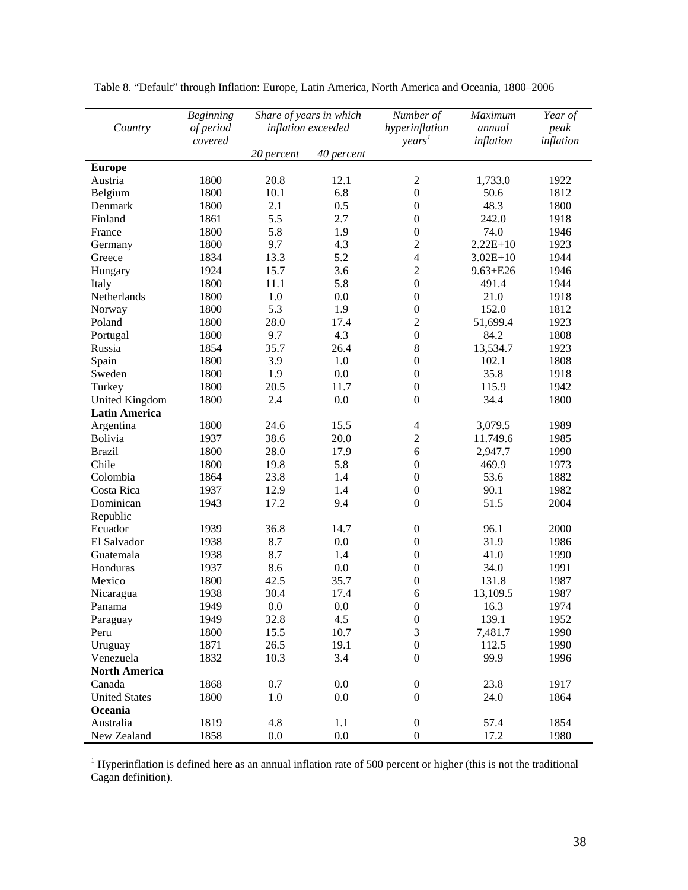| Country               | <b>Beginning</b><br>of period |            | Share of years in which<br>inflation exceeded | Number of<br>hyperinflation | Maximum<br>annual | Year of<br>peak |
|-----------------------|-------------------------------|------------|-----------------------------------------------|-----------------------------|-------------------|-----------------|
|                       | covered                       | 20 percent | 40 percent                                    | years <sup>1</sup>          | inflation         | inflation       |
| <b>Europe</b>         |                               |            |                                               |                             |                   |                 |
| Austria               | 1800                          | 20.8       | 12.1                                          | $\overline{2}$              | 1,733.0           | 1922            |
| Belgium               | 1800                          | 10.1       | 6.8                                           | $\boldsymbol{0}$            | 50.6              | 1812            |
| Denmark               | 1800                          | 2.1        | 0.5                                           | $\boldsymbol{0}$            | 48.3              | 1800            |
| Finland               | 1861                          | 5.5        | 2.7                                           | $\mathbf{0}$                | 242.0             | 1918            |
| France                | 1800                          | 5.8        | 1.9                                           | $\boldsymbol{0}$            | 74.0              | 1946            |
| Germany               | 1800                          | 9.7        | 4.3                                           | $\overline{c}$              | $2.22E+10$        | 1923            |
| Greece                | 1834                          | 13.3       | 5.2                                           | $\overline{4}$              | $3.02E + 10$      | 1944            |
| Hungary               | 1924                          | 15.7       | 3.6                                           | $\overline{c}$              | $9.63 + E26$      | 1946            |
| Italy                 | 1800                          | 11.1       | 5.8                                           | $\boldsymbol{0}$            | 491.4             | 1944            |
| Netherlands           | 1800                          | 1.0        | 0.0                                           | $\boldsymbol{0}$            | 21.0              | 1918            |
| Norway                | 1800                          | 5.3        | 1.9                                           | $\boldsymbol{0}$            | 152.0             | 1812            |
| Poland                | 1800                          | 28.0       | 17.4                                          | $\overline{2}$              | 51,699.4          | 1923            |
| Portugal              | 1800                          | 9.7        | 4.3                                           | $\boldsymbol{0}$            | 84.2              | 1808            |
| Russia                | 1854                          | 35.7       | 26.4                                          | 8                           | 13,534.7          | 1923            |
| Spain                 | 1800                          | 3.9        | 1.0                                           | $\boldsymbol{0}$            | 102.1             | 1808            |
| Sweden                | 1800                          | 1.9        | 0.0                                           | $\boldsymbol{0}$            | 35.8              | 1918            |
| Turkey                | 1800                          | 20.5       | 11.7                                          | $\boldsymbol{0}$            | 115.9             | 1942            |
| <b>United Kingdom</b> | 1800                          | 2.4        | 0.0                                           | $\boldsymbol{0}$            | 34.4              | 1800            |
| <b>Latin America</b>  |                               |            |                                               |                             |                   |                 |
| Argentina             | 1800                          | 24.6       | 15.5                                          | $\overline{4}$              | 3,079.5           | 1989            |
| Bolivia               | 1937                          | 38.6       | 20.0                                          | $\overline{c}$              | 11.749.6          | 1985            |
| <b>Brazil</b>         | 1800                          | 28.0       | 17.9                                          | 6                           | 2,947.7           | 1990            |
| Chile                 | 1800                          | 19.8       | 5.8                                           | $\boldsymbol{0}$            | 469.9             | 1973            |
| Colombia              | 1864                          | 23.8       | 1.4                                           | $\boldsymbol{0}$            | 53.6              | 1882            |
| Costa Rica            | 1937                          | 12.9       | 1.4                                           | $\boldsymbol{0}$            | 90.1              | 1982            |
| Dominican             | 1943                          | 17.2       | 9.4                                           | $\boldsymbol{0}$            | 51.5              | 2004            |
| Republic              |                               |            |                                               |                             |                   |                 |
| Ecuador               | 1939                          | 36.8       | 14.7                                          | $\boldsymbol{0}$            | 96.1              | 2000            |
| El Salvador           | 1938                          | 8.7        | 0.0                                           | $\boldsymbol{0}$            | 31.9              | 1986            |
| Guatemala             | 1938                          | 8.7        | 1.4                                           | $\boldsymbol{0}$            | 41.0              | 1990            |
| Honduras              | 1937                          | 8.6        | 0.0                                           | $\boldsymbol{0}$            | 34.0              | 1991            |
| Mexico                | 1800                          | 42.5       | 35.7                                          | $\boldsymbol{0}$            | 131.8             | 1987            |
| Nicaragua             | 1938                          | 30.4       | 17.4                                          | 6                           | 13,109.5          | 1987            |
| Panama                | 1949                          | $0.0\,$    | 0.0                                           | $\boldsymbol{0}$            | 16.3              | 1974            |
| Paraguay              | 1949                          | 32.8       | 4.5                                           | $\boldsymbol{0}$            | 139.1             | 1952            |
| Peru                  | 1800                          | 15.5       | 10.7                                          | 3                           | 7,481.7           | 1990            |
| Uruguay               | 1871                          | 26.5       | 19.1                                          | $\boldsymbol{0}$            | 112.5             | 1990            |
| Venezuela             | 1832                          | 10.3       | 3.4                                           | $\overline{0}$              | 99.9              | 1996            |
| <b>North America</b>  |                               |            |                                               |                             |                   |                 |
| Canada                | 1868                          | 0.7        | 0.0                                           | $\boldsymbol{0}$            | 23.8              | 1917            |
| <b>United States</b>  | 1800                          | 1.0        | 0.0                                           | $\overline{0}$              | 24.0              | 1864            |
| Oceania               |                               |            |                                               |                             |                   |                 |
| Australia             | 1819                          | 4.8        | 1.1                                           | $\boldsymbol{0}$            | 57.4              | 1854            |
| New Zealand           | 1858                          | 0.0        | $0.0\,$                                       | $\overline{0}$              | 17.2              | 1980            |

Table 8. "Default" through Inflation: Europe, Latin America, North America and Oceania, 1800–2006

<sup>1</sup> Hyperinflation is defined here as an annual inflation rate of 500 percent or higher (this is not the traditional Cagan definition).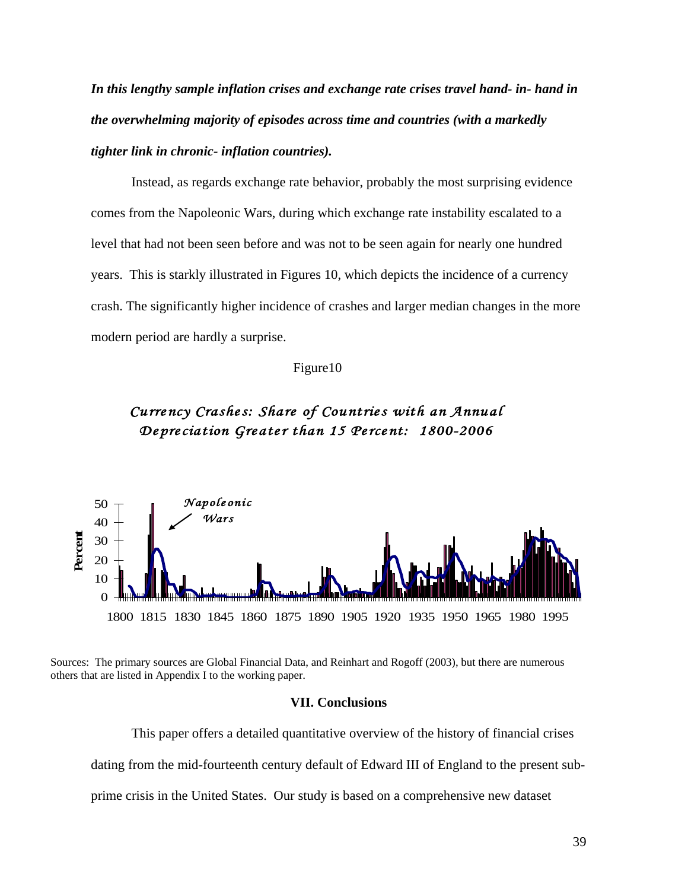*In this lengthy sample inflation crises and exchange rate crises travel hand- in- hand in the overwhelming majority of episodes across time and countries (with a markedly tighter link in chronic- inflation countries).* 

 Instead, as regards exchange rate behavior, probably the most surprising evidence comes from the Napoleonic Wars, during which exchange rate instability escalated to a level that had not been seen before and was not to be seen again for nearly one hundred years. This is starkly illustrated in Figures 10, which depicts the incidence of a currency crash. The significantly higher incidence of crashes and larger median changes in the more modern period are hardly a surprise.

## Figure10

## *Currency Crashes: Share of Countries with an Annual Depreciation Greater than 15 Percent: 1800-2006*



Sources: The primary sources are Global Financial Data, and Reinhart and Rogoff (2003), but there are numerous others that are listed in Appendix I to the working paper.

#### **VII. Conclusions**

This paper offers a detailed quantitative overview of the history of financial crises dating from the mid-fourteenth century default of Edward III of England to the present subprime crisis in the United States. Our study is based on a comprehensive new dataset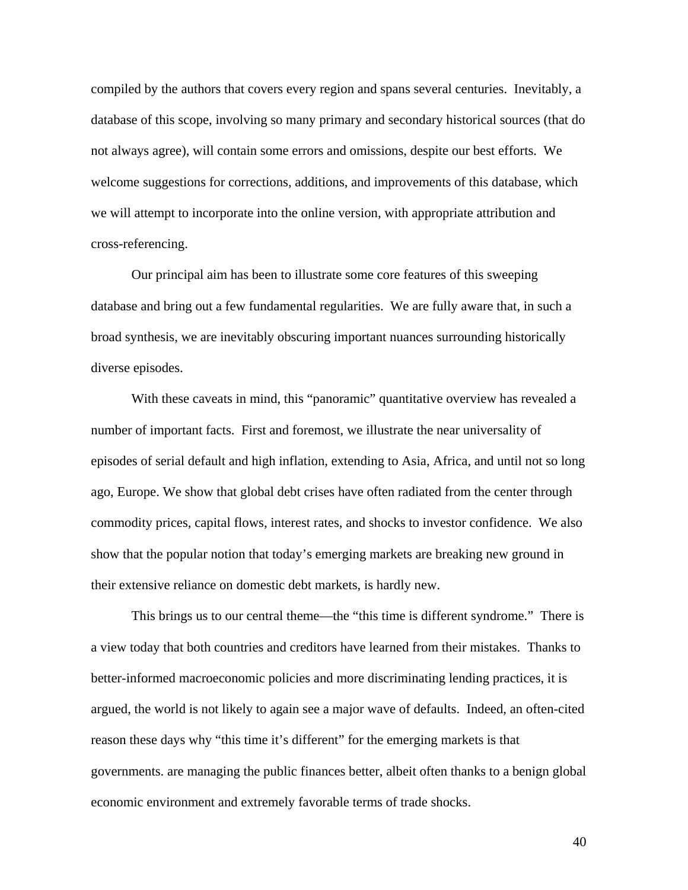compiled by the authors that covers every region and spans several centuries. Inevitably, a database of this scope, involving so many primary and secondary historical sources (that do not always agree), will contain some errors and omissions, despite our best efforts. We welcome suggestions for corrections, additions, and improvements of this database, which we will attempt to incorporate into the online version, with appropriate attribution and cross-referencing.

Our principal aim has been to illustrate some core features of this sweeping database and bring out a few fundamental regularities. We are fully aware that, in such a broad synthesis, we are inevitably obscuring important nuances surrounding historically diverse episodes.

With these caveats in mind, this "panoramic" quantitative overview has revealed a number of important facts. First and foremost, we illustrate the near universality of episodes of serial default and high inflation, extending to Asia, Africa, and until not so long ago, Europe. We show that global debt crises have often radiated from the center through commodity prices, capital flows, interest rates, and shocks to investor confidence. We also show that the popular notion that today's emerging markets are breaking new ground in their extensive reliance on domestic debt markets, is hardly new.

This brings us to our central theme—the "this time is different syndrome." There is a view today that both countries and creditors have learned from their mistakes. Thanks to better-informed macroeconomic policies and more discriminating lending practices, it is argued, the world is not likely to again see a major wave of defaults. Indeed, an often-cited reason these days why "this time it's different" for the emerging markets is that governments. are managing the public finances better, albeit often thanks to a benign global economic environment and extremely favorable terms of trade shocks.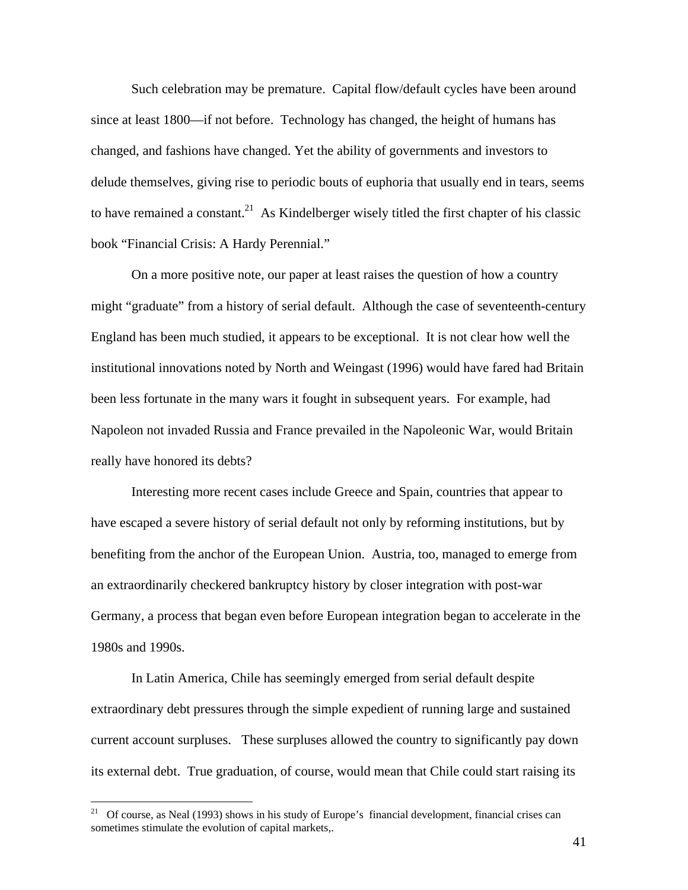Such celebration may be premature. Capital flow/default cycles have been around since at least 1800—if not before. Technology has changed, the height of humans has changed, and fashions have changed. Yet the ability of governments and investors to delude themselves, giving rise to periodic bouts of euphoria that usually end in tears, seems to have remained a constant.<sup>21</sup> As Kindelberger wisely titled the first chapter of his classic book "Financial Crisis: A Hardy Perennial."

On a more positive note, our paper at least raises the question of how a country might "graduate" from a history of serial default. Although the case of seventeenth-century England has been much studied, it appears to be exceptional. It is not clear how well the institutional innovations noted by North and Weingast (1996) would have fared had Britain been less fortunate in the many wars it fought in subsequent years. For example, had Napoleon not invaded Russia and France prevailed in the Napoleonic War, would Britain really have honored its debts?

Interesting more recent cases include Greece and Spain, countries that appear to have escaped a severe history of serial default not only by reforming institutions, but by benefiting from the anchor of the European Union. Austria, too, managed to emerge from an extraordinarily checkered bankruptcy history by closer integration with post-war Germany, a process that began even before European integration began to accelerate in the 1980s and 1990s.

In Latin America, Chile has seemingly emerged from serial default despite extraordinary debt pressures through the simple expedient of running large and sustained current account surpluses. These surpluses allowed the country to significantly pay down its external debt. True graduation, of course, would mean that Chile could start raising its

 $21$ 21 Of course, as Neal (1993) shows in his study of Europe's financial development, financial crises can sometimes stimulate the evolution of capital markets,.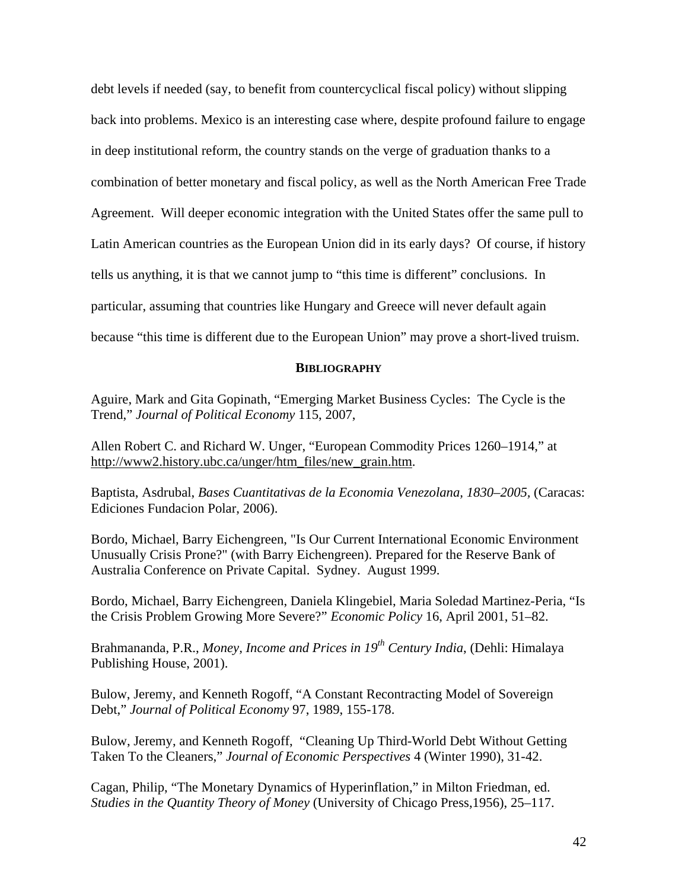debt levels if needed (say, to benefit from countercyclical fiscal policy) without slipping back into problems. Mexico is an interesting case where, despite profound failure to engage in deep institutional reform, the country stands on the verge of graduation thanks to a combination of better monetary and fiscal policy, as well as the North American Free Trade Agreement. Will deeper economic integration with the United States offer the same pull to Latin American countries as the European Union did in its early days? Of course, if history tells us anything, it is that we cannot jump to "this time is different" conclusions. In particular, assuming that countries like Hungary and Greece will never default again because "this time is different due to the European Union" may prove a short-lived truism.

## **BIBLIOGRAPHY**

Aguire, Mark and Gita Gopinath, "Emerging Market Business Cycles: The Cycle is the Trend," *Journal of Political Economy* 115, 2007,

Allen Robert C. and Richard W. Unger, "European Commodity Prices 1260–1914," at http://www2.history.ubc.ca/unger/htm\_files/new\_grain.htm.

Baptista, Asdrubal, *Bases Cuantitativas de la Economia Venezolana, 1830–2005,* (Caracas: Ediciones Fundacion Polar, 2006).

Bordo, Michael, Barry Eichengreen, "Is Our Current International Economic Environment Unusually Crisis Prone?" (with Barry Eichengreen). Prepared for the Reserve Bank of Australia Conference on Private Capital. Sydney. August 1999.

Bordo, Michael, Barry Eichengreen, Daniela Klingebiel, Maria Soledad Martinez-Peria, "Is the Crisis Problem Growing More Severe?" *Economic Policy* 16, April 2001, 51–82.

Brahmananda, P.R., *Money, Income and Prices in 19th Century India*, (Dehli: Himalaya Publishing House, 2001).

Bulow, Jeremy, and Kenneth Rogoff, "A Constant Recontracting Model of Sovereign Debt," *Journal of Political Economy* 97, 1989, 155-178.

Bulow, Jeremy, and Kenneth Rogoff, "Cleaning Up Third-World Debt Without Getting Taken To the Cleaners," *Journal of Economic Perspectives* 4 (Winter 1990), 31-42.

Cagan, Philip, "The Monetary Dynamics of Hyperinflation," in Milton Friedman, ed. *Studies in the Quantity Theory of Money* (University of Chicago Press,1956), 25–117.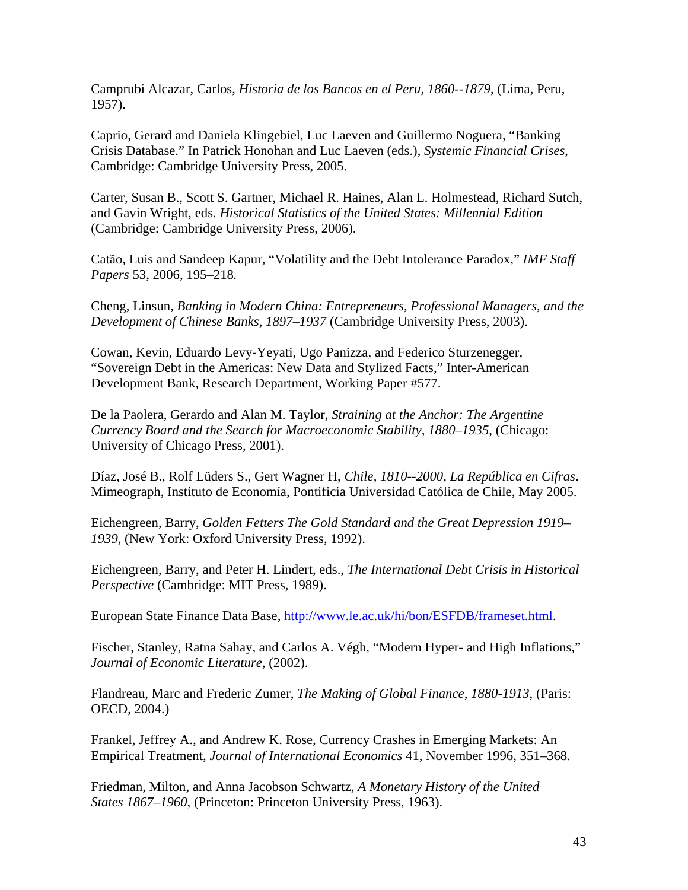Camprubi Alcazar, Carlos, *Historia de los Bancos en el Peru, 1860--1879*, (Lima, Peru, 1957).

Caprio, Gerard and Daniela Klingebiel, Luc Laeven and Guillermo Noguera, "Banking Crisis Database." In Patrick Honohan and Luc Laeven (eds.), *Systemic Financial Crises*, Cambridge: Cambridge University Press, 2005.

Carter, Susan B., Scott S. Gartner, Michael R. Haines, Alan L. Holmestead, Richard Sutch, and Gavin Wright, eds*. Historical Statistics of the United States: Millennial Edition*  (Cambridge: Cambridge University Press, 2006).

Catão, Luis and Sandeep Kapur, "Volatility and the Debt Intolerance Paradox," *IMF Staff Papers* 53, 2006, 195–218*.*

Cheng, Linsun, *Banking in Modern China: Entrepreneurs, Professional Managers, and the Development of Chinese Banks, 1897*–*1937* (Cambridge University Press, 2003).

Cowan, Kevin, Eduardo Levy-Yeyati, Ugo Panizza, and Federico Sturzenegger, "Sovereign Debt in the Americas: New Data and Stylized Facts," Inter-American Development Bank, Research Department, Working Paper #577.

De la Paolera, Gerardo and Alan M. Taylor, *Straining at the Anchor: The Argentine Currency Board and the Search for Macroeconomic Stability, 1880–1935*, (Chicago: University of Chicago Press, 2001).

Díaz, José B., Rolf Lüders S., Gert Wagner H, *Chile, 1810--2000, La República en Cifras*. Mimeograph, Instituto de Economía, Pontificia Universidad Católica de Chile, May 2005.

Eichengreen, Barry, *Golden Fetters The Gold Standard and the Great Depression 1919– 1939*, (New York: Oxford University Press, 1992).

Eichengreen, Barry, and Peter H. Lindert, eds., *The International Debt Crisis in Historical Perspective* (Cambridge: MIT Press, 1989).

European State Finance Data Base, http://www.le.ac.uk/hi/bon/ESFDB/frameset.html.

Fischer, Stanley, Ratna Sahay, and Carlos A. Végh, "Modern Hyper- and High Inflations," *Journal of Economic Literature,* (2002).

Flandreau, Marc and Frederic Zumer, *The Making of Global Finance, 1880-1913*, (Paris: OECD, 2004.)

Frankel, Jeffrey A., and Andrew K. Rose, Currency Crashes in Emerging Markets: An Empirical Treatment, *Journal of International Economics* 41, November 1996, 351–368.

Friedman, Milton, and Anna Jacobson Schwartz, *A Monetary History of the United States 1867–1960*, (Princeton: Princeton University Press, 1963).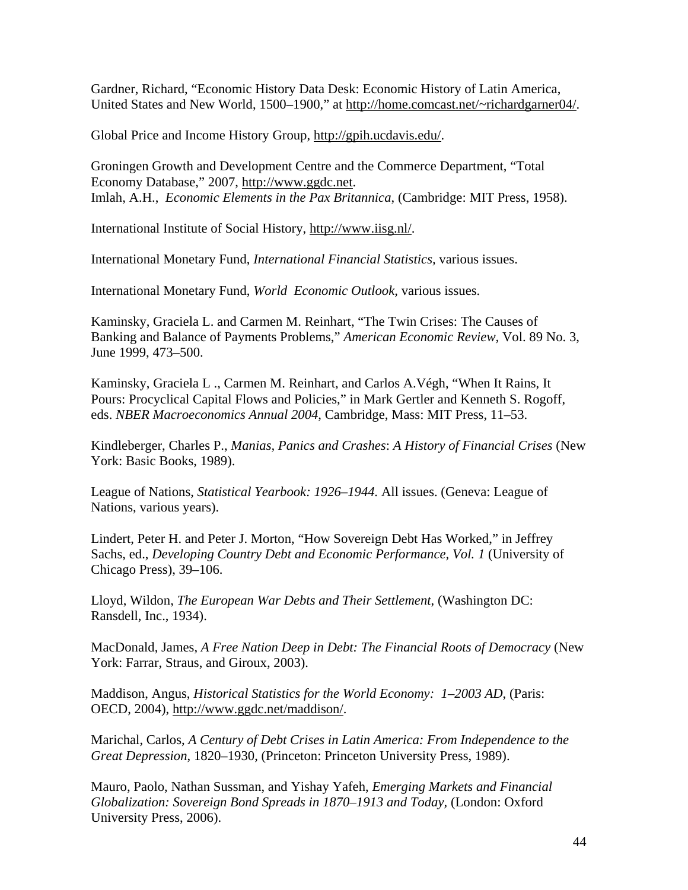Gardner, Richard, "Economic History Data Desk: Economic History of Latin America, United States and New World, 1500–1900," at http://home.comcast.net/~richardgarner04/.

Global Price and Income History Group, http://gpih.ucdavis.edu/.

Groningen Growth and Development Centre and the Commerce Department, "Total Economy Database," 2007, http://www.ggdc.net. Imlah, A.H., *Economic Elements in the Pax Britannica*, (Cambridge: MIT Press, 1958).

International Institute of Social History, http://www.iisg.nl/.

International Monetary Fund, *International Financial Statistics,* various issues.

International Monetary Fund, *World Economic Outlook,* various issues.

Kaminsky, Graciela L. and Carmen M. Reinhart, "The Twin Crises: The Causes of Banking and Balance of Payments Problems," *American Economic Review,* Vol. 89 No. 3, June 1999, 473–500.

Kaminsky, Graciela L ., Carmen M. Reinhart, and Carlos A.Végh, "When It Rains, It Pours: Procyclical Capital Flows and Policies," in Mark Gertler and Kenneth S. Rogoff, eds. *NBER Macroeconomics Annual 2004*, Cambridge, Mass: MIT Press, 11–53.

Kindleberger, Charles P., *Manias, Panics and Crashes*: *A History of Financial Crises* (New York: Basic Books, 1989).

League of Nations, *Statistical Yearbook: 1926–1944.* All issues. (Geneva: League of Nations, various years).

Lindert, Peter H. and Peter J. Morton, "How Sovereign Debt Has Worked," in Jeffrey Sachs, ed., *Developing Country Debt and Economic Performance, Vol. 1* (University of Chicago Press), 39–106.

Lloyd, Wildon, *The European War Debts and Their Settlement*, (Washington DC: Ransdell, Inc., 1934).

MacDonald, James, *A Free Nation Deep in Debt: The Financial Roots of Democracy* (New York: Farrar, Straus, and Giroux, 2003).

Maddison, Angus, *Historical Statistics for the World Economy: 1–2003 AD*, (Paris: OECD, 2004), http://www.ggdc.net/maddison/.

Marichal, Carlos, *A Century of Debt Crises in Latin America: From Independence to the Great Depression*, 1820–1930, (Princeton: Princeton University Press, 1989).

Mauro, Paolo, Nathan Sussman, and Yishay Yafeh, *Emerging Markets and Financial Globalization: Sovereign Bond Spreads in 1870–1913 and Today,* (London: Oxford University Press, 2006).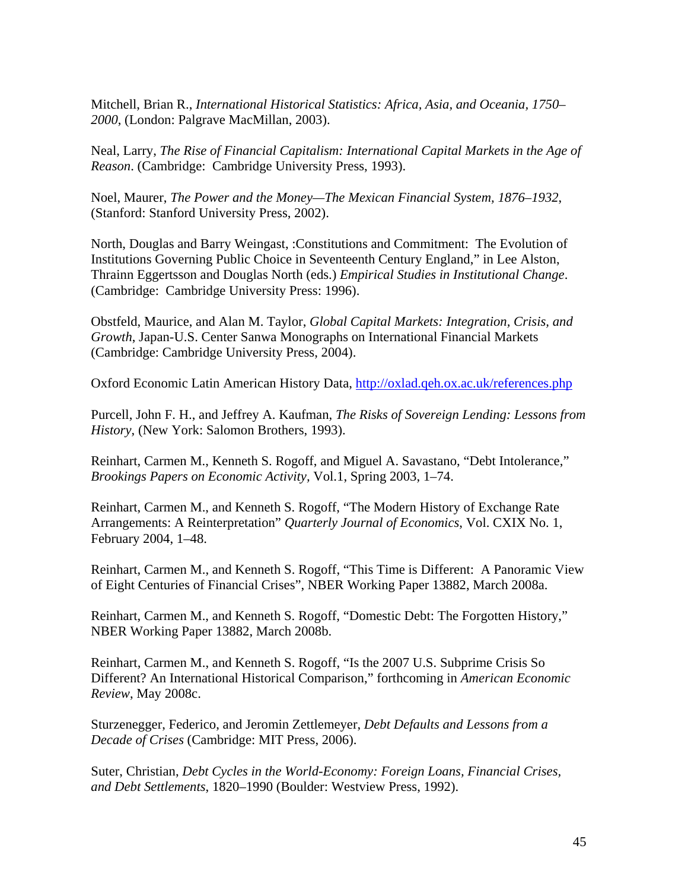Mitchell, Brian R., *International Historical Statistics: Africa, Asia, and Oceania, 1750– 2000*, (London: Palgrave MacMillan, 2003).

Neal, Larry, *The Rise of Financial Capitalism: International Capital Markets in the Age of Reason*. (Cambridge: Cambridge University Press, 1993).

Noel, Maurer, *The Power and the Money—The Mexican Financial System, 1876–1932*, (Stanford: Stanford University Press, 2002).

North, Douglas and Barry Weingast, :Constitutions and Commitment: The Evolution of Institutions Governing Public Choice in Seventeenth Century England," in Lee Alston, Thrainn Eggertsson and Douglas North (eds.) *Empirical Studies in Institutional Change*. (Cambridge: Cambridge University Press: 1996).

Obstfeld, Maurice, and Alan M. Taylor, *Global Capital Markets: Integration, Crisis, and Growth*, Japan-U.S. Center Sanwa Monographs on International Financial Markets (Cambridge: Cambridge University Press, 2004).

Oxford Economic Latin American History Data, http://oxlad.qeh.ox.ac.uk/references.php

Purcell, John F. H., and Jeffrey A. Kaufman, *The Risks of Sovereign Lending: Lessons from History*, (New York: Salomon Brothers, 1993).

Reinhart, Carmen M., Kenneth S. Rogoff, and Miguel A. Savastano, "Debt Intolerance," *Brookings Papers on Economic Activity,* Vol.1, Spring 2003, 1–74.

Reinhart, Carmen M., and Kenneth S. Rogoff, "The Modern History of Exchange Rate Arrangements: A Reinterpretation" *Quarterly Journal of Economics*, Vol. CXIX No. 1, February 2004, 1–48.

Reinhart, Carmen M., and Kenneth S. Rogoff, "This Time is Different: A Panoramic View of Eight Centuries of Financial Crises", NBER Working Paper 13882, March 2008a.

Reinhart, Carmen M., and Kenneth S. Rogoff, "Domestic Debt: The Forgotten History," NBER Working Paper 13882, March 2008b.

Reinhart, Carmen M., and Kenneth S. Rogoff, "Is the 2007 U.S. Subprime Crisis So Different? An International Historical Comparison," forthcoming in *American Economic Review*, May 2008c.

Sturzenegger, Federico, and Jeromin Zettlemeyer, *Debt Defaults and Lessons from a Decade of Crises* (Cambridge: MIT Press, 2006).

Suter, Christian, *Debt Cycles in the World-Economy: Foreign Loans, Financial Crises, and Debt Settlements*, 1820–1990 (Boulder: Westview Press, 1992).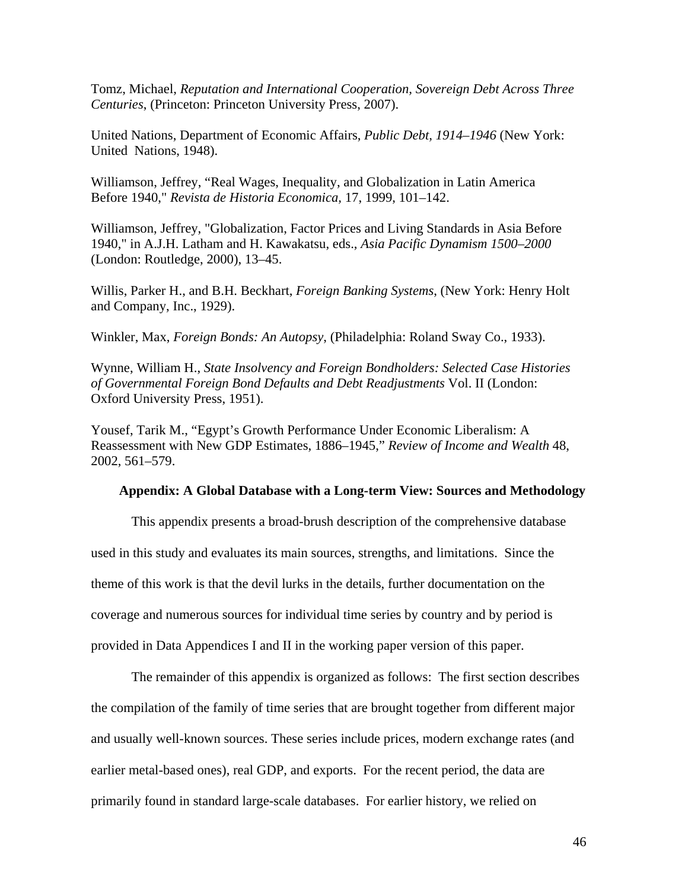Tomz, Michael, *Reputation and International Cooperation, Sovereign Debt Across Three Centuries*, (Princeton: Princeton University Press, 2007).

United Nations, Department of Economic Affairs, *Public Debt, 1914–1946* (New York: United Nations, 1948).

Williamson, Jeffrey, "Real Wages, Inequality, and Globalization in Latin America Before 1940," *Revista de Historia Economica,* 17, 1999, 101–142.

Williamson, Jeffrey, "Globalization, Factor Prices and Living Standards in Asia Before 1940," in A.J.H. Latham and H. Kawakatsu, eds., *Asia Pacific Dynamism 1500–2000*  (London: Routledge, 2000), 13–45.

Willis, Parker H., and B.H. Beckhart, *Foreign Banking Systems*, (New York: Henry Holt and Company, Inc., 1929).

Winkler, Max, *Foreign Bonds: An Autopsy*, (Philadelphia: Roland Sway Co., 1933).

Wynne, William H., *State Insolvency and Foreign Bondholders: Selected Case Histories of Governmental Foreign Bond Defaults and Debt Readjustments* Vol. II (London: Oxford University Press, 1951).

Yousef, Tarik M., "Egypt's Growth Performance Under Economic Liberalism: A Reassessment with New GDP Estimates, 1886–1945," *Review of Income and Wealth* 48, 2002, 561–579.

## **Appendix: A Global Database with a Long-term View: Sources and Methodology**

This appendix presents a broad-brush description of the comprehensive database used in this study and evaluates its main sources, strengths, and limitations. Since the theme of this work is that the devil lurks in the details, further documentation on the coverage and numerous sources for individual time series by country and by period is provided in Data Appendices I and II in the working paper version of this paper.

The remainder of this appendix is organized as follows: The first section describes the compilation of the family of time series that are brought together from different major and usually well-known sources. These series include prices, modern exchange rates (and earlier metal-based ones), real GDP, and exports. For the recent period, the data are primarily found in standard large-scale databases. For earlier history, we relied on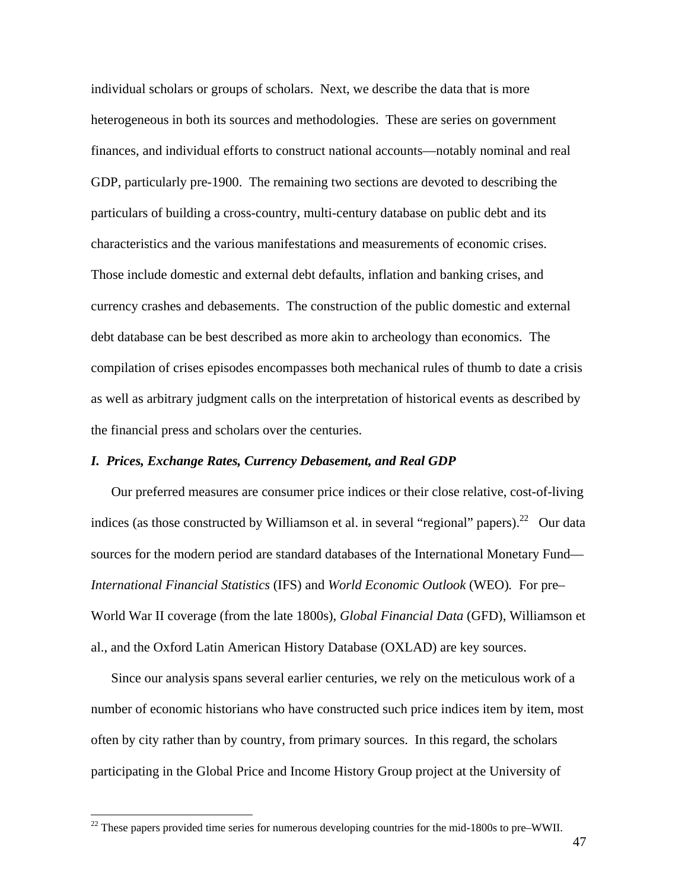individual scholars or groups of scholars. Next, we describe the data that is more heterogeneous in both its sources and methodologies. These are series on government finances, and individual efforts to construct national accounts—notably nominal and real GDP, particularly pre-1900. The remaining two sections are devoted to describing the particulars of building a cross-country, multi-century database on public debt and its characteristics and the various manifestations and measurements of economic crises. Those include domestic and external debt defaults, inflation and banking crises, and currency crashes and debasements. The construction of the public domestic and external debt database can be best described as more akin to archeology than economics. The compilation of crises episodes encompasses both mechanical rules of thumb to date a crisis as well as arbitrary judgment calls on the interpretation of historical events as described by the financial press and scholars over the centuries.

## *I. Prices, Exchange Rates, Currency Debasement, and Real GDP*

Our preferred measures are consumer price indices or their close relative, cost-of-living indices (as those constructed by Williamson et al. in several "regional" papers).<sup>22</sup> Our data sources for the modern period are standard databases of the International Monetary Fund— *International Financial Statistics* (IFS) and *World Economic Outlook* (WEO)*.* For pre– World War II coverage (from the late 1800s), *Global Financial Data* (GFD), Williamson et al., and the Oxford Latin American History Database (OXLAD) are key sources.

Since our analysis spans several earlier centuries, we rely on the meticulous work of a number of economic historians who have constructed such price indices item by item, most often by city rather than by country, from primary sources. In this regard, the scholars participating in the Global Price and Income History Group project at the University of

 $^{22}$  These papers provided time series for numerous developing countries for the mid-1800s to pre–WWII.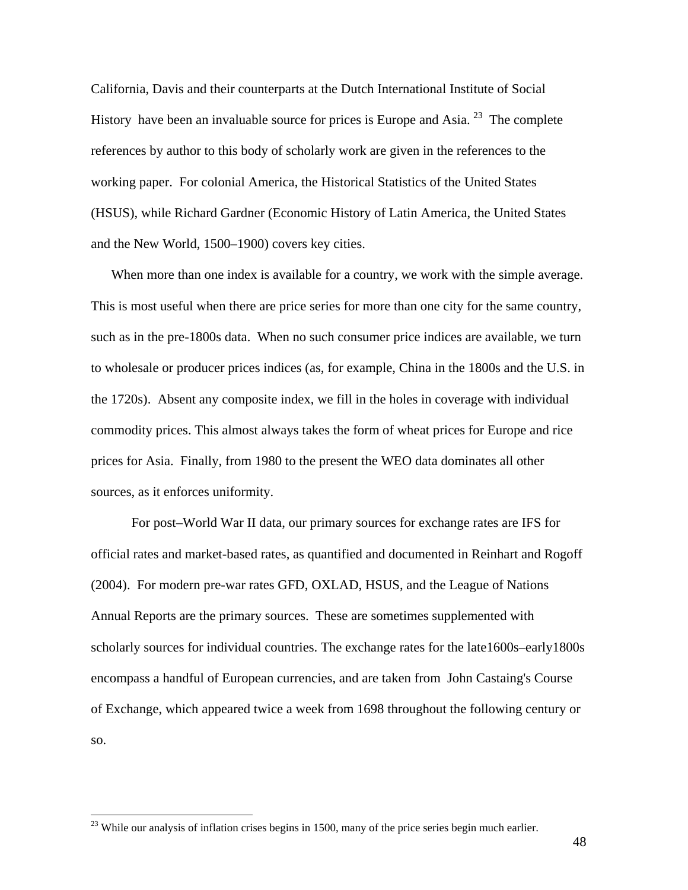California, Davis and their counterparts at the Dutch International Institute of Social History have been an invaluable source for prices is Europe and Asia.<sup>23</sup> The complete references by author to this body of scholarly work are given in the references to the working paper. For colonial America, the Historical Statistics of the United States (HSUS), while Richard Gardner (Economic History of Latin America, the United States and the New World, 1500–1900) covers key cities.

When more than one index is available for a country, we work with the simple average. This is most useful when there are price series for more than one city for the same country, such as in the pre-1800s data. When no such consumer price indices are available, we turn to wholesale or producer prices indices (as, for example, China in the 1800s and the U.S. in the 1720s). Absent any composite index, we fill in the holes in coverage with individual commodity prices. This almost always takes the form of wheat prices for Europe and rice prices for Asia. Finally, from 1980 to the present the WEO data dominates all other sources, as it enforces uniformity.

 For post–World War II data, our primary sources for exchange rates are IFS for official rates and market-based rates, as quantified and documented in Reinhart and Rogoff (2004). For modern pre-war rates GFD, OXLAD, HSUS, and the League of Nations Annual Reports are the primary sources. These are sometimes supplemented with scholarly sources for individual countries. The exchange rates for the late1600s–early1800s encompass a handful of European currencies, and are taken from John Castaing's Course of Exchange, which appeared twice a week from 1698 throughout the following century or so.

 $\overline{a}$ 

 $^{23}$  While our analysis of inflation crises begins in 1500, many of the price series begin much earlier.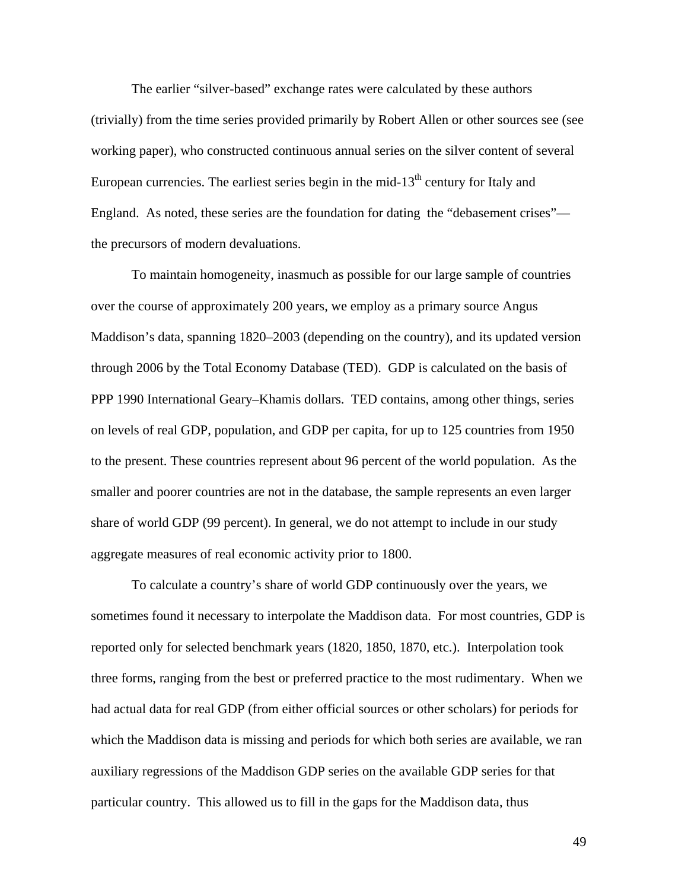The earlier "silver-based" exchange rates were calculated by these authors (trivially) from the time series provided primarily by Robert Allen or other sources see (see working paper), who constructed continuous annual series on the silver content of several European currencies. The earliest series begin in the mid-13<sup>th</sup> century for Italy and England. As noted, these series are the foundation for dating the "debasement crises" the precursors of modern devaluations.

 To maintain homogeneity, inasmuch as possible for our large sample of countries over the course of approximately 200 years, we employ as a primary source Angus Maddison's data, spanning 1820–2003 (depending on the country), and its updated version through 2006 by the Total Economy Database (TED). GDP is calculated on the basis of PPP 1990 International Geary–Khamis dollars. TED contains, among other things, series on levels of real GDP, population, and GDP per capita, for up to 125 countries from 1950 to the present. These countries represent about 96 percent of the world population. As the smaller and poorer countries are not in the database, the sample represents an even larger share of world GDP (99 percent). In general, we do not attempt to include in our study aggregate measures of real economic activity prior to 1800.

 To calculate a country's share of world GDP continuously over the years, we sometimes found it necessary to interpolate the Maddison data. For most countries, GDP is reported only for selected benchmark years (1820, 1850, 1870, etc.). Interpolation took three forms, ranging from the best or preferred practice to the most rudimentary. When we had actual data for real GDP (from either official sources or other scholars) for periods for which the Maddison data is missing and periods for which both series are available, we ran auxiliary regressions of the Maddison GDP series on the available GDP series for that particular country. This allowed us to fill in the gaps for the Maddison data, thus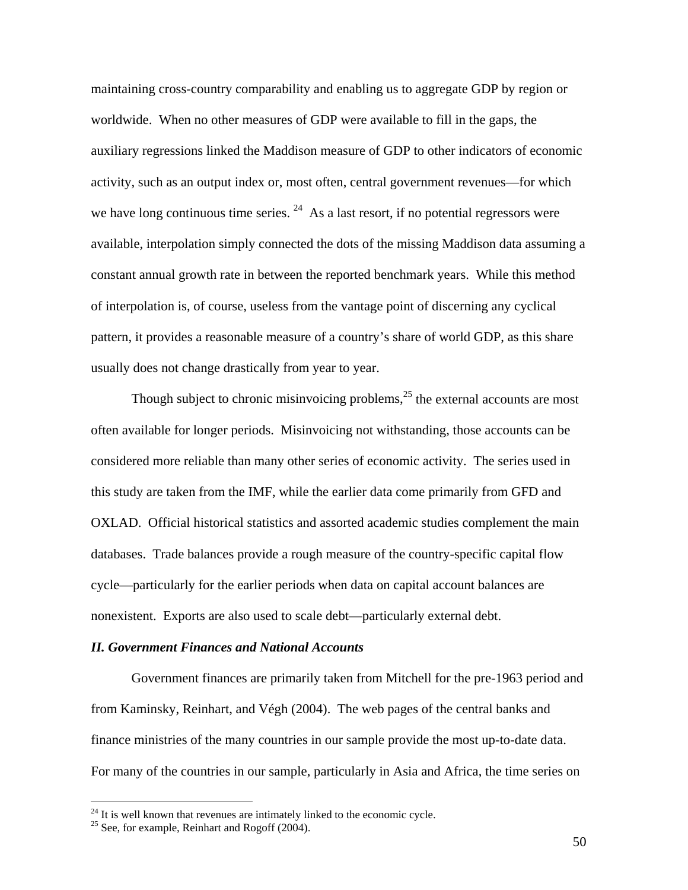maintaining cross-country comparability and enabling us to aggregate GDP by region or worldwide. When no other measures of GDP were available to fill in the gaps, the auxiliary regressions linked the Maddison measure of GDP to other indicators of economic activity, such as an output index or, most often, central government revenues—for which we have long continuous time series.  $^{24}$  As a last resort, if no potential regressors were available, interpolation simply connected the dots of the missing Maddison data assuming a constant annual growth rate in between the reported benchmark years. While this method of interpolation is, of course, useless from the vantage point of discerning any cyclical pattern, it provides a reasonable measure of a country's share of world GDP, as this share usually does not change drastically from year to year.

Though subject to chronic misinvoicing problems, $^{25}$  the external accounts are most often available for longer periods. Misinvoicing not withstanding, those accounts can be considered more reliable than many other series of economic activity. The series used in this study are taken from the IMF, while the earlier data come primarily from GFD and OXLAD. Official historical statistics and assorted academic studies complement the main databases. Trade balances provide a rough measure of the country-specific capital flow cycle—particularly for the earlier periods when data on capital account balances are nonexistent. Exports are also used to scale debt—particularly external debt.

## *II. Government Finances and National Accounts*

 Government finances are primarily taken from Mitchell for the pre-1963 period and from Kaminsky, Reinhart, and Végh (2004). The web pages of the central banks and finance ministries of the many countries in our sample provide the most up-to-date data. For many of the countries in our sample, particularly in Asia and Africa, the time series on

 $\overline{a}$ 

<sup>&</sup>lt;sup>24</sup> It is well known that revenues are intimately linked to the economic cycle.  $^{25}$  See, for example, Reinhart and Rogoff (2004).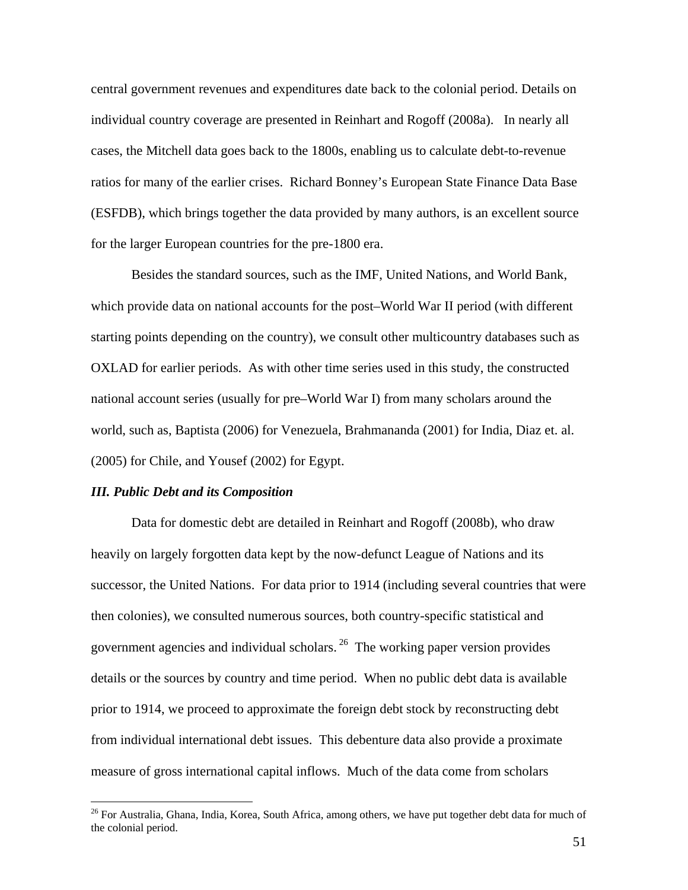central government revenues and expenditures date back to the colonial period. Details on individual country coverage are presented in Reinhart and Rogoff (2008a). In nearly all cases, the Mitchell data goes back to the 1800s, enabling us to calculate debt-to-revenue ratios for many of the earlier crises. Richard Bonney's European State Finance Data Base (ESFDB), which brings together the data provided by many authors, is an excellent source for the larger European countries for the pre-1800 era.

Besides the standard sources, such as the IMF, United Nations, and World Bank, which provide data on national accounts for the post–World War II period (with different starting points depending on the country), we consult other multicountry databases such as OXLAD for earlier periods. As with other time series used in this study, the constructed national account series (usually for pre–World War I) from many scholars around the world, such as, Baptista (2006) for Venezuela, Brahmananda (2001) for India, Diaz et. al. (2005) for Chile, and Yousef (2002) for Egypt.

#### *III. Public Debt and its Composition*

 $\overline{a}$ 

Data for domestic debt are detailed in Reinhart and Rogoff (2008b), who draw heavily on largely forgotten data kept by the now-defunct League of Nations and its successor, the United Nations. For data prior to 1914 (including several countries that were then colonies), we consulted numerous sources, both country-specific statistical and government agencies and individual scholars. 26 The working paper version provides details or the sources by country and time period. When no public debt data is available prior to 1914, we proceed to approximate the foreign debt stock by reconstructing debt from individual international debt issues. This debenture data also provide a proximate measure of gross international capital inflows. Much of the data come from scholars

<sup>&</sup>lt;sup>26</sup> For Australia, Ghana, India, Korea, South Africa, among others, we have put together debt data for much of the colonial period.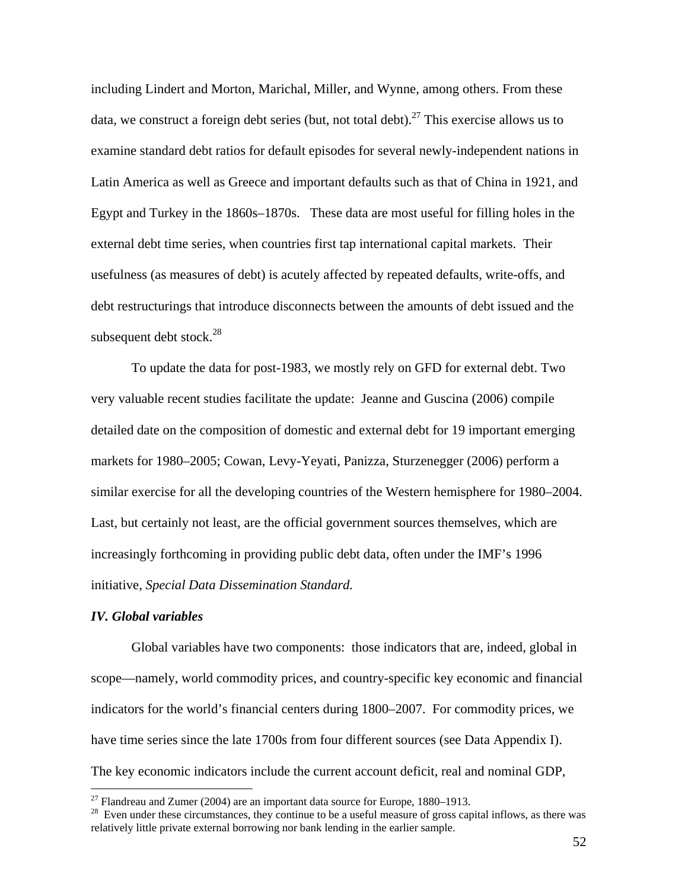including Lindert and Morton, Marichal, Miller, and Wynne, among others. From these data, we construct a foreign debt series (but, not total debt).<sup>27</sup> This exercise allows us to examine standard debt ratios for default episodes for several newly-independent nations in Latin America as well as Greece and important defaults such as that of China in 1921, and Egypt and Turkey in the 1860s–1870s. These data are most useful for filling holes in the external debt time series, when countries first tap international capital markets. Their usefulness (as measures of debt) is acutely affected by repeated defaults, write-offs, and debt restructurings that introduce disconnects between the amounts of debt issued and the subsequent debt stock. $^{28}$ 

To update the data for post-1983, we mostly rely on GFD for external debt. Two very valuable recent studies facilitate the update: Jeanne and Guscina (2006) compile detailed date on the composition of domestic and external debt for 19 important emerging markets for 1980–2005; Cowan, Levy-Yeyati, Panizza, Sturzenegger (2006) perform a similar exercise for all the developing countries of the Western hemisphere for 1980–2004. Last, but certainly not least, are the official government sources themselves, which are increasingly forthcoming in providing public debt data, often under the IMF's 1996 initiative, *Special Data Dissemination Standard.* 

## *IV. Global variables*

 $\overline{a}$ 

 Global variables have two components: those indicators that are, indeed, global in scope—namely, world commodity prices, and country-specific key economic and financial indicators for the world's financial centers during 1800–2007. For commodity prices, we have time series since the late 1700s from four different sources (see Data Appendix I). The key economic indicators include the current account deficit, real and nominal GDP,

<sup>&</sup>lt;sup>27</sup> Flandreau and Zumer (2004) are an important data source for Europe, 1880–1913.

<sup>&</sup>lt;sup>28</sup> Even under these circumstances, they continue to be a useful measure of gross capital inflows, as there was relatively little private external borrowing nor bank lending in the earlier sample.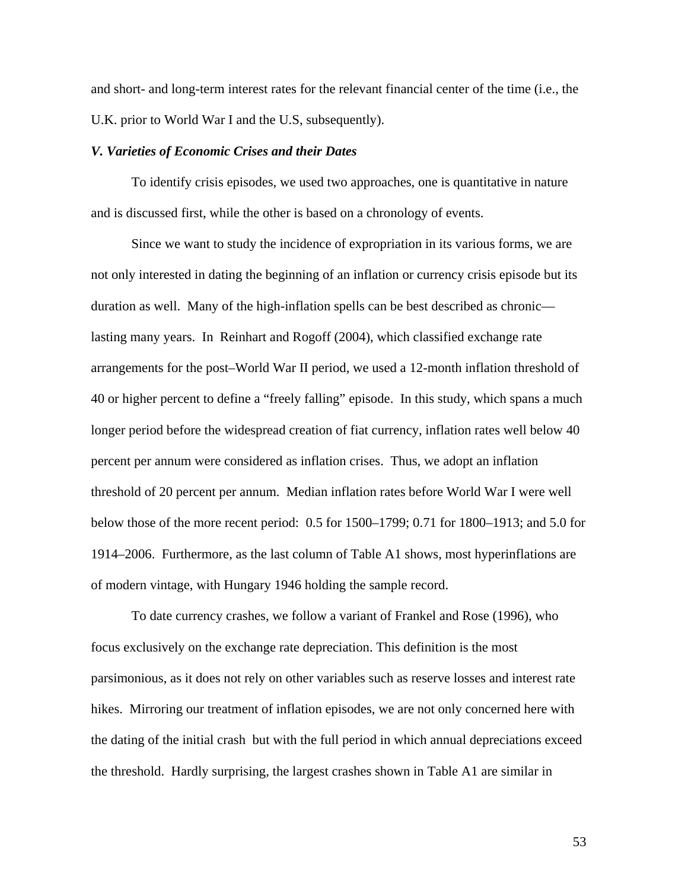and short- and long-term interest rates for the relevant financial center of the time (i.e., the U.K. prior to World War I and the U.S, subsequently).

## *V. Varieties of Economic Crises and their Dates*

To identify crisis episodes, we used two approaches, one is quantitative in nature and is discussed first, while the other is based on a chronology of events.

Since we want to study the incidence of expropriation in its various forms, we are not only interested in dating the beginning of an inflation or currency crisis episode but its duration as well. Many of the high-inflation spells can be best described as chronic lasting many years. In Reinhart and Rogoff (2004), which classified exchange rate arrangements for the post–World War II period, we used a 12-month inflation threshold of 40 or higher percent to define a "freely falling" episode. In this study, which spans a much longer period before the widespread creation of fiat currency, inflation rates well below 40 percent per annum were considered as inflation crises. Thus, we adopt an inflation threshold of 20 percent per annum. Median inflation rates before World War I were well below those of the more recent period: 0.5 for 1500–1799; 0.71 for 1800–1913; and 5.0 for 1914–2006. Furthermore, as the last column of Table A1 shows, most hyperinflations are of modern vintage, with Hungary 1946 holding the sample record.

To date currency crashes, we follow a variant of Frankel and Rose (1996), who focus exclusively on the exchange rate depreciation. This definition is the most parsimonious, as it does not rely on other variables such as reserve losses and interest rate hikes. Mirroring our treatment of inflation episodes, we are not only concerned here with the dating of the initial crash but with the full period in which annual depreciations exceed the threshold. Hardly surprising, the largest crashes shown in Table A1 are similar in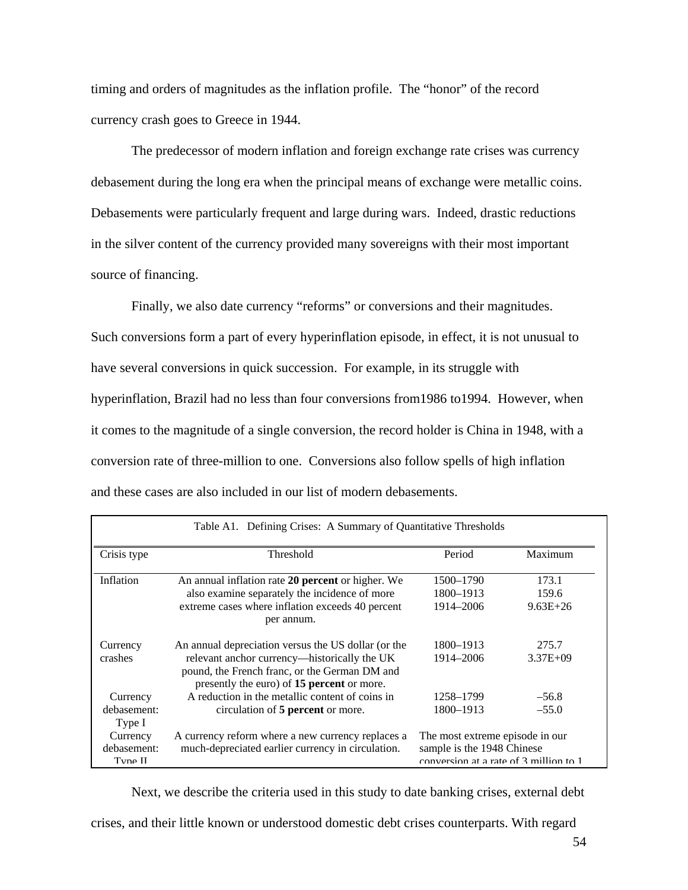timing and orders of magnitudes as the inflation profile. The "honor" of the record currency crash goes to Greece in 1944.

The predecessor of modern inflation and foreign exchange rate crises was currency debasement during the long era when the principal means of exchange were metallic coins. Debasements were particularly frequent and large during wars. Indeed, drastic reductions in the silver content of the currency provided many sovereigns with their most important source of financing.

Finally, we also date currency "reforms" or conversions and their magnitudes. Such conversions form a part of every hyperinflation episode, in effect, it is not unusual to have several conversions in quick succession. For example, in its struggle with hyperinflation, Brazil had no less than four conversions from1986 to1994. However, when it comes to the magnitude of a single conversion, the record holder is China in 1948, with a conversion rate of three-million to one. Conversions also follow spells of high inflation and these cases are also included in our list of modern debasements.

| Table A1. Defining Crises: A Summary of Quantitative Thresholds |                                                                                                                                             |                                                                                                         |              |
|-----------------------------------------------------------------|---------------------------------------------------------------------------------------------------------------------------------------------|---------------------------------------------------------------------------------------------------------|--------------|
| Crisis type                                                     | Threshold                                                                                                                                   | Period                                                                                                  | Maximum      |
| Inflation                                                       | An annual inflation rate 20 percent or higher. We                                                                                           | 1500-1790                                                                                               | 173.1        |
|                                                                 | also examine separately the incidence of more                                                                                               | 1800–1913                                                                                               | 159.6        |
|                                                                 | extreme cases where inflation exceeds 40 percent<br>per annum.                                                                              | 1914–2006                                                                                               | $9.63E + 26$ |
| Currency                                                        | An annual depreciation versus the US dollar (or the                                                                                         | 1800-1913                                                                                               | 275.7        |
| crashes                                                         | relevant anchor currency—historically the UK<br>pound, the French franc, or the German DM and<br>presently the euro) of 15 percent or more. | 1914–2006                                                                                               | $3.37E + 09$ |
| Currency                                                        | A reduction in the metallic content of coins in                                                                                             | 1258-1799                                                                                               | $-56.8$      |
| debasement:<br>Type I                                           | circulation of 5 percent or more.                                                                                                           | 1800–1913                                                                                               | $-55.0$      |
| Currency<br>debasement:<br>Tyne II                              | A currency reform where a new currency replaces a<br>much-depreciated earlier currency in circulation.                                      | The most extreme episode in our<br>sample is the 1948 Chinese<br>conversion at a rate of 3 million to 1 |              |

Next, we describe the criteria used in this study to date banking crises, external debt

crises, and their little known or understood domestic debt crises counterparts. With regard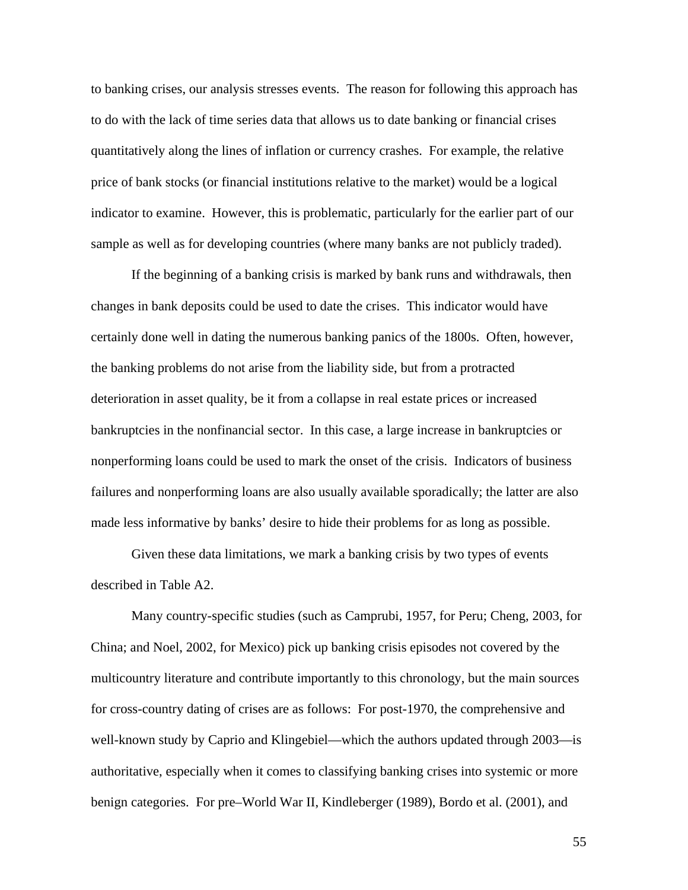to banking crises, our analysis stresses events. The reason for following this approach has to do with the lack of time series data that allows us to date banking or financial crises quantitatively along the lines of inflation or currency crashes. For example, the relative price of bank stocks (or financial institutions relative to the market) would be a logical indicator to examine. However, this is problematic, particularly for the earlier part of our sample as well as for developing countries (where many banks are not publicly traded).

If the beginning of a banking crisis is marked by bank runs and withdrawals, then changes in bank deposits could be used to date the crises. This indicator would have certainly done well in dating the numerous banking panics of the 1800s. Often, however, the banking problems do not arise from the liability side, but from a protracted deterioration in asset quality, be it from a collapse in real estate prices or increased bankruptcies in the nonfinancial sector. In this case, a large increase in bankruptcies or nonperforming loans could be used to mark the onset of the crisis. Indicators of business failures and nonperforming loans are also usually available sporadically; the latter are also made less informative by banks' desire to hide their problems for as long as possible.

Given these data limitations, we mark a banking crisis by two types of events described in Table A2.

Many country-specific studies (such as Camprubi, 1957, for Peru; Cheng, 2003, for China; and Noel, 2002, for Mexico) pick up banking crisis episodes not covered by the multicountry literature and contribute importantly to this chronology, but the main sources for cross-country dating of crises are as follows: For post-1970, the comprehensive and well-known study by Caprio and Klingebiel—which the authors updated through 2003—is authoritative, especially when it comes to classifying banking crises into systemic or more benign categories. For pre–World War II, Kindleberger (1989), Bordo et al. (2001), and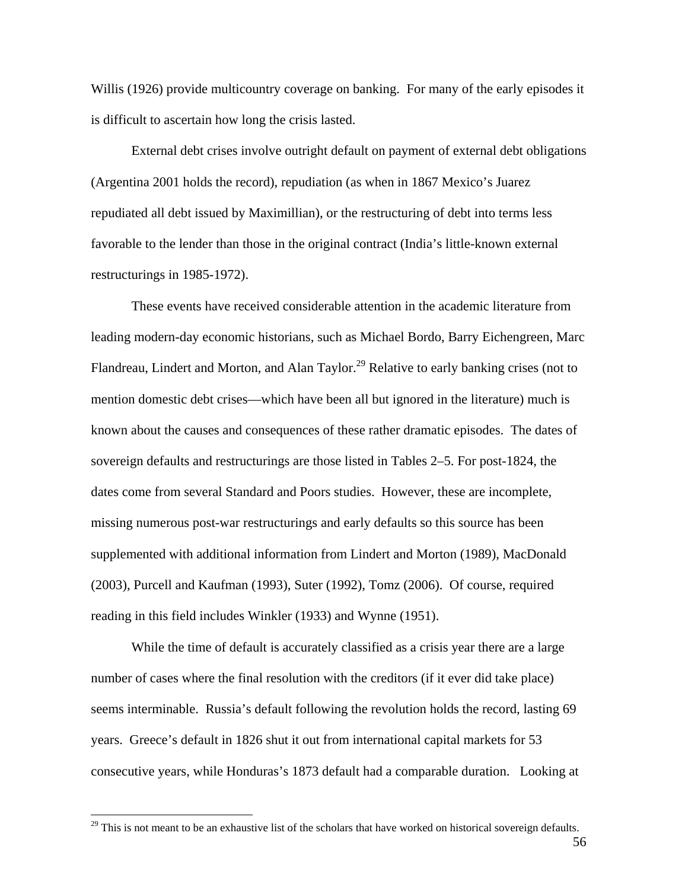Willis (1926) provide multicountry coverage on banking. For many of the early episodes it is difficult to ascertain how long the crisis lasted.

External debt crises involve outright default on payment of external debt obligations (Argentina 2001 holds the record), repudiation (as when in 1867 Mexico's Juarez repudiated all debt issued by Maximillian), or the restructuring of debt into terms less favorable to the lender than those in the original contract (India's little-known external restructurings in 1985-1972).

These events have received considerable attention in the academic literature from leading modern-day economic historians, such as Michael Bordo, Barry Eichengreen, Marc Flandreau, Lindert and Morton, and Alan Taylor.<sup>29</sup> Relative to early banking crises (not to mention domestic debt crises—which have been all but ignored in the literature) much is known about the causes and consequences of these rather dramatic episodes. The dates of sovereign defaults and restructurings are those listed in Tables 2–5. For post-1824, the dates come from several Standard and Poors studies. However, these are incomplete, missing numerous post-war restructurings and early defaults so this source has been supplemented with additional information from Lindert and Morton (1989), MacDonald (2003), Purcell and Kaufman (1993), Suter (1992), Tomz (2006). Of course, required reading in this field includes Winkler (1933) and Wynne (1951).

While the time of default is accurately classified as a crisis year there are a large number of cases where the final resolution with the creditors (if it ever did take place) seems interminable. Russia's default following the revolution holds the record, lasting 69 years. Greece's default in 1826 shut it out from international capital markets for 53 consecutive years, while Honduras's 1873 default had a comparable duration. Looking at

 $29$  This is not meant to be an exhaustive list of the scholars that have worked on historical sovereign defaults.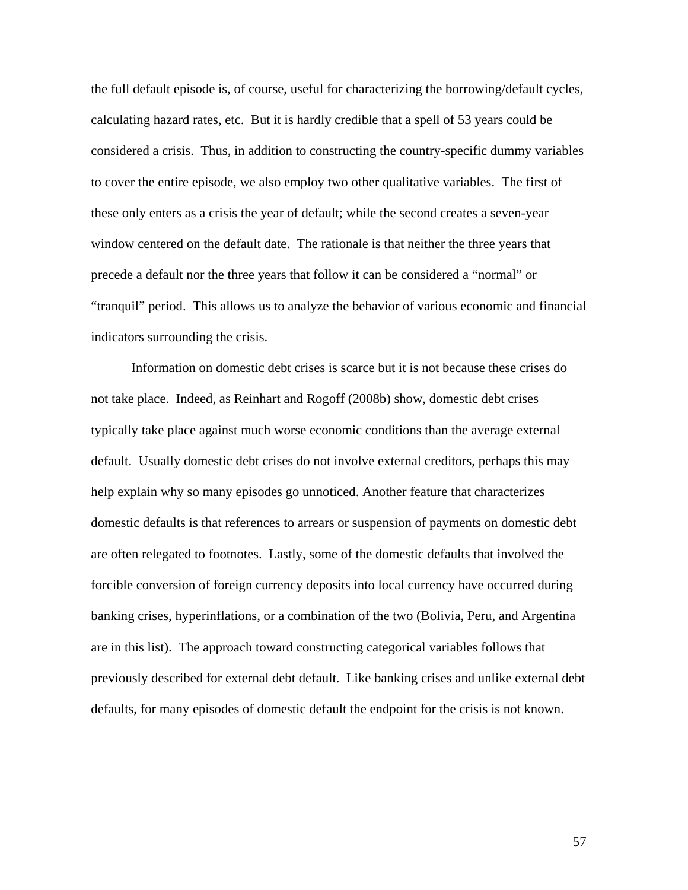the full default episode is, of course, useful for characterizing the borrowing/default cycles, calculating hazard rates, etc. But it is hardly credible that a spell of 53 years could be considered a crisis. Thus, in addition to constructing the country-specific dummy variables to cover the entire episode, we also employ two other qualitative variables. The first of these only enters as a crisis the year of default; while the second creates a seven-year window centered on the default date. The rationale is that neither the three years that precede a default nor the three years that follow it can be considered a "normal" or "tranquil" period. This allows us to analyze the behavior of various economic and financial indicators surrounding the crisis.

Information on domestic debt crises is scarce but it is not because these crises do not take place. Indeed, as Reinhart and Rogoff (2008b) show, domestic debt crises typically take place against much worse economic conditions than the average external default. Usually domestic debt crises do not involve external creditors, perhaps this may help explain why so many episodes go unnoticed. Another feature that characterizes domestic defaults is that references to arrears or suspension of payments on domestic debt are often relegated to footnotes. Lastly, some of the domestic defaults that involved the forcible conversion of foreign currency deposits into local currency have occurred during banking crises, hyperinflations, or a combination of the two (Bolivia, Peru, and Argentina are in this list). The approach toward constructing categorical variables follows that previously described for external debt default. Like banking crises and unlike external debt defaults, for many episodes of domestic default the endpoint for the crisis is not known.